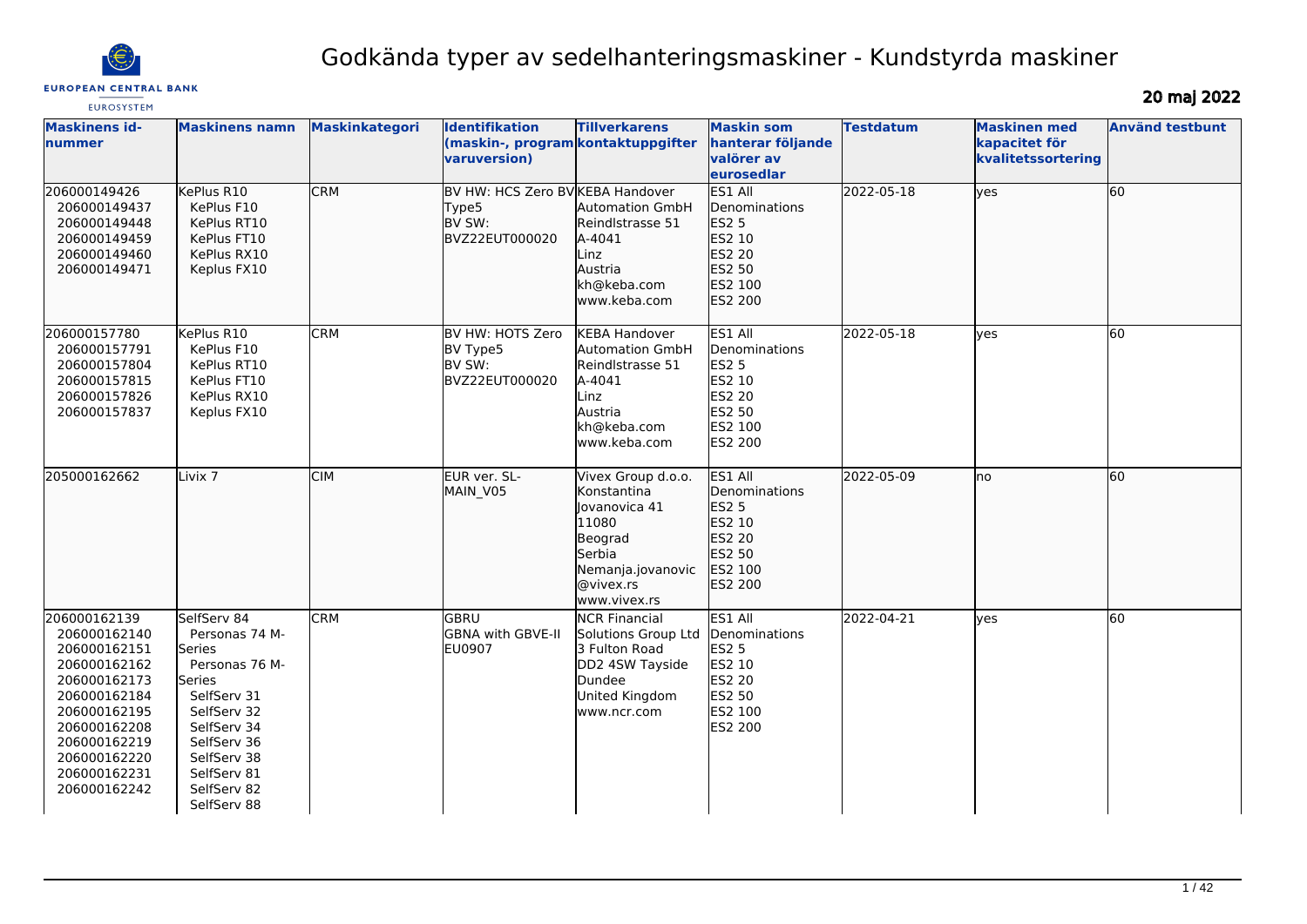

# Godkända typer av sedelhanteringsmaskiner - Kundstyrda maskiner

EUROSYSTEM

20 maj 2022

| <b>Maskinens id-</b><br><b>Inummer</b>                                                                                                                                                       | <b>Maskinens namn</b>                                                                                                                                                                       | <b>Maskinkategori</b> | Identifikation<br>(maskin-, program kontaktuppgifter<br>varuversion)  | <b>Tillverkarens</b>                                                                                                               | <b>Maskin som</b><br>hanterar följande<br>valörer av<br>eurosedlar                           | <b>Testdatum</b> | <b>Maskinen med</b><br>kapacitet för<br>kvalitetssortering | <b>Använd testbunt</b> |
|----------------------------------------------------------------------------------------------------------------------------------------------------------------------------------------------|---------------------------------------------------------------------------------------------------------------------------------------------------------------------------------------------|-----------------------|-----------------------------------------------------------------------|------------------------------------------------------------------------------------------------------------------------------------|----------------------------------------------------------------------------------------------|------------------|------------------------------------------------------------|------------------------|
| 206000149426<br>206000149437<br>206000149448<br>206000149459<br>206000149460<br>206000149471                                                                                                 | KePlus R10<br>KePlus F10<br>KePlus RT10<br>KePlus FT10<br>KePlus RX10<br>Keplus FX10                                                                                                        | <b>CRM</b>            | BV HW: HCS Zero BV KEBA Handover<br>Type5<br>BV SW:<br>BVZ22EUT000020 | <b>Automation GmbH</b><br>Reindlstrasse 51<br>A-4041<br>Linz<br>Austria<br>kh@keba.com<br>www.keba.com                             | ES1 All<br>Denominations<br>ES2 5<br>ES2 10<br>ES2 20<br>ES2 50<br>ES2 100<br>ES2 200        | 2022-05-18       | $ $ yes                                                    | 60                     |
| 206000157780<br>206000157791<br>206000157804<br>206000157815<br>206000157826<br>206000157837                                                                                                 | KePlus R10<br>KePlus F10<br>KePlus RT10<br>KePlus FT10<br>KePlus RX10<br>Keplus FX10                                                                                                        | <b>CRM</b>            | BV HW: HOTS Zero<br>BV Type5<br>BV SW:<br>BVZ22EUT000020              | <b>KEBA Handover</b><br>Automation GmbH<br>Reindlstrasse 51<br>A-4041<br>Linz<br>Austria<br>kh@keba.com<br>www.keba.com            | ES1 All<br>Denominations<br><b>ES2 5</b><br>ES2 10<br>ES2 20<br>ES2 50<br>ES2 100<br>ES2 200 | 2022-05-18       | yes                                                        | 60                     |
| 205000162662                                                                                                                                                                                 | Livix <sub>7</sub>                                                                                                                                                                          | <b>CIM</b>            | EUR ver. SL-<br>MAIN V05                                              | Vivex Group d.o.o.<br>Konstantina<br>Jovanovica 41<br>11080<br>Beograd<br>Serbia<br>Nemanja.jovanovic<br>@vivex.rs<br>www.vivex.rs | ES1 All<br><b>Denominations</b><br>ES2 5<br>ES2 10<br>ES2 20<br>ES2 50<br>ES2 100<br>ES2 200 | 2022-05-09       | lno                                                        | 60                     |
| 206000162139<br>206000162140<br>206000162151<br>206000162162<br>206000162173<br>206000162184<br>206000162195<br>206000162208<br>206000162219<br>206000162220<br>206000162231<br>206000162242 | SelfServ 84<br>Personas 74 M-<br>Series<br>Personas 76 M-<br>Series<br>SelfServ 31<br>SelfServ 32<br>SelfServ 34<br>SelfServ 36<br>SelfServ 38<br>SelfServ 81<br>SelfServ 82<br>SelfServ 88 | <b>CRM</b>            | GBRU<br>GBNA with GBVE-II<br><b>EU0907</b>                            | <b>NCR Financial</b><br>Solutions Group Ltd<br>3 Fulton Road<br>DD2 4SW Tayside<br>Dundee<br>United Kingdom<br>www.ncr.com         | ES1 All<br>Denominations<br><b>ES2 5</b><br>ES2 10<br>ES2 20<br>ES2 50<br>ES2 100<br>ES2 200 | 2022-04-21       | lves                                                       | 60                     |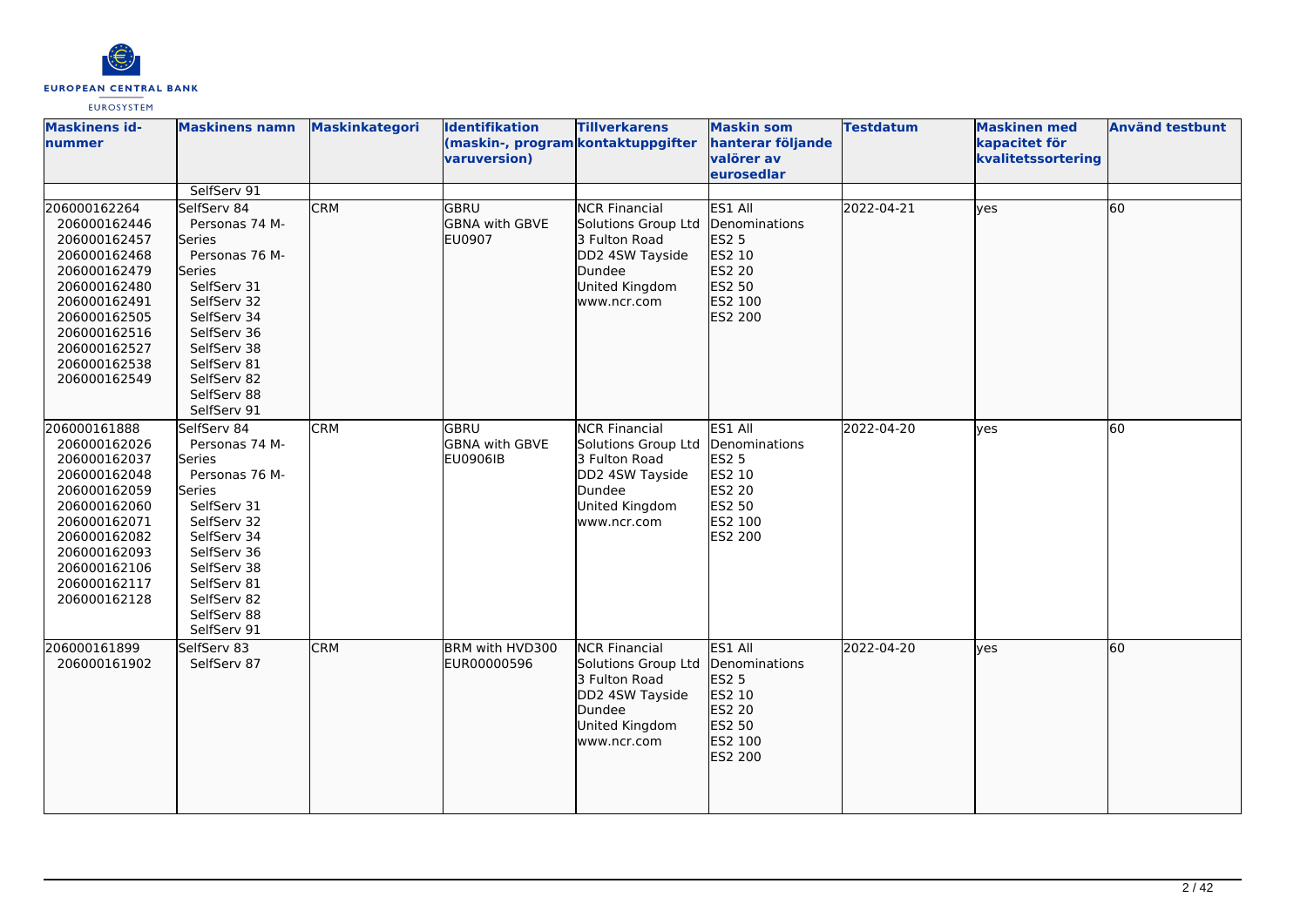

| <b>Maskinens id-</b><br>nummer                                                                                                                                                               | <b>Maskinens namn</b>                                                                                                                                                                                                     | Maskinkategori | <b>Identifikation</b><br>(maskin-, program kontaktuppgifter<br>varuversion) | <b>Tillverkarens</b>                                                                                                       | <b>Maskin som</b><br>hanterar följande<br>valörer av<br>eurosedlar                           | <b>Testdatum</b> | <b>Maskinen med</b><br>kapacitet för<br>kvalitetssortering | <b>Använd testbunt</b> |
|----------------------------------------------------------------------------------------------------------------------------------------------------------------------------------------------|---------------------------------------------------------------------------------------------------------------------------------------------------------------------------------------------------------------------------|----------------|-----------------------------------------------------------------------------|----------------------------------------------------------------------------------------------------------------------------|----------------------------------------------------------------------------------------------|------------------|------------------------------------------------------------|------------------------|
| 206000162264<br>206000162446<br>206000162457<br>206000162468<br>206000162479<br>206000162480<br>206000162491<br>206000162505<br>206000162516<br>206000162527<br>206000162538<br>206000162549 | SelfServ 91<br>SelfServ 84<br>Personas 74 M-<br>Series<br>Personas 76 M-<br>Series<br>SelfServ 31<br>SelfServ 32<br>SelfServ 34<br>SelfServ 36<br>SelfServ 38<br>SelfServ 81<br>SelfServ 82<br>SelfServ 88<br>SelfServ 91 | <b>CRM</b>     | GBRU<br><b>GBNA</b> with GBVE<br><b>EU0907</b>                              | <b>NCR Financial</b><br>Solutions Group Ltd<br>3 Fulton Road<br>DD2 4SW Tayside<br>Dundee<br>United Kingdom<br>www.ncr.com | ES1 All<br>Denominations<br><b>ES2 5</b><br>ES2 10<br>ES2 20<br>ES2 50<br>ES2 100<br>ES2 200 | 2022-04-21       | lves                                                       | 60                     |
| 206000161888<br>206000162026<br>206000162037<br>206000162048<br>206000162059<br>206000162060<br>206000162071<br>206000162082<br>206000162093<br>206000162106<br>206000162117<br>206000162128 | SelfServ 84<br>Personas 74 M-<br>Series<br>Personas 76 M-<br>Series<br>SelfServ 31<br>SelfServ 32<br>SelfServ 34<br>SelfServ 36<br>SelfServ 38<br>SelfServ 81<br>SelfServ 82<br>SelfServ 88<br>SelfServ 91                | <b>CRM</b>     | GBRU<br><b>GBNA with GBVE</b><br><b>EU0906IB</b>                            | <b>NCR Financial</b><br>Solutions Group Ltd<br>3 Fulton Road<br>DD2 4SW Tayside<br>Dundee<br>United Kingdom<br>www.ncr.com | ES1 All<br>Denominations<br><b>ES2 5</b><br>ES2 10<br>ES2 20<br>ES2 50<br>ES2 100<br>ES2 200 | 2022-04-20       | yes                                                        | 60                     |
| 206000161899<br>206000161902                                                                                                                                                                 | SelfServ 83<br>SelfServ 87                                                                                                                                                                                                | <b>CRM</b>     | BRM with HVD300<br>EUR00000596                                              | <b>NCR Financial</b><br>Solutions Group Ltd<br>3 Fulton Road<br>DD2 4SW Tayside<br>Dundee<br>United Kingdom<br>www.ncr.com | ES1 All<br>Denominations<br>ES2 5<br>ES2 10<br>ES2 20<br>ES2 50<br><b>ES2 100</b><br>ES2 200 | 2022-04-20       | lves                                                       | 60                     |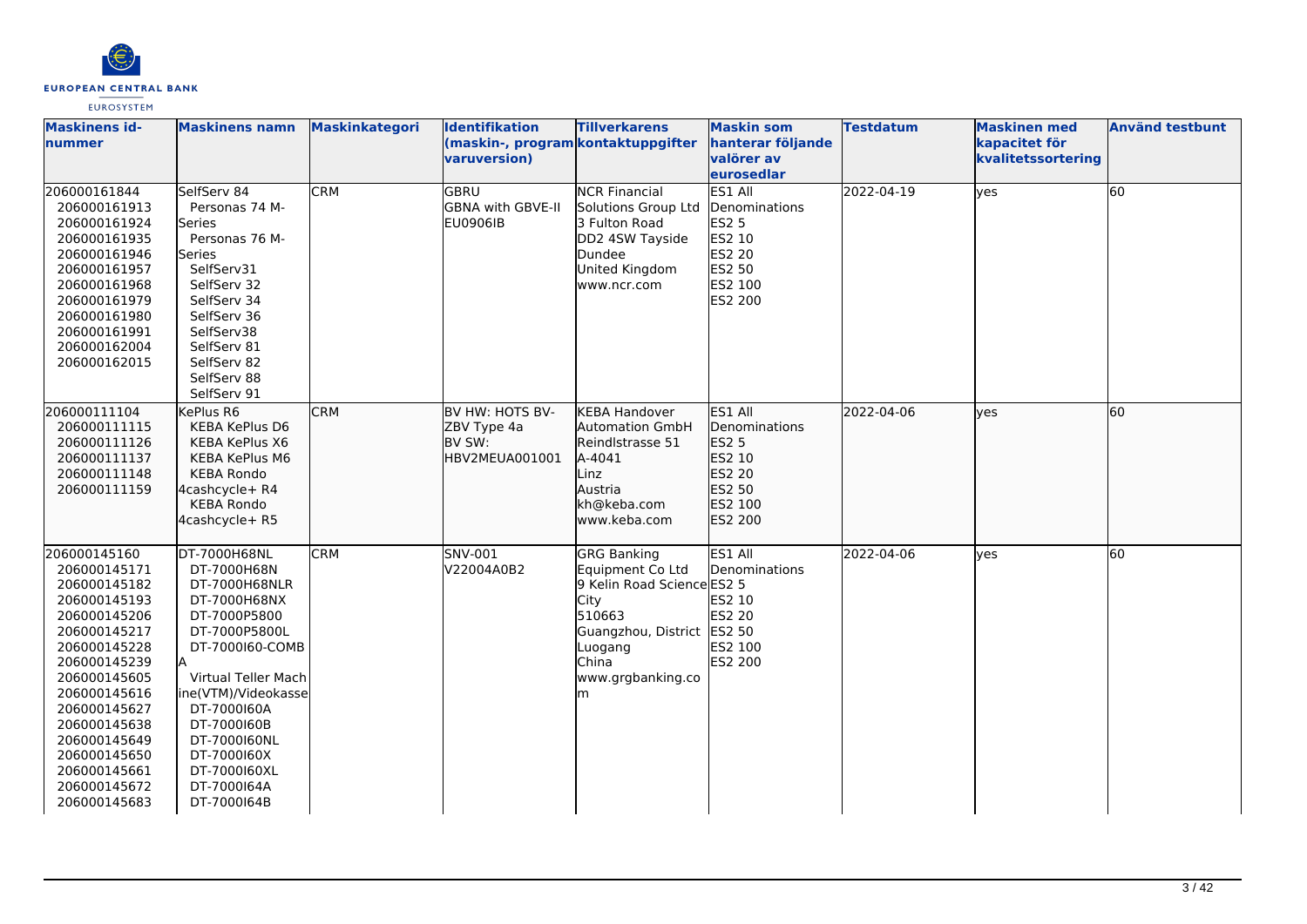

| <b>Maskinens id-</b><br>lnummer                                                                                                                                                                                                                                              | <b>Maskinens namn</b>                                                                                                                                                                                                                                                     | <b>Maskinkategori</b> | <b>Identifikation</b><br>(maskin-, program kontaktuppgifter<br>varuversion) | <b>Tillverkarens</b>                                                                                                                                                      | <b>Maskin som</b><br>hanterar följande<br>valörer av<br>eurosedlar                                  | <b>Testdatum</b> | <b>Maskinen med</b><br>kapacitet för<br>kvalitetssortering | <b>Använd testbunt</b> |
|------------------------------------------------------------------------------------------------------------------------------------------------------------------------------------------------------------------------------------------------------------------------------|---------------------------------------------------------------------------------------------------------------------------------------------------------------------------------------------------------------------------------------------------------------------------|-----------------------|-----------------------------------------------------------------------------|---------------------------------------------------------------------------------------------------------------------------------------------------------------------------|-----------------------------------------------------------------------------------------------------|------------------|------------------------------------------------------------|------------------------|
| 206000161844<br>206000161913<br>206000161924<br>206000161935<br>206000161946<br>206000161957<br>206000161968<br>206000161979<br>206000161980<br>206000161991<br>206000162004<br>206000162015                                                                                 | SelfServ 84<br>Personas 74 M-<br>Series<br>Personas 76 M-<br>Series<br>SelfServ31<br>SelfServ 32<br>SelfServ 34<br>SelfServ 36<br>SelfServ38<br>SelfServ 81<br>SelfServ 82<br>SelfServ 88<br>SelfServ 91                                                                  | <b>CRM</b>            | GBRU<br><b>GBNA with GBVE-II</b><br><b>EU0906IB</b>                         | <b>NCR Financial</b><br>Solutions Group Ltd<br>3 Fulton Road<br>DD2 4SW Tayside<br>Dundee<br>United Kingdom<br>www.ncr.com                                                | ES1 All<br>Denominations<br><b>ES2 5</b><br>ES2 10<br><b>ES2 20</b><br>ES2 50<br>ES2 100<br>ES2 200 | 2022-04-19       | <b>ves</b>                                                 | 60                     |
| 206000111104<br>206000111115<br>206000111126<br>206000111137<br>206000111148<br>206000111159                                                                                                                                                                                 | KePlus R6<br><b>KEBA KePlus D6</b><br>KEBA KePlus X6<br>KEBA KePlus M6<br><b>KEBA Rondo</b><br>4cashcycle+ R4<br><b>KEBA Rondo</b><br>4cashcycle+ R5                                                                                                                      | <b>CRM</b>            | BV HW: HOTS BV-<br>ZBV Type 4a<br>BV SW:<br>HBV2MEUA001001                  | <b>KEBA Handover</b><br><b>Automation GmbH</b><br>Reindlstrasse 51<br>A-4041<br>Linz<br>Austria<br>kh@keba.com<br>www.keba.com                                            | ES1 All<br>Denominations<br>ES2 5<br>ES2 10<br>ES2 20<br>ES2 50<br>ES2 100<br><b>ES2 200</b>        | 2022-04-06       | lves                                                       | 60                     |
| 206000145160<br>206000145171<br>206000145182<br>206000145193<br>206000145206<br>206000145217<br>206000145228<br>206000145239<br>206000145605<br>206000145616<br>206000145627<br>206000145638<br>206000145649<br>206000145650<br>206000145661<br>206000145672<br>206000145683 | DT-7000H68NL<br>DT-7000H68N<br>DT-7000H68NLR<br>DT-7000H68NX<br>DT-7000P5800<br>DT-7000P5800L<br>DT-7000160-COMB<br>Virtual Teller Mach<br>ine(VTM)/Videokasse<br>DT-7000160A<br>DT-7000160B<br>DT-7000160NL<br>DT-7000160X<br>DT-7000160XL<br>DT-7000164A<br>DT-7000164B | <b>CRM</b>            | SNV-001<br>V22004A0B2                                                       | <b>GRG Banking</b><br>Equipment Co Ltd<br>9 Kelin Road Science ES2 5<br><b>City</b><br>510663<br>Guangzhou, District ES2 50<br>Luogang<br>China<br>www.grgbanking.co<br>m | ES1 All<br>Denominations<br>ES2 10<br><b>ES2 20</b><br>ES2 100<br>ES2 200                           | 2022-04-06       | <b>ves</b>                                                 | 60                     |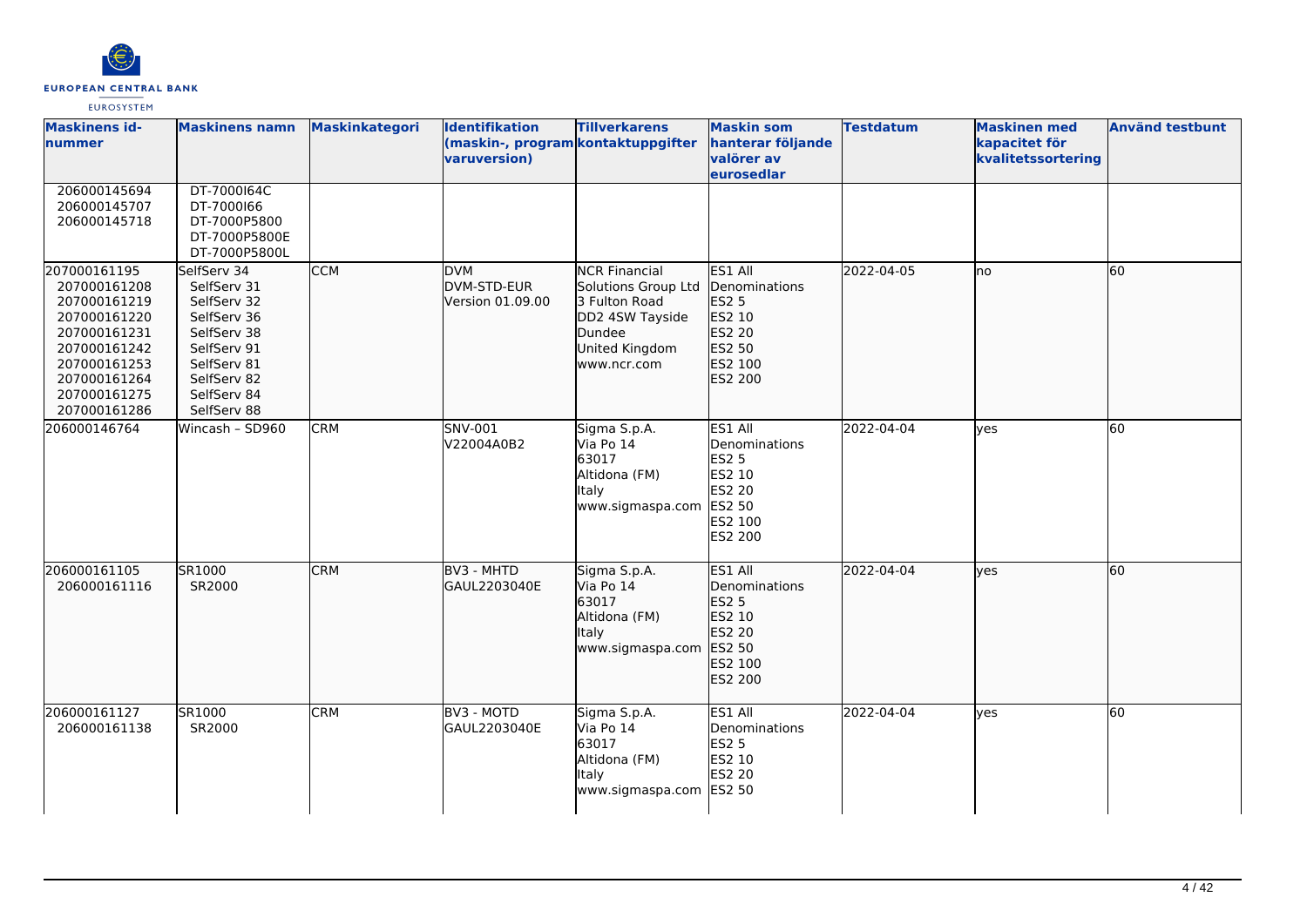

| <b>Maskinens id-</b><br>nummer                                                                                                                               | <b>Maskinens namn</b>                                                                                                                              | Maskinkategori | <b>Identifikation</b><br>(maskin-, program kontaktuppgifter<br>varuversion) | <b>Tillverkarens</b>                                                                                                       | <b>Maskin som</b><br>hanterar följande<br>valörer av<br>eurosedlar                                  | <b>Testdatum</b> | <b>Maskinen med</b><br>kapacitet för<br>kvalitetssortering | <b>Använd testbunt</b> |
|--------------------------------------------------------------------------------------------------------------------------------------------------------------|----------------------------------------------------------------------------------------------------------------------------------------------------|----------------|-----------------------------------------------------------------------------|----------------------------------------------------------------------------------------------------------------------------|-----------------------------------------------------------------------------------------------------|------------------|------------------------------------------------------------|------------------------|
| 206000145694<br>206000145707<br>206000145718                                                                                                                 | DT-7000164C<br>DT-7000166<br>DT-7000P5800<br>DT-7000P5800E<br>DT-7000P5800L                                                                        |                |                                                                             |                                                                                                                            |                                                                                                     |                  |                                                            |                        |
| 207000161195<br>207000161208<br>207000161219<br>207000161220<br>207000161231<br>207000161242<br>207000161253<br>207000161264<br>207000161275<br>207000161286 | SelfServ 34<br>SelfServ 31<br>SelfServ 32<br>SelfServ 36<br>SelfServ 38<br>SelfServ 91<br>SelfServ 81<br>SelfServ 82<br>SelfServ 84<br>SelfServ 88 | <b>CCM</b>     | <b>DVM</b><br>DVM-STD-EUR<br>Version 01.09.00                               | <b>NCR Financial</b><br>Solutions Group Ltd<br>3 Fulton Road<br>DD2 4SW Tayside<br>Dundee<br>United Kingdom<br>www.ncr.com | ES1 All<br>Denominations<br>ES2 5<br>ES2 10<br>ES2 20<br>ES2 50<br>ES2 100<br>ES2 200               | 2022-04-05       | lno                                                        | 60                     |
| 206000146764                                                                                                                                                 | Wincash - SD960                                                                                                                                    | <b>CRM</b>     | SNV-001<br>V22004A0B2                                                       | Sigma S.p.A.<br>Via Po 14<br>63017<br>Altidona (FM)<br>Italy<br>www.sigmaspa.com                                           | ES1 All<br>Denominations<br><b>ES2 5</b><br>ES2 10<br><b>ES2 20</b><br>ES2 50<br>ES2 100<br>ES2 200 | 2022-04-04       | yes                                                        | 60                     |
| 206000161105<br>206000161116                                                                                                                                 | SR1000<br>SR2000                                                                                                                                   | <b>CRM</b>     | BV3 - MHTD<br>GAUL2203040E                                                  | Sigma S.p.A.<br>Via Po 14<br>63017<br>Altidona (FM)<br>Italy<br>www.sigmaspa.com                                           | ES1 All<br>Denominations<br>ES2 5<br>ES2 10<br>ES2 20<br>ES2 50<br>ES2 100<br>ES2 200               | 2022-04-04       | lyes                                                       | 60                     |
| 206000161127<br>206000161138                                                                                                                                 | SR1000<br>SR2000                                                                                                                                   | <b>CRM</b>     | BV3 - MOTD<br>GAUL2203040E                                                  | Sigma S.p.A.<br>Via Po 14<br>63017<br>Altidona (FM)<br>Italy<br>www.sigmaspa.com                                           | ES1 All<br>Denominations<br><b>ES2 5</b><br>ES2 10<br>ES2 20<br><b>ES2 50</b>                       | 2022-04-04       | lyes                                                       | 60                     |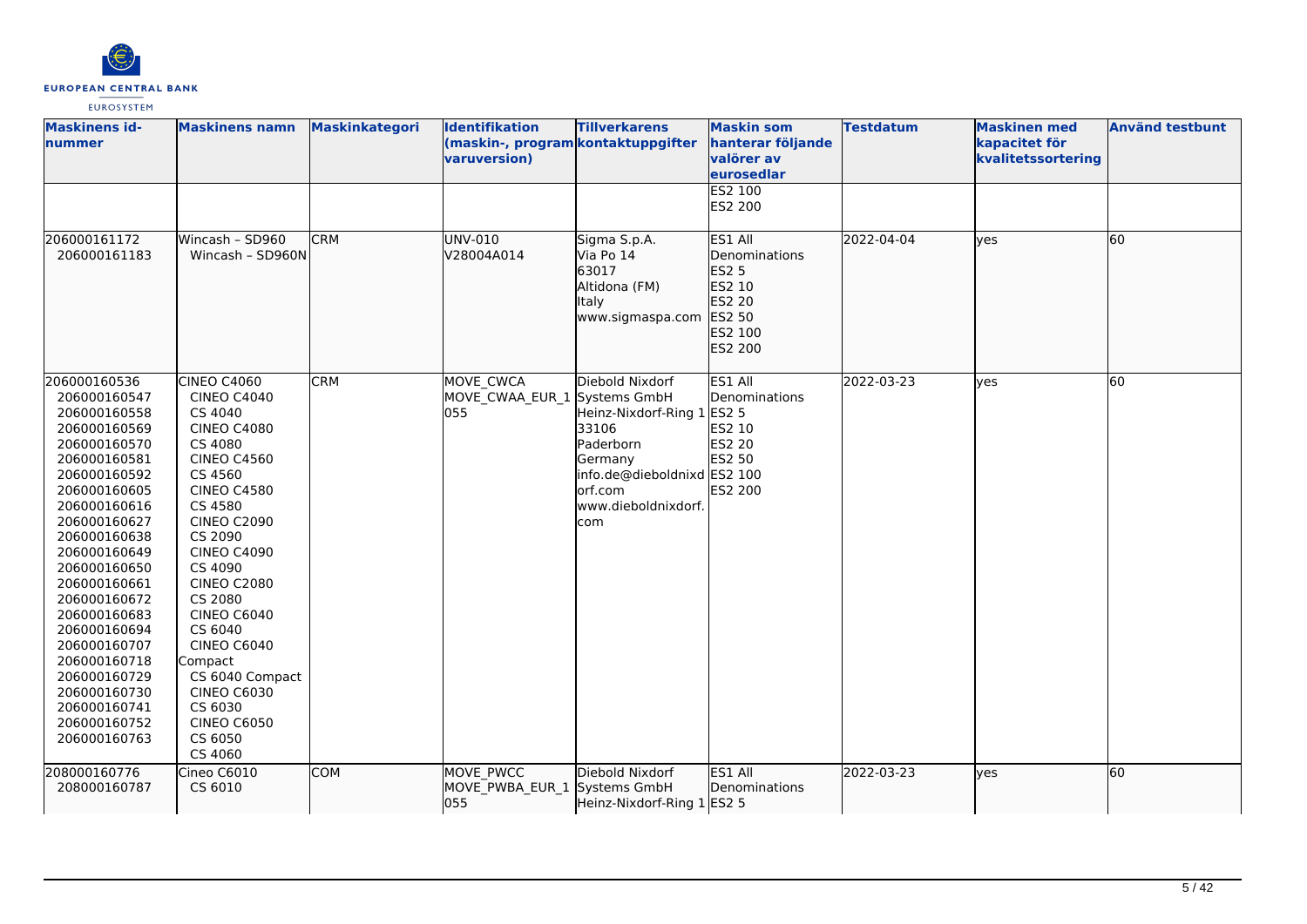

| <b>Maskinens id-</b><br>nummer                                                                                                                                                                                                                                                                                                                                                               | <b>Maskinens namn</b>                                                                                                                                                                                                                                                                                                                                                                                                | <b>Maskinkategori</b> | Identifikation<br>(maskin-, program kontaktuppgifter<br>varuversion) | <b>Tillverkarens</b>                                                                                                                             | <b>Maskin som</b><br>hanterar följande<br>valörer av<br>eurosedlar<br>ES2 100                   | <b>Testdatum</b> | <b>Maskinen med</b><br>kapacitet för<br>kvalitetssortering | <b>Använd testbunt</b> |
|----------------------------------------------------------------------------------------------------------------------------------------------------------------------------------------------------------------------------------------------------------------------------------------------------------------------------------------------------------------------------------------------|----------------------------------------------------------------------------------------------------------------------------------------------------------------------------------------------------------------------------------------------------------------------------------------------------------------------------------------------------------------------------------------------------------------------|-----------------------|----------------------------------------------------------------------|--------------------------------------------------------------------------------------------------------------------------------------------------|-------------------------------------------------------------------------------------------------|------------------|------------------------------------------------------------|------------------------|
|                                                                                                                                                                                                                                                                                                                                                                                              |                                                                                                                                                                                                                                                                                                                                                                                                                      |                       |                                                                      |                                                                                                                                                  | ES2 200                                                                                         |                  |                                                            |                        |
| 206000161172<br>206000161183                                                                                                                                                                                                                                                                                                                                                                 | Wincash - SD960<br>Wincash - SD960N                                                                                                                                                                                                                                                                                                                                                                                  | <b>CRM</b>            | UNV-010<br>V28004A014                                                | Sigma S.p.A.<br>Via Po 14<br>63017<br>Altidona (FM)<br>Italy<br>www.sigmaspa.com                                                                 | ES1 All<br>Denominations<br>ES2 5<br>ES2 10<br>ES2 20<br>ES2 50<br>ES2 100<br>ES2 200           | 2022-04-04       | lves                                                       | 60                     |
| 206000160536<br>206000160547<br>206000160558<br>206000160569<br>206000160570<br>206000160581<br>206000160592<br>206000160605<br>206000160616<br>206000160627<br>206000160638<br>206000160649<br>206000160650<br>206000160661<br>206000160672<br>206000160683<br>206000160694<br>206000160707<br>206000160718<br>206000160729<br>206000160730<br>206000160741<br>206000160752<br>206000160763 | CINEO C4060<br><b>CINEO C4040</b><br>CS 4040<br><b>CINEO C4080</b><br>CS 4080<br><b>CINEO C4560</b><br>CS 4560<br><b>CINEO C4580</b><br>CS 4580<br><b>CINEO C2090</b><br>CS 2090<br><b>CINEO C4090</b><br>CS 4090<br><b>CINEO C2080</b><br>CS 2080<br><b>CINEO C6040</b><br>CS 6040<br><b>CINEO C6040</b><br>Compact<br>CS 6040 Compact<br><b>CINEO C6030</b><br>CS 6030<br><b>CINEO C6050</b><br>CS 6050<br>CS 4060 | <b>CRM</b>            | MOVE CWCA<br>MOVE_CWAA_EUR_1 Systems GmbH<br>055                     | Diebold Nixdorf<br>Heinz-Nixdorf-Ring 1<br>33106<br>Paderborn<br>Germany<br>info.de@dieboldnixd ES2 100<br>orf.com<br>www.dieboldnixdorf.<br>com | ES1 All<br>Denominations<br><b>ES2 5</b><br>ES2 10<br><b>ES2 20</b><br>ES2 50<br><b>ES2 200</b> | 2022-03-23       | yes                                                        | 60                     |
| 208000160776<br>208000160787                                                                                                                                                                                                                                                                                                                                                                 | Cineo C6010<br>CS 6010                                                                                                                                                                                                                                                                                                                                                                                               | <b>COM</b>            | MOVE PWCC<br>MOVE PWBA EUR 1 Systems GmbH<br>055                     | Diebold Nixdorf<br>Heinz-Nixdorf-Ring 1 ES2 5                                                                                                    | ES1 All<br>Denominations                                                                        | 2022-03-23       | lves                                                       | 60                     |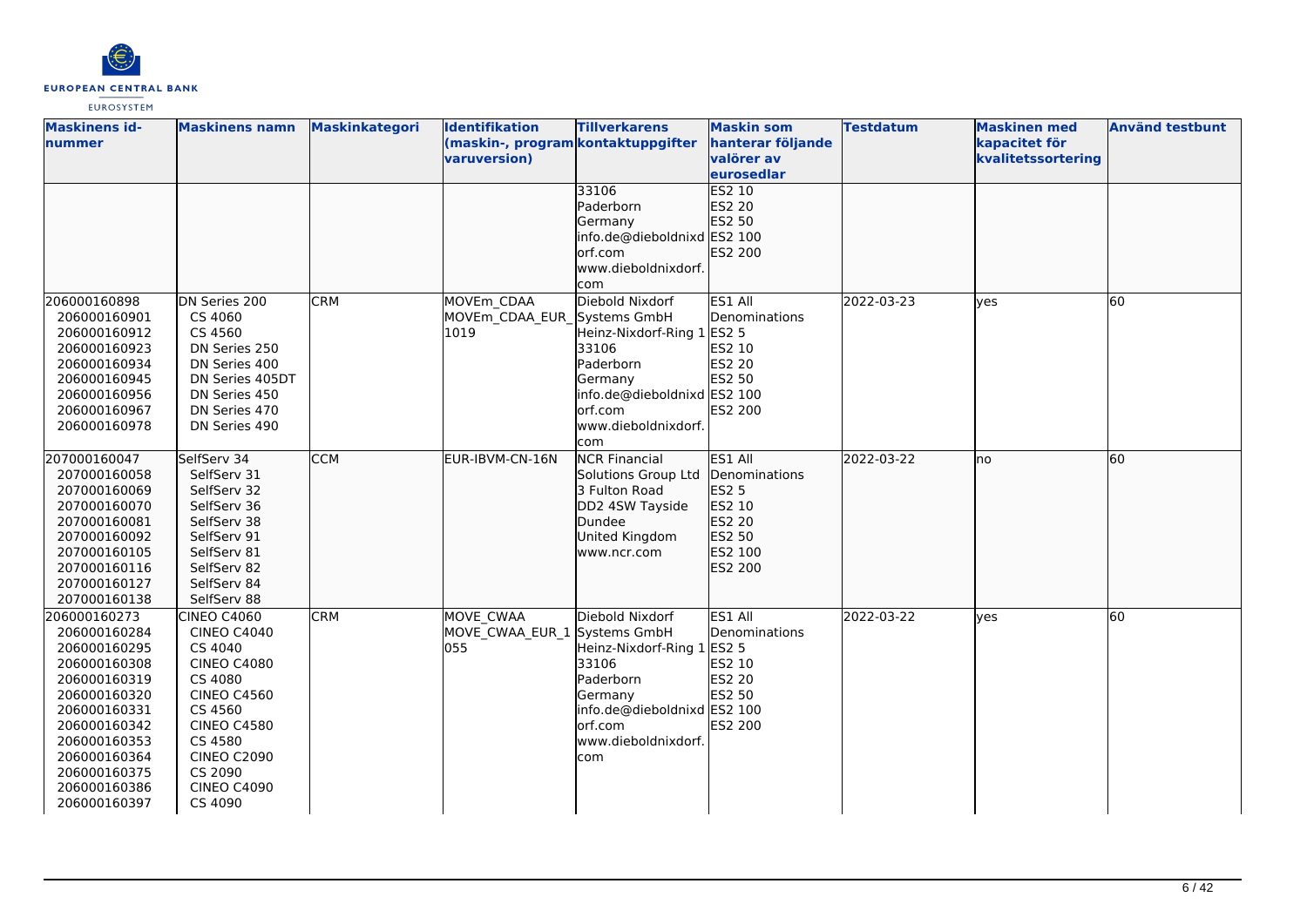

| <b>Maskinens id-</b><br><b>Inummer</b>                                                                                                                                                                       | <b>Maskinens namn</b>                                                                                                                                                                                                    | <b>Maskinkategori</b> | Identifikation<br>(maskin-, program kontaktuppgifter<br>varuversion) | <b>Tillverkarens</b>                                                                                                                                              | <b>Maskin som</b><br>hanterar följande<br>valörer av<br>eurosedlar                    | <b>Testdatum</b> | <b>Maskinen med</b><br>kapacitet för<br>kvalitetssortering | <b>Använd testbunt</b> |
|--------------------------------------------------------------------------------------------------------------------------------------------------------------------------------------------------------------|--------------------------------------------------------------------------------------------------------------------------------------------------------------------------------------------------------------------------|-----------------------|----------------------------------------------------------------------|-------------------------------------------------------------------------------------------------------------------------------------------------------------------|---------------------------------------------------------------------------------------|------------------|------------------------------------------------------------|------------------------|
|                                                                                                                                                                                                              |                                                                                                                                                                                                                          |                       |                                                                      | 33106<br>Paderborn<br>Germany<br>info.de@dieboldnixd ES2 100<br>orf.com<br>www.dieboldnixdorf.<br>com                                                             | <b>ES2 10</b><br>ES2 20<br>ES2 50<br>ES2 200                                          |                  |                                                            |                        |
| 206000160898<br>206000160901<br>206000160912<br>206000160923<br>206000160934<br>206000160945<br>206000160956<br>206000160967<br>206000160978                                                                 | DN Series 200<br>CS 4060<br>CS 4560<br>DN Series 250<br>DN Series 400<br>DN Series 405DT<br>DN Series 450<br>DN Series 470<br>DN Series 490                                                                              | <b>CRM</b>            | MOVEm CDAA<br>MOVEm CDAA EUR<br>1019                                 | Diebold Nixdorf<br>Systems GmbH<br>Heinz-Nixdorf-Ring 1<br>33106<br>Paderborn<br>Germany<br>info.de@dieboldnixd ES2 100<br>lorf.com<br>www.dieboldnixdorf.<br>com | ES1 All<br>Denominations<br><b>ES2 5</b><br>ES2 10<br>ES2 20<br>ES2 50<br>ES2 200     | 2022-03-23       | ves                                                        | 60                     |
| 207000160047<br>207000160058<br>207000160069<br>207000160070<br>207000160081<br>207000160092<br>207000160105<br>207000160116<br>207000160127<br>207000160138                                                 | SelfServ 34<br>SelfServ 31<br>SelfServ 32<br>SelfServ 36<br>SelfServ 38<br>SelfServ 91<br>SelfServ 81<br>SelfServ 82<br>SelfServ 84<br>SelfServ 88                                                                       | <b>CCM</b>            | EUR-IBVM-CN-16N                                                      | <b>NCR Financial</b><br>Solutions Group Ltd<br>3 Fulton Road<br>DD2 4SW Tayside<br>Dundee<br>United Kingdom<br>www.ncr.com                                        | ES1 All<br>Denominations<br>ES2 5<br>ES2 10<br>ES2 20<br>ES2 50<br>ES2 100<br>ES2 200 | 2022-03-22       | lno                                                        | 60                     |
| 206000160273<br>206000160284<br>206000160295<br>206000160308<br>206000160319<br>206000160320<br>206000160331<br>206000160342<br>206000160353<br>206000160364<br>206000160375<br>206000160386<br>206000160397 | <b>CINEO C4060</b><br><b>CINEO C4040</b><br>CS 4040<br><b>CINEO C4080</b><br>CS 4080<br><b>CINEO C4560</b><br>CS 4560<br><b>CINEO C4580</b><br>CS 4580<br><b>CINEO C2090</b><br>CS 2090<br><b>CINEO C4090</b><br>CS 4090 | <b>CRM</b>            | MOVE_CWAA<br>MOVE_CWAA_EUR_1 Systems GmbH<br>055                     | Diebold Nixdorf<br>Heinz-Nixdorf-Ring 1<br>33106<br>Paderborn<br>Germany<br>info.de@dieboldnixd ES2 100<br>orf.com<br>www.dieboldnixdorf.<br>com                  | ES1 All<br>Denominations<br><b>ES2 5</b><br>ES2 10<br>ES2 20<br>ES2 50<br>ES2 200     | 2022-03-22       | ves                                                        | 60                     |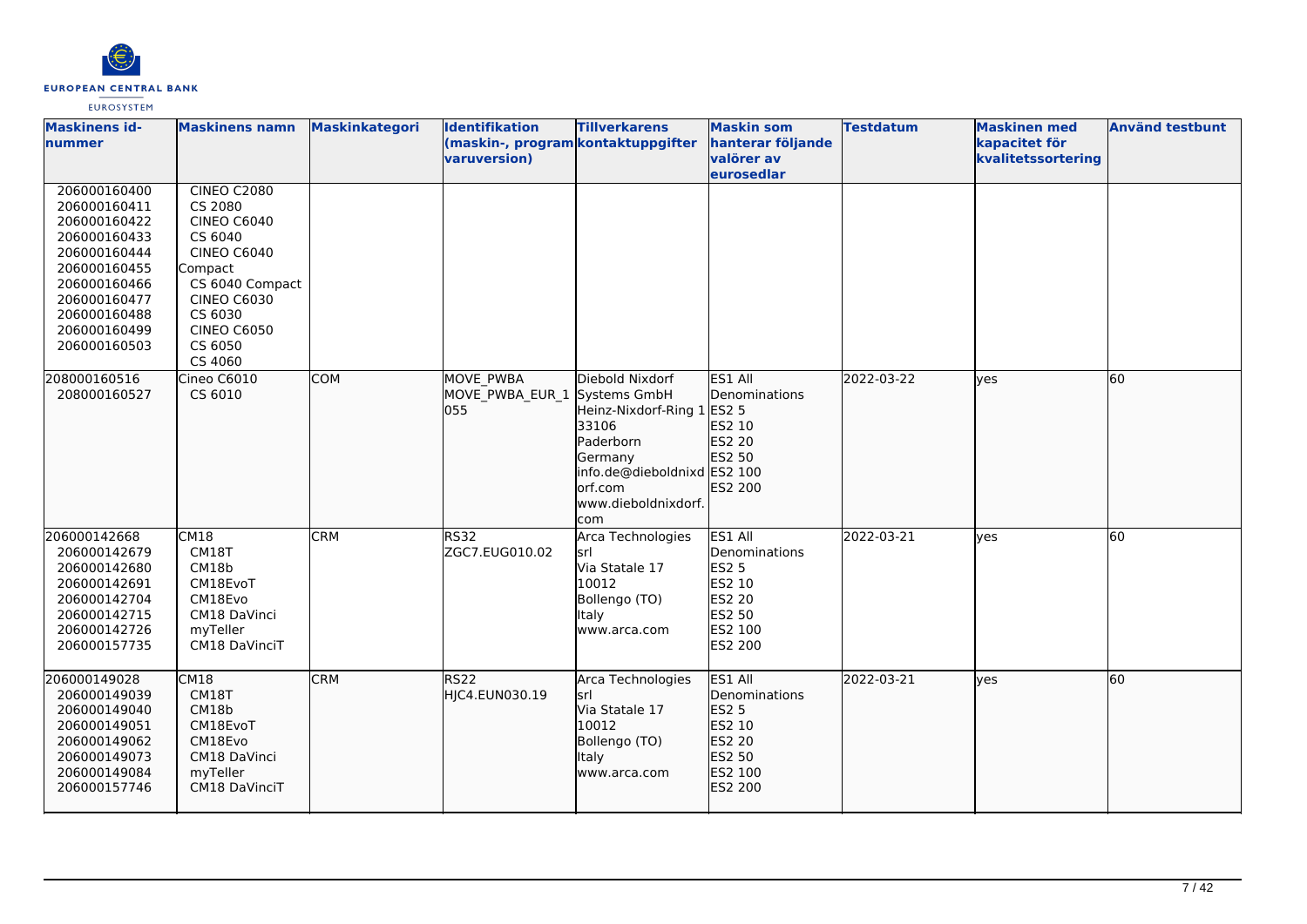

| <b>Maskinens id-</b><br>nummer                                                                                                                                               | <b>Maskinens namn</b>                                                                                                                                                                           | <b>Maskinkategori</b> | <b>Identifikation</b><br>(maskin-, program kontaktuppgifter<br>varuversion) | <b>Tillverkarens</b>                                                                                                                             | <b>Maskin som</b><br>hanterar följande<br>valörer av<br>eurosedlar                                  | <b>Testdatum</b> | <b>Maskinen med</b><br>kapacitet för<br>kvalitetssortering | <b>Använd testbunt</b> |
|------------------------------------------------------------------------------------------------------------------------------------------------------------------------------|-------------------------------------------------------------------------------------------------------------------------------------------------------------------------------------------------|-----------------------|-----------------------------------------------------------------------------|--------------------------------------------------------------------------------------------------------------------------------------------------|-----------------------------------------------------------------------------------------------------|------------------|------------------------------------------------------------|------------------------|
| 206000160400<br>206000160411<br>206000160422<br>206000160433<br>206000160444<br>206000160455<br>206000160466<br>206000160477<br>206000160488<br>206000160499<br>206000160503 | <b>CINEO C2080</b><br>CS 2080<br><b>CINEO C6040</b><br>CS 6040<br><b>CINEO C6040</b><br>Compact<br>CS 6040 Compact<br><b>CINEO C6030</b><br>CS 6030<br><b>CINEO C6050</b><br>CS 6050<br>CS 4060 |                       |                                                                             |                                                                                                                                                  |                                                                                                     |                  |                                                            |                        |
| 208000160516<br>208000160527                                                                                                                                                 | Cineo C6010<br>CS 6010                                                                                                                                                                          | <b>COM</b>            | <b>MOVE PWBA</b><br>MOVE PWBA EUR 1 Systems GmbH<br>055                     | Diebold Nixdorf<br>Heinz-Nixdorf-Ring 1<br>33106<br>Paderborn<br>Germany<br>info.de@dieboldnixd ES2 100<br>orf.com<br>www.dieboldnixdorf.<br>com | ES1 All<br>Denominations<br>ES2 5<br>ES2 10<br>ES2 20<br>ES2 50<br>ES2 200                          | 2022-03-22       | ves                                                        | 60                     |
| 206000142668<br>206000142679<br>206000142680<br>206000142691<br>206000142704<br>206000142715<br>206000142726<br>206000157735                                                 | CM18<br>CM18T<br>CM18b<br>CM18EvoT<br>CM18Evo<br>CM18 DaVinci<br>myTeller<br>CM18 DaVinciT                                                                                                      | <b>CRM</b>            | <b>RS32</b><br>ZGC7.EUG010.02                                               | Arca Technologies<br>lsrl<br>Via Statale 17<br>10012<br>Bollengo (TO)<br>Italy<br>www.arca.com                                                   | ES1 All<br>Denominations<br><b>ES2 5</b><br>ES2 10<br><b>ES2 20</b><br>ES2 50<br>ES2 100<br>ES2 200 | 2022-03-21       | ves                                                        | 60                     |
| 206000149028<br>206000149039<br>206000149040<br>206000149051<br>206000149062<br>206000149073<br>206000149084<br>206000157746                                                 | CM18<br>CM18T<br>CM18b<br>CM18EvoT<br>CM18Evo<br>CM18 DaVinci<br>myTeller<br>CM18 DaVinciT                                                                                                      | <b>CRM</b>            | RS22<br>HJC4.EUN030.19                                                      | Arca Technologies<br>srl<br>Via Statale 17<br>10012<br>Bollengo (TO)<br>Italy<br>www.arca.com                                                    | ES1 All<br>Denominations<br><b>ES2 5</b><br>ES2 10<br>ES2 20<br>ES2 50<br>ES2 100<br>ES2 200        | 2022-03-21       | lyes                                                       | 60                     |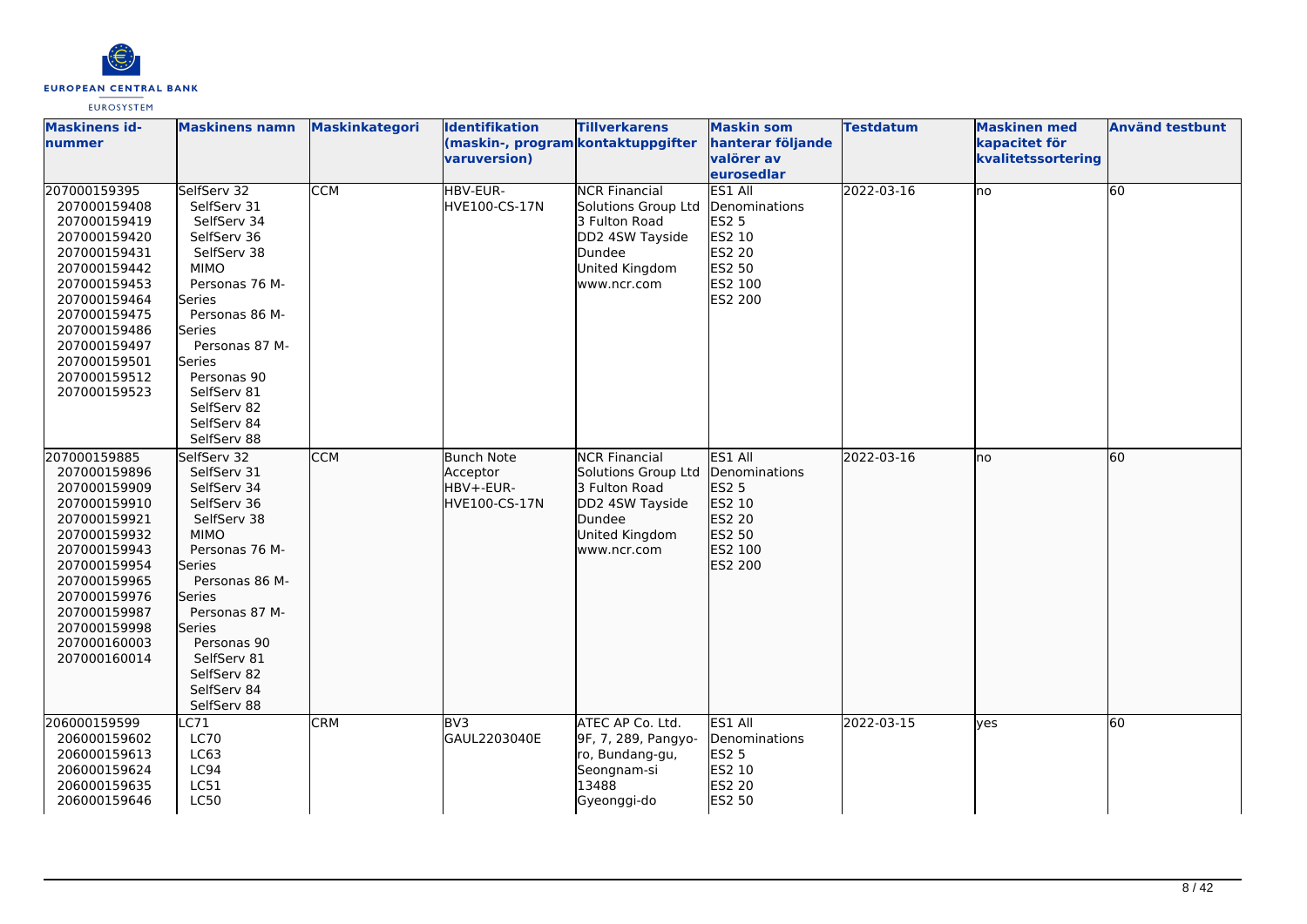

| <b>Maskinens id-</b><br>nummer                                                                                                                                                                                               | <b>Maskinens namn</b>                                                                                                                                                                                                                                               | Maskinkategori | <b>Identifikation</b><br>(maskin-, program kontaktuppgifter<br>varuversion) | <b>Tillverkarens</b>                                                                                                       | <b>Maskin som</b><br>hanterar följande<br>valörer av<br>eurosedlar                                         | <b>Testdatum</b> | <b>Maskinen med</b><br>kapacitet för<br>kvalitetssortering | <b>Använd testbunt</b> |
|------------------------------------------------------------------------------------------------------------------------------------------------------------------------------------------------------------------------------|---------------------------------------------------------------------------------------------------------------------------------------------------------------------------------------------------------------------------------------------------------------------|----------------|-----------------------------------------------------------------------------|----------------------------------------------------------------------------------------------------------------------------|------------------------------------------------------------------------------------------------------------|------------------|------------------------------------------------------------|------------------------|
| 207000159395<br>207000159408<br>207000159419<br>207000159420<br>207000159431<br>207000159442<br>207000159453<br>207000159464<br>207000159475<br>207000159486<br>207000159497<br>207000159501<br>207000159512<br>207000159523 | SelfServ 32<br>SelfServ 31<br>SelfServ 34<br>SelfServ 36<br>SelfServ 38<br><b>MIMO</b><br>Personas 76 M-<br>lSeries<br>Personas 86 M-<br>Series<br>Personas 87 M-<br>Series<br>Personas 90<br>SelfServ 81<br>SelfServ 82<br>SelfServ 84<br>SelfServ 88              | <b>CCM</b>     | HBV-EUR-<br>HVE100-CS-17N                                                   | <b>NCR Financial</b><br>Solutions Group Ltd<br>3 Fulton Road<br>DD2 4SW Tayside<br>Dundee<br>United Kingdom<br>www.ncr.com | ES1 All<br>Denominations<br><b>ES2 5</b><br>ES2 10<br><b>ES2 20</b><br><b>ES2 50</b><br>ES2 100<br>ES2 200 | 2022-03-16       | no                                                         | 60                     |
| 207000159885<br>207000159896<br>207000159909<br>207000159910<br>207000159921<br>207000159932<br>207000159943<br>207000159954<br>207000159965<br>207000159976<br>207000159987<br>207000159998<br>207000160003<br>207000160014 | SelfServ 32<br>SelfServ 31<br>SelfServ 34<br>SelfServ 36<br>SelfServ 38<br><b>MIMO</b><br>Personas 76 M-<br>Series<br>Personas 86 M-<br><b>Series</b><br>Personas 87 M-<br><b>Series</b><br>Personas 90<br>SelfServ 81<br>SelfServ 82<br>SelfServ 84<br>SelfServ 88 | <b>CCM</b>     | <b>Bunch Note</b><br>Acceptor<br>HBV+-EUR-<br>HVE100-CS-17N                 | <b>NCR Financial</b><br>Solutions Group Ltd<br>3 Fulton Road<br>DD2 4SW Tayside<br>Dundee<br>United Kingdom<br>www.ncr.com | ES1 All<br>Denominations<br><b>ES2 5</b><br>ES2 10<br>ES2 20<br>ES2 50<br>ES2 100<br>ES2 200               | 2022-03-16       | Ino                                                        | 60                     |
| 206000159599<br>206000159602<br>206000159613<br>206000159624<br>206000159635<br>206000159646                                                                                                                                 | $L$ C71<br><b>LC70</b><br>LC63<br>LC94<br>LC51<br><b>LC50</b>                                                                                                                                                                                                       | <b>CRM</b>     | BV3<br>GAUL2203040E                                                         | ATEC AP Co. Ltd.<br>9F, 7, 289, Pangyo-<br>ro, Bundang-gu,<br>Seongnam-si<br>13488<br>Gyeonggi-do                          | ES1 All<br>Denominations<br><b>ES2 5</b><br>ES2 10<br><b>ES2 20</b><br>ES2 50                              | 2022-03-15       | lyes                                                       | 60                     |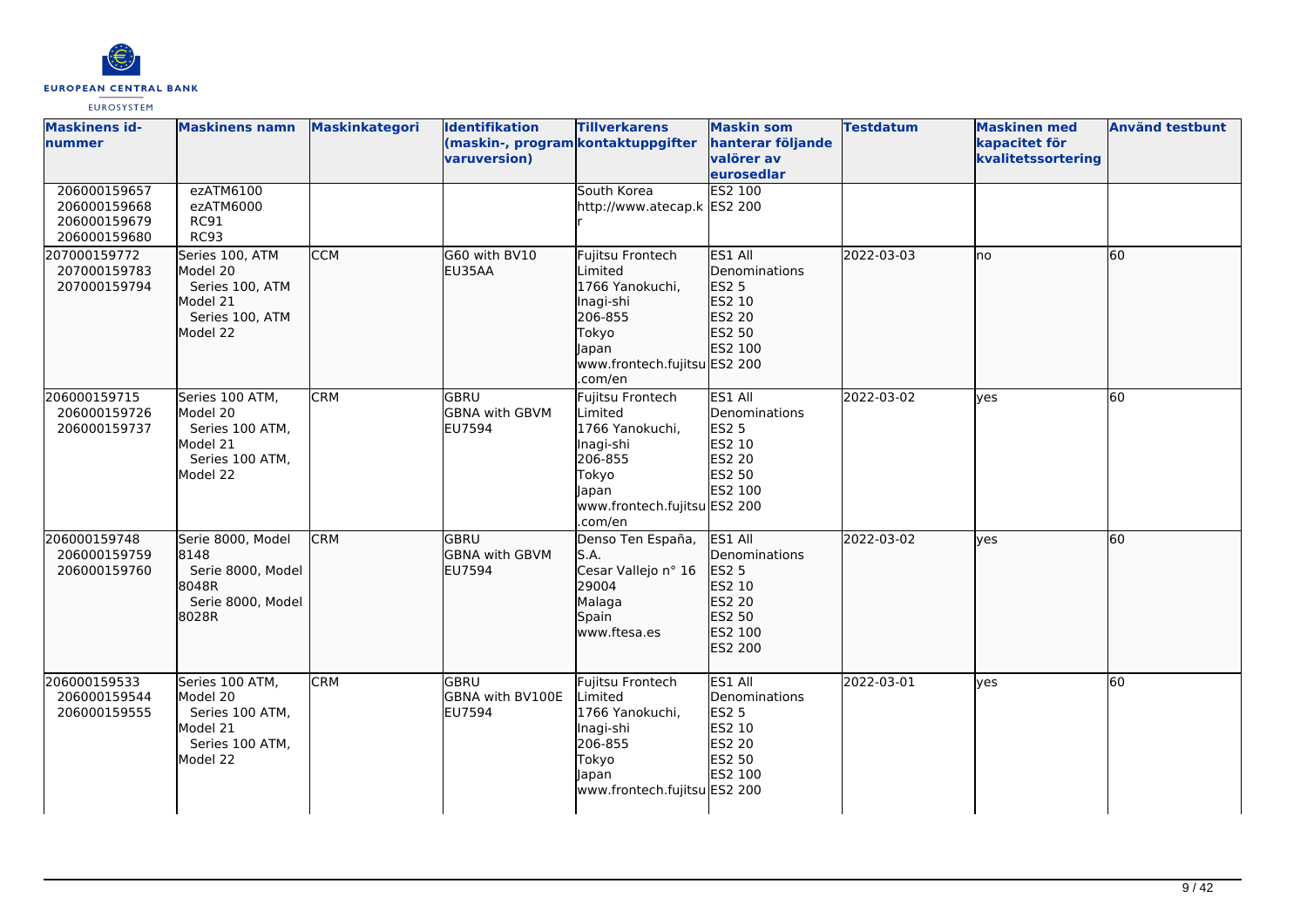

| <b>Maskinens id-</b><br>nummer                               | <b>Maskinens namn</b>                                                                     | Maskinkategori | <b>Identifikation</b><br>(maskin-, program kontaktuppgifter<br>varuversion) | <b>Tillverkarens</b>                                                                                                                | <b>Maskin som</b><br>hanterar följande<br>valörer av<br>eurosedlar                           | <b>Testdatum</b> | <b>Maskinen</b> med<br>kapacitet för<br>kvalitetssortering | <b>Använd testbunt</b> |
|--------------------------------------------------------------|-------------------------------------------------------------------------------------------|----------------|-----------------------------------------------------------------------------|-------------------------------------------------------------------------------------------------------------------------------------|----------------------------------------------------------------------------------------------|------------------|------------------------------------------------------------|------------------------|
| 206000159657<br>206000159668<br>206000159679<br>206000159680 | ezATM6100<br>ezATM6000<br><b>RC91</b><br><b>RC93</b>                                      |                |                                                                             | South Korea<br>http://www.atecap.k ES2 200                                                                                          | ES2 100                                                                                      |                  |                                                            |                        |
| 207000159772<br>207000159783<br>207000159794                 | Series 100, ATM<br>Model 20<br>Series 100, ATM<br>Model 21<br>Series 100, ATM<br>Model 22 | <b>CCM</b>     | G60 with BV10<br>EU35AA                                                     | Fujitsu Frontech<br>Limited<br>1766 Yanokuchi,<br>Inagi-shi<br>206-855<br>Tokyo<br>Japan<br>www.frontech.fujitsu ES2 200<br>.com/en | ES1 All<br>Denominations<br>ES2 5<br>ES2 10<br>ES2 20<br>ES2 50<br>ES2 100                   | 2022-03-03       | Ino                                                        | 60                     |
| 206000159715<br>206000159726<br>206000159737                 | Series 100 ATM,<br>Model 20<br>Series 100 ATM,<br>Model 21<br>Series 100 ATM,<br>Model 22 | <b>CRM</b>     | <b>GBRU</b><br><b>GBNA with GBVM</b><br>EU7594                              | Fujitsu Frontech<br>Limited<br>1766 Yanokuchi,<br>Inagi-shi<br>206-855<br>Tokyo<br>Japan<br>www.frontech.fujitsu ES2 200<br>.com/en | ES1 All<br>Denominations<br><b>ES2 5</b><br>ES2 10<br><b>ES2 20</b><br>ES2 50<br>ES2 100     | 2022-03-02       | ves                                                        | 60                     |
| 206000159748<br>206000159759<br>206000159760                 | Serie 8000, Model<br>8148<br>Serie 8000, Model<br>8048R<br>Serie 8000, Model<br>8028R     | <b>CRM</b>     | <b>GBRU</b><br>GBNA with GBVM<br>EU7594                                     | Denso Ten España,<br>S.A.<br>Cesar Vallejo nº 16<br>29004<br>Malaga<br>Spain<br>www.ftesa.es                                        | ES1 All<br>Denominations<br><b>ES2 5</b><br>ES2 10<br>ES2 20<br>ES2 50<br>ES2 100<br>ES2 200 | 2022-03-02       | lves                                                       | 60                     |
| 206000159533<br>206000159544<br>206000159555                 | Series 100 ATM,<br>Model 20<br>Series 100 ATM,<br>Model 21<br>Series 100 ATM,<br>Model 22 | <b>CRM</b>     | GBRU<br>GBNA with BV100E<br>EU7594                                          | Fujitsu Frontech<br>Limited<br>1766 Yanokuchi,<br>Inagi-shi<br>206-855<br>Tokyo<br>Japan<br>www.frontech.fujitsu ES2 200            | ES1 All<br>Denominations<br><b>ES2 5</b><br>ES2 10<br>ES2 20<br>ES2 50<br>ES2 100            | 2022-03-01       | lyes                                                       | 60                     |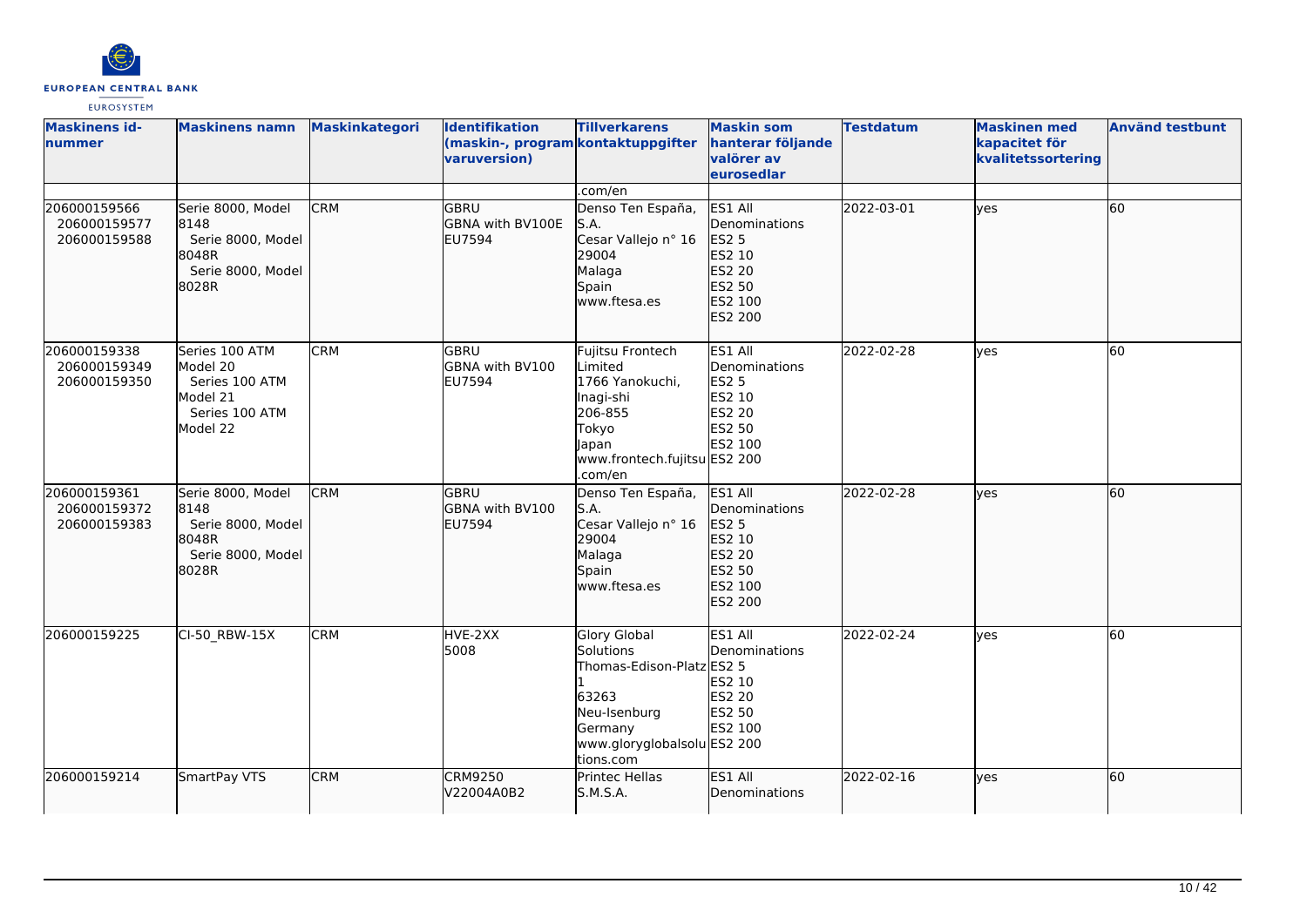

| <b>Maskinens id-</b><br>nummer               | <b>Maskinens namn</b>                                                                  | <b>Maskinkategori</b> | <b>Identifikation</b><br>varuversion)           | <b>Tillverkarens</b><br>(maskin-, program kontaktuppgifter                                                                                    | <b>Maskin som</b><br>hanterar följande<br>valörer av<br>eurosedlar                           | <b>Testdatum</b> | <b>Maskinen med</b><br>kapacitet för<br>kvalitetssortering | <b>Använd testbunt</b> |
|----------------------------------------------|----------------------------------------------------------------------------------------|-----------------------|-------------------------------------------------|-----------------------------------------------------------------------------------------------------------------------------------------------|----------------------------------------------------------------------------------------------|------------------|------------------------------------------------------------|------------------------|
|                                              |                                                                                        |                       |                                                 | .com/en                                                                                                                                       |                                                                                              |                  |                                                            |                        |
| 206000159566<br>206000159577<br>206000159588 | Serie 8000, Model<br>8148<br>Serie 8000, Model<br>8048R<br>Serie 8000, Model<br>8028R  | <b>CRM</b>            | GBRU<br>GBNA with BV100E<br>EU7594              | Denso Ten España,<br>S.A.<br>Cesar Vallejo nº 16<br>29004<br>Malaga<br>Spain<br>www.ftesa.es                                                  | ES1 All<br>Denominations<br>ES2 5<br>ES2 10<br>ES2 20<br>ES2 50<br>ES2 100<br>ES2 200        | 2022-03-01       | lyes                                                       | 60                     |
| 206000159338<br>206000159349<br>206000159350 | Series 100 ATM<br>Model 20<br>Series 100 ATM<br>Model 21<br>Series 100 ATM<br>Model 22 | <b>CRM</b>            | <b>GBRU</b><br>GBNA with BV100<br><b>EU7594</b> | Fujitsu Frontech<br>Limited<br>1766 Yanokuchi,<br>Inagi-shi<br>206-855<br>Tokyo<br>Japan<br>www.frontech.fujitsu ES2 200<br>.com/en           | ES1 All<br>Denominations<br><b>ES2 5</b><br>ES2 10<br>ES2 20<br>ES2 50<br>ES2 100            | 2022-02-28       | ves                                                        | 60                     |
| 206000159361<br>206000159372<br>206000159383 | Serie 8000, Model<br>8148<br>Serie 8000, Model<br>18048R<br>Serie 8000, Model<br>8028R | <b>CRM</b>            | <b>GBRU</b><br>GBNA with BV100<br>EU7594        | Denso Ten España,<br>S.A.<br>Cesar Vallejo nº 16<br>29004<br>Malaga<br>Spain<br>www.ftesa.es                                                  | ES1 All<br>Denominations<br><b>ES2 5</b><br>ES2 10<br>ES2 20<br>ES2 50<br>ES2 100<br>ES2 200 | 2022-02-28       | lyes                                                       | 60                     |
| 206000159225                                 | CI-50_RBW-15X                                                                          | <b>CRM</b>            | HVE-2XX<br>5008                                 | <b>Glory Global</b><br>Solutions<br>Thomas-Edison-Platz ES2 5<br>63263<br>Neu-Isenburg<br>Germany<br>www.gloryglobalsolu ES2 200<br>tions.com | ES1 All<br>Denominations<br>ES2 10<br>ES2 20<br>ES2 50<br>ES2 100                            | 2022-02-24       | yes                                                        | 60                     |
| 206000159214                                 | SmartPay VTS                                                                           | <b>CRM</b>            | <b>CRM9250</b><br>V22004A0B2                    | Printec Hellas<br>S.M.S.A.                                                                                                                    | ES1 All<br>Denominations                                                                     | 2022-02-16       | lyes                                                       | 60                     |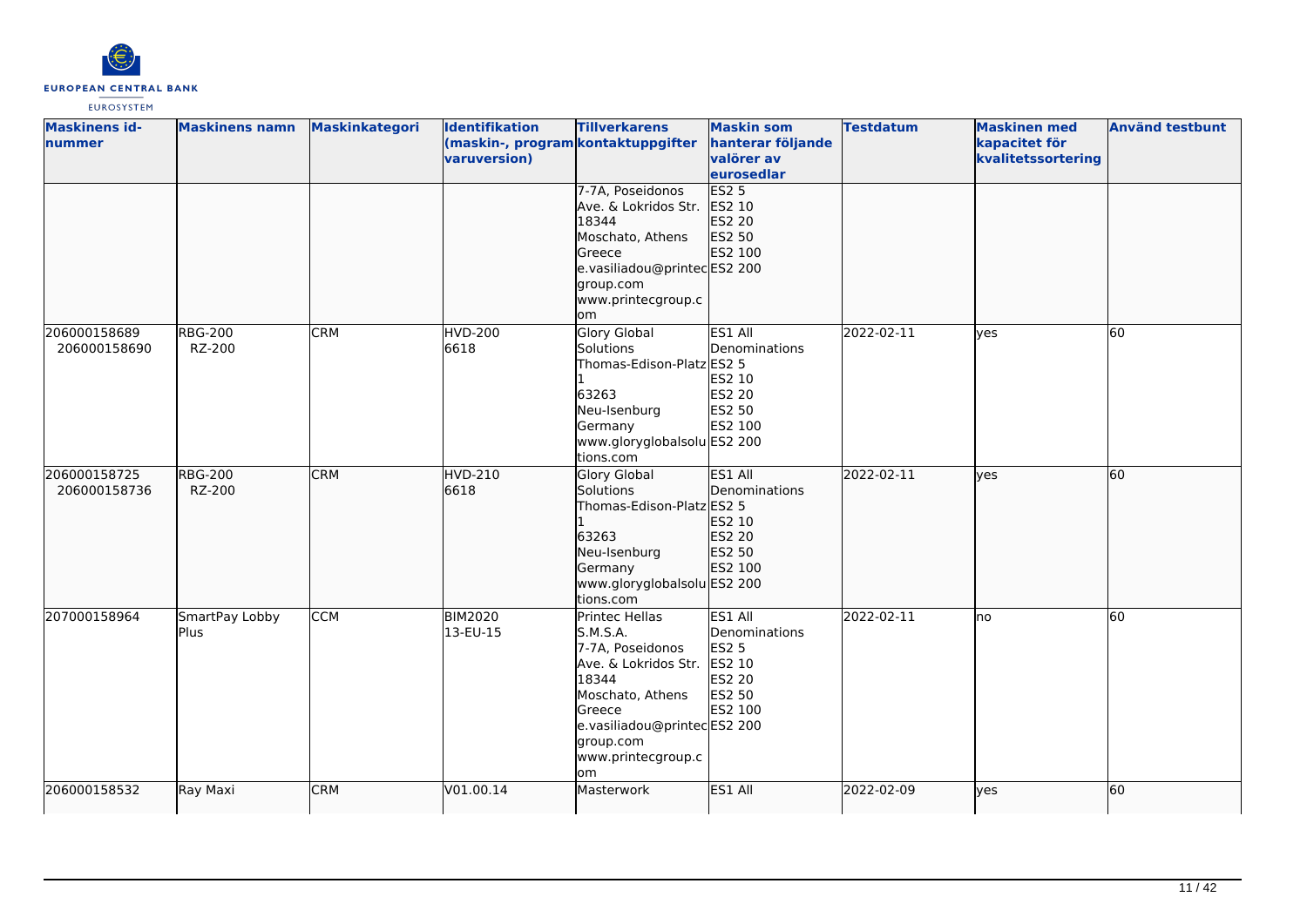

| <b>Maskinens id-</b><br>nummer | <b>Maskinens namn</b>    | Maskinkategori | <b>Identifikation</b><br>(maskin-, program kontaktuppgifter | <b>Tillverkarens</b>                                                                                                                                                                         | <b>Maskin som</b><br>hanterar följande                                                   | <b>Testdatum</b> | <b>Maskinen med</b><br>kapacitet för | <b>Använd testbunt</b> |
|--------------------------------|--------------------------|----------------|-------------------------------------------------------------|----------------------------------------------------------------------------------------------------------------------------------------------------------------------------------------------|------------------------------------------------------------------------------------------|------------------|--------------------------------------|------------------------|
|                                |                          |                | varuversion)                                                |                                                                                                                                                                                              | valörer av<br>eurosedlar                                                                 |                  | kvalitetssortering                   |                        |
| 206000158689<br>206000158690   | <b>RBG-200</b><br>RZ-200 | <b>CRM</b>     | <b>HVD-200</b><br>6618                                      | 7-7A, Poseidonos<br>Ave. & Lokridos Str.<br>18344<br>Moschato, Athens<br>Greece<br>e.vasiliadou@printecES2 200<br>group.com<br>www.printecgroup.c<br>om<br>Glory Global<br>Solutions         | ES2 <sub>5</sub><br>ES2 10<br>ES2 20<br>ES2 50<br>ES2 100<br>ES1 All<br>Denominations    | 2022-02-11       | ves                                  | 60                     |
|                                |                          |                |                                                             | Thomas-Edison-Platz ES2 5<br>63263<br>Neu-Isenburg<br>Germany<br>www.gloryglobalsolu ES2 200<br>tions.com                                                                                    | ES2 10<br><b>ES2 20</b><br>ES2 50<br>ES2 100                                             |                  |                                      |                        |
| 206000158725<br>206000158736   | <b>RBG-200</b><br>RZ-200 | <b>CRM</b>     | HVD-210<br>6618                                             | Glory Global<br>Solutions<br>Thomas-Edison-Platz ES2 5<br>63263<br>Neu-Isenburg<br>Germany<br>www.gloryglobalsolu ES2 200<br>tions.com                                                       | ES1 All<br>Denominations<br>ES2 10<br>ES2 20<br>ES2 50<br>ES2 100                        | 2022-02-11       | <b>ves</b>                           | 60                     |
| 207000158964                   | SmartPay Lobby<br>Plus   | <b>CCM</b>     | <b>BIM2020</b><br>13-EU-15                                  | Printec Hellas<br>S.M.S.A.<br>7-7A, Poseidonos<br>Ave. & Lokridos Str.<br>18344<br>Moschato, Athens<br><b>Greece</b><br>e.vasiliadou@printecES2 200<br>group.com<br>www.printecgroup.c<br>om | ES1 All<br>Denominations<br><b>ES2 5</b><br>ES2 10<br><b>ES2 20</b><br>ES2 50<br>ES2 100 | 2022-02-11       | no                                   | 60                     |
| 206000158532                   | Ray Maxi                 | <b>CRM</b>     | V01.00.14                                                   | Masterwork                                                                                                                                                                                   | ES1 All                                                                                  | 2022-02-09       | yes                                  | 60                     |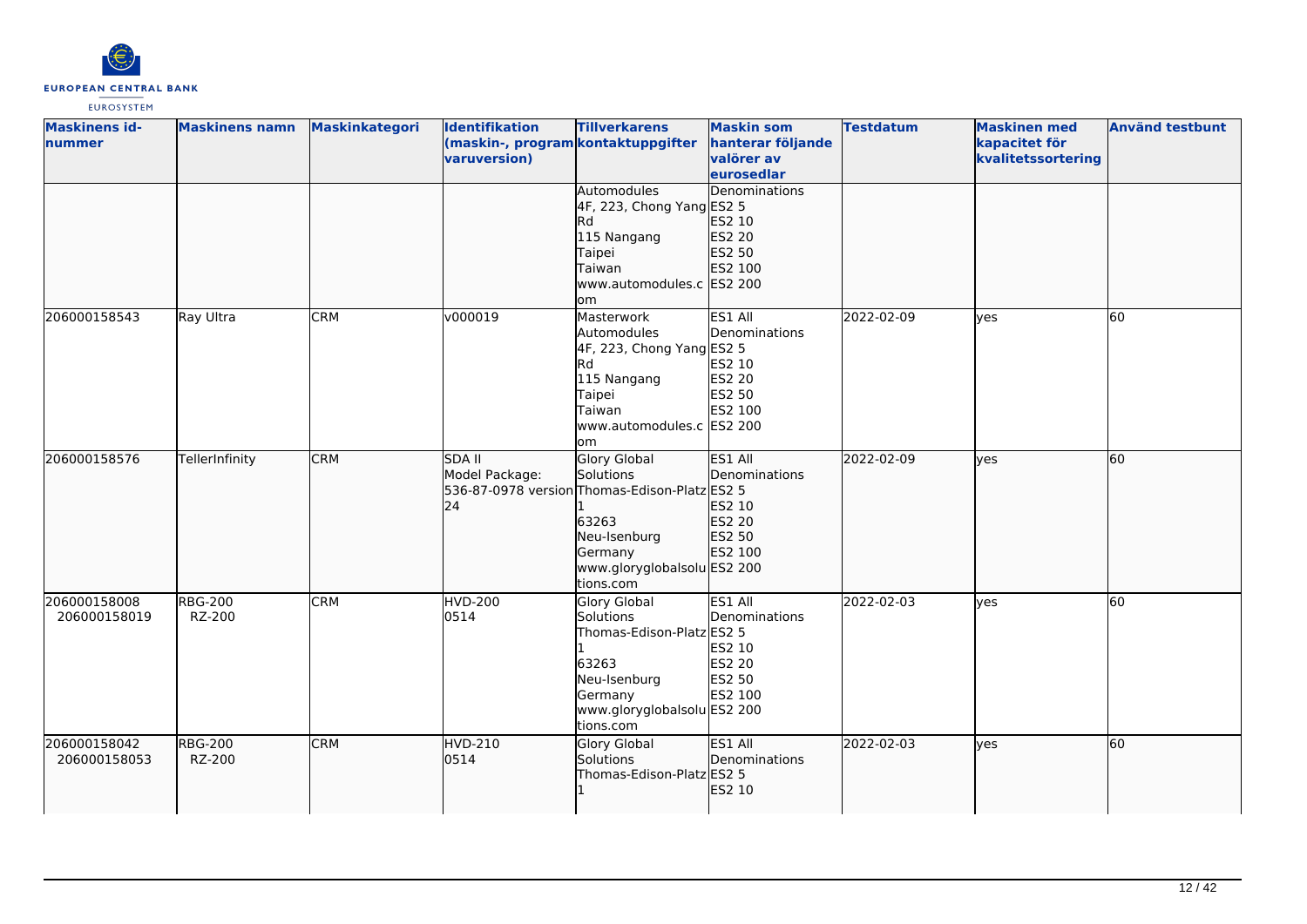

| <b>Maskinens id-</b><br>nummer | <b>Maskinens namn</b>    | Maskinkategori | Identifikation<br>(maskin-, program kontaktuppgifter<br>varuversion) | <b>Tillverkarens</b>                                                                                                                                              | <b>Maskin som</b><br>hanterar följande<br>valörer av<br>eurosedlar       | <b>Testdatum</b> | <b>Maskinen med</b><br>kapacitet för<br>kvalitetssortering | <b>Använd testbunt</b> |
|--------------------------------|--------------------------|----------------|----------------------------------------------------------------------|-------------------------------------------------------------------------------------------------------------------------------------------------------------------|--------------------------------------------------------------------------|------------------|------------------------------------------------------------|------------------------|
|                                |                          |                |                                                                      | Automodules<br>4F, 223, Chong Yang ES2 5<br>lRd<br>115 Nangang<br>Taipei<br>Taiwan<br>www.automodules.c ES2 200<br>om                                             | Denominations<br>ES2 10<br>ES2 20<br>ES2 50<br>ES2 100                   |                  |                                                            |                        |
| 206000158543                   | Ray Ultra                | <b>CRM</b>     | v000019                                                              | Masterwork<br>Automodules<br>4F, 223, Chong Yang ES2 5<br>lRd.<br>115 Nangang<br>Taipei<br>Taiwan<br>www.automodules.c ES2 200<br>om                              | ES1 All<br>Denominations<br><b>ES2 10</b><br>ES2 20<br>ES2 50<br>ES2 100 | 2022-02-09       | <b>l</b> ves                                               | 60                     |
| 206000158576                   | TellerInfinity           | <b>CRM</b>     | <b>SDA II</b><br>Model Package:<br>24                                | <b>Glory Global</b><br>Solutions<br>536-87-0978 version Thomas-Edison-Platz ES2 5<br>63263<br>Neu-Isenburg<br>Germany<br>www.gloryglobalsolu ES2 200<br>tions.com | ES1 All<br>Denominations<br>ES2 10<br><b>ES2 20</b><br>ES2 50<br>ES2 100 | 2022-02-09       | lyes                                                       | 60                     |
| 206000158008<br>206000158019   | <b>RBG-200</b><br>RZ-200 | <b>CRM</b>     | HVD-200<br>0514                                                      | Glory Global<br>Solutions<br>Thomas-Edison-Platz ES2 5<br>63263<br>Neu-Isenburg<br>Germany<br>www.gloryglobalsolu ES2 200<br>tions.com                            | ES1 All<br>Denominations<br>ES2 10<br>ES2 20<br>ES2 50<br>ES2 100        | 2022-02-03       | ves                                                        | 60                     |
| 206000158042<br>206000158053   | <b>RBG-200</b><br>RZ-200 | <b>CRM</b>     | HVD-210<br>0514                                                      | Glory Global<br>Solutions<br>Thomas-Edison-Platz ES2 5                                                                                                            | <b>ES1 AII</b><br>Denominations<br>ES2 10                                | 2022-02-03       | lyes                                                       | 60                     |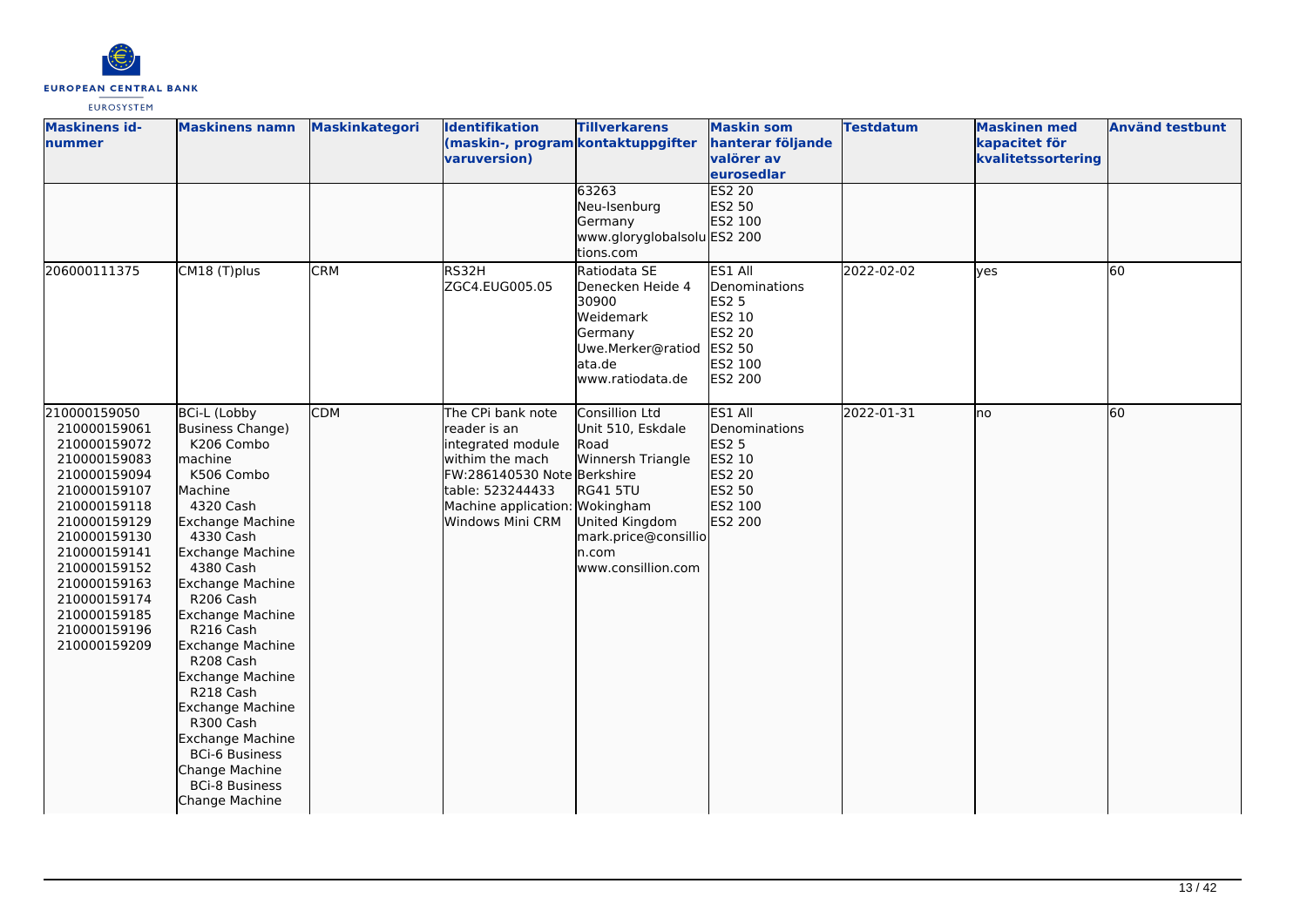

| <b>Maskinens id-</b><br>nummer                                                                                                                                                                                                                               | <b>Maskinens namn</b>                                                                                                                                                                                                                                                                                                                                                                                                                                                               | <b>Maskinkategori</b> | Identifikation<br>(maskin-, program kontaktuppgifter<br>varuversion)                                                                                                               | <b>Tillverkarens</b><br>63263<br>Neu-Isenburg<br>Germany<br>www.gloryglobalsolu ES2 200<br>tions.com                                                         | <b>Maskin som</b><br>hanterar följande<br>valörer av<br>eurosedlar<br><b>ES2 20</b><br>ES2 50<br>ES2 100   | <b>Testdatum</b> | <b>Maskinen med</b><br>kapacitet för<br>kvalitetssortering | <b>Använd testbunt</b> |
|--------------------------------------------------------------------------------------------------------------------------------------------------------------------------------------------------------------------------------------------------------------|-------------------------------------------------------------------------------------------------------------------------------------------------------------------------------------------------------------------------------------------------------------------------------------------------------------------------------------------------------------------------------------------------------------------------------------------------------------------------------------|-----------------------|------------------------------------------------------------------------------------------------------------------------------------------------------------------------------------|--------------------------------------------------------------------------------------------------------------------------------------------------------------|------------------------------------------------------------------------------------------------------------|------------------|------------------------------------------------------------|------------------------|
| 206000111375                                                                                                                                                                                                                                                 | CM18 (T)plus                                                                                                                                                                                                                                                                                                                                                                                                                                                                        | <b>CRM</b>            | RS32H<br>ZGC4.EUG005.05                                                                                                                                                            | Ratiodata SE<br>Denecken Heide 4<br>30900<br>Weidemark<br>Germany<br>Uwe.Merker@ratiod<br>ata.de<br>www.ratiodata.de                                         | ES1 All<br>Denominations<br><b>ES2 5</b><br>ES2 10<br><b>ES2 20</b><br>ES2 50<br>ES2 100<br><b>ES2 200</b> | 2022-02-02       | lyes                                                       | 60                     |
| 210000159050<br>210000159061<br>210000159072<br>210000159083<br>210000159094<br>210000159107<br>210000159118<br>210000159129<br>210000159130<br>210000159141<br>210000159152<br>210000159163<br>210000159174<br>210000159185<br>210000159196<br>210000159209 | <b>BCi-L (Lobby</b><br>Business Change)<br>K206 Combo<br>machine<br>K506 Combo<br>Machine<br>4320 Cash<br><b>Exchange Machine</b><br>4330 Cash<br>Exchange Machine<br>4380 Cash<br>Exchange Machine<br>R206 Cash<br><b>Exchange Machine</b><br>R216 Cash<br>Exchange Machine<br>R208 Cash<br>Exchange Machine<br>R218 Cash<br><b>Exchange Machine</b><br>R300 Cash<br><b>Exchange Machine</b><br><b>BCi-6 Business</b><br>Change Machine<br><b>BCi-8 Business</b><br>Change Machine | <b>CDM</b>            | The CPi bank note<br>reader is an<br>integrated module<br>withim the mach<br>FW:286140530 Note Berkshire<br>table: 523244433<br>Machine application: Wokingham<br>Windows Mini CRM | Consillion Ltd<br>Unit 510, Eskdale<br>Road<br>Winnersh Triangle<br><b>RG41 5TU</b><br>United Kingdom<br>mark.price@consillio<br>n.com<br>www.consillion.com | ES1 All<br>Denominations<br><b>ES2 5</b><br>ES2 10<br>ES2 20<br>ES2 50<br>ES2 100<br>ES2 200               | 2022-01-31       | Ino                                                        | 60                     |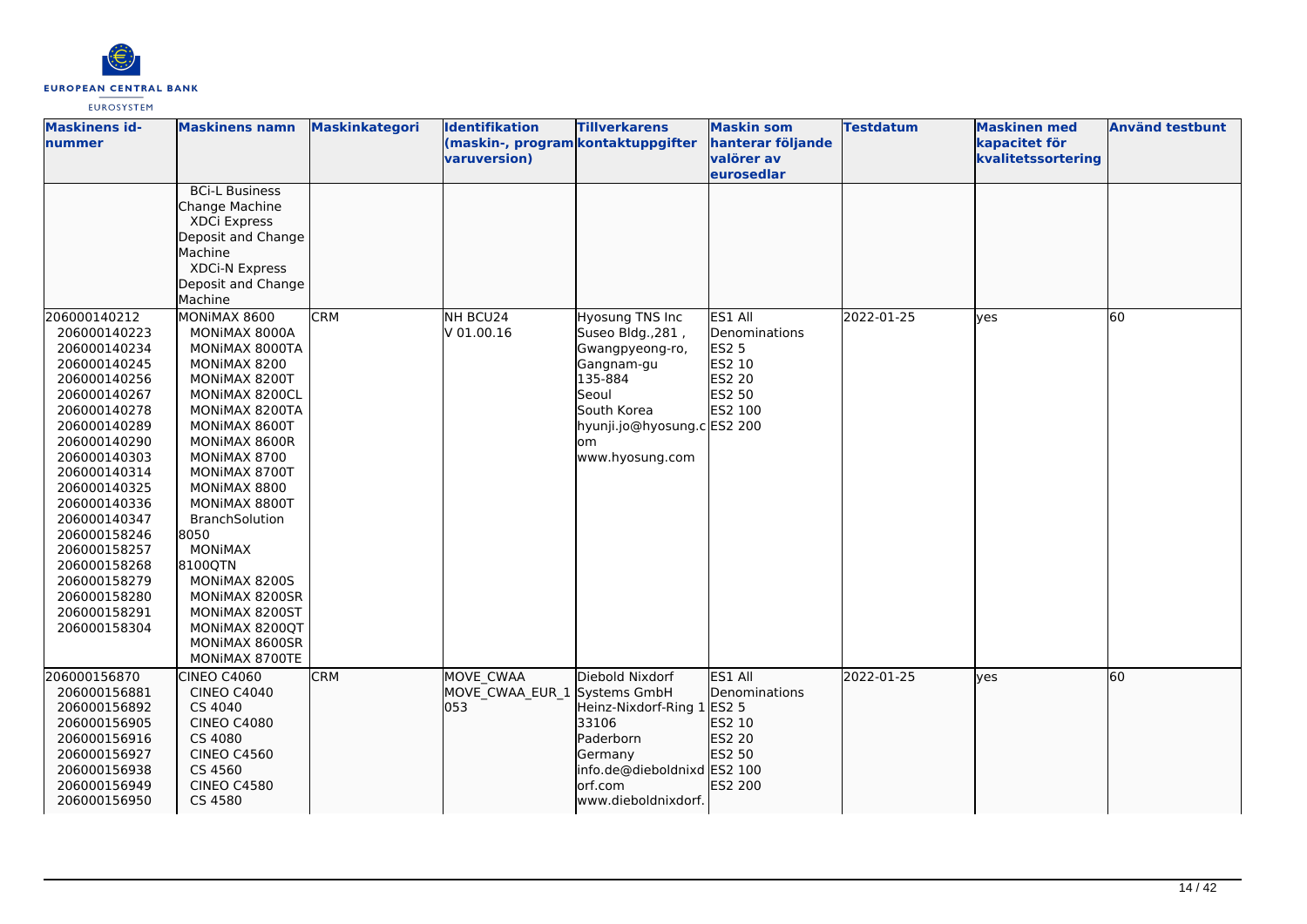

| <b>Maskinens id-</b><br><b>Inummer</b>                                                                                                                                                                                                                                                                                                       | <b>Maskinens namn</b>                                                                                                                                                                                                                                                                                                                                                                             | <b>Maskinkategori</b> | <b>Identifikation</b><br>(maskin-, program kontaktuppgifter<br>varuversion) | <b>Tillverkarens</b>                                                                                                                                              | <b>Maskin som</b><br>hanterar följande<br>valörer av<br><u>leurosedlar</u>               | <b>Testdatum</b> | <b>Maskinen med</b><br>kapacitet för<br>kvalitetssortering | <b>Använd testbunt</b> |
|----------------------------------------------------------------------------------------------------------------------------------------------------------------------------------------------------------------------------------------------------------------------------------------------------------------------------------------------|---------------------------------------------------------------------------------------------------------------------------------------------------------------------------------------------------------------------------------------------------------------------------------------------------------------------------------------------------------------------------------------------------|-----------------------|-----------------------------------------------------------------------------|-------------------------------------------------------------------------------------------------------------------------------------------------------------------|------------------------------------------------------------------------------------------|------------------|------------------------------------------------------------|------------------------|
|                                                                                                                                                                                                                                                                                                                                              | <b>BCi-L Business</b><br>Change Machine<br>XDCi Express<br>Deposit and Change<br>Machine<br><b>XDCi-N Express</b><br>Deposit and Change<br>Machine                                                                                                                                                                                                                                                |                       |                                                                             |                                                                                                                                                                   |                                                                                          |                  |                                                            |                        |
| 206000140212<br>206000140223<br>206000140234<br>206000140245<br>206000140256<br>206000140267<br>206000140278<br>206000140289<br>206000140290<br>206000140303<br>206000140314<br>206000140325<br>206000140336<br>206000140347<br>206000158246<br>206000158257<br>206000158268<br>206000158279<br>206000158280<br>206000158291<br>206000158304 | MONIMAX 8600<br>MONIMAX 8000A<br>MONIMAX 8000TA<br>MONIMAX 8200<br>MONIMAX 8200T<br>MONIMAX 8200CL<br>MONIMAX 8200TA<br>MONIMAX 8600T<br>MONIMAX 8600R<br>MONIMAX 8700<br>MONIMAX 8700T<br>MONIMAX 8800<br>MONIMAX 8800T<br><b>BranchSolution</b><br>8050<br><b>MONIMAX</b><br>8100QTN<br>MONIMAX 8200S<br>MONIMAX 8200SR<br>MONIMAX 8200ST<br>MONIMAX 8200QT<br>MONIMAX 8600SR<br>MONIMAX 8700TE | <b>CRM</b>            | NH BCU24<br>$V$ 01.00.16                                                    | Hyosung TNS Inc<br>Suseo Bldg., 281,<br>Gwangpyeong-ro,<br>Gangnam-gu<br>135-884<br>Seoul<br>South Korea<br>hyunji.jo@hyosung.c ES2 200<br>lom<br>www.hyosung.com | ES1 All<br>Denominations<br><b>ES2 5</b><br><b>ES2 10</b><br>ES2 20<br>ES2 50<br>ES2 100 | 2022-01-25       | yes                                                        | 60                     |
| 206000156870<br>206000156881<br>206000156892<br>206000156905<br>206000156916<br>206000156927<br>206000156938<br>206000156949<br>206000156950                                                                                                                                                                                                 | <b>CINEO C4060</b><br><b>CINEO C4040</b><br>CS 4040<br><b>CINEO C4080</b><br>CS 4080<br><b>CINEO C4560</b><br>CS 4560<br><b>CINEO C4580</b><br>CS 4580                                                                                                                                                                                                                                            | <b>CRM</b>            | <b>MOVE CWAA</b><br>MOVE CWAA EUR 1 Systems GmbH<br>053                     | Diebold Nixdorf<br>Heinz-Nixdorf-Ring 1<br>33106<br>Paderborn<br>Germany<br>info.de@dieboldnixd ES2 100<br>orf.com<br>www.dieboldnixdorf.                         | ES1 All<br>Denominations<br>ES2 5<br>ES2 10<br>ES2 20<br>ES2 50<br>ES2 200               | 2022-01-25       | lves                                                       | 60                     |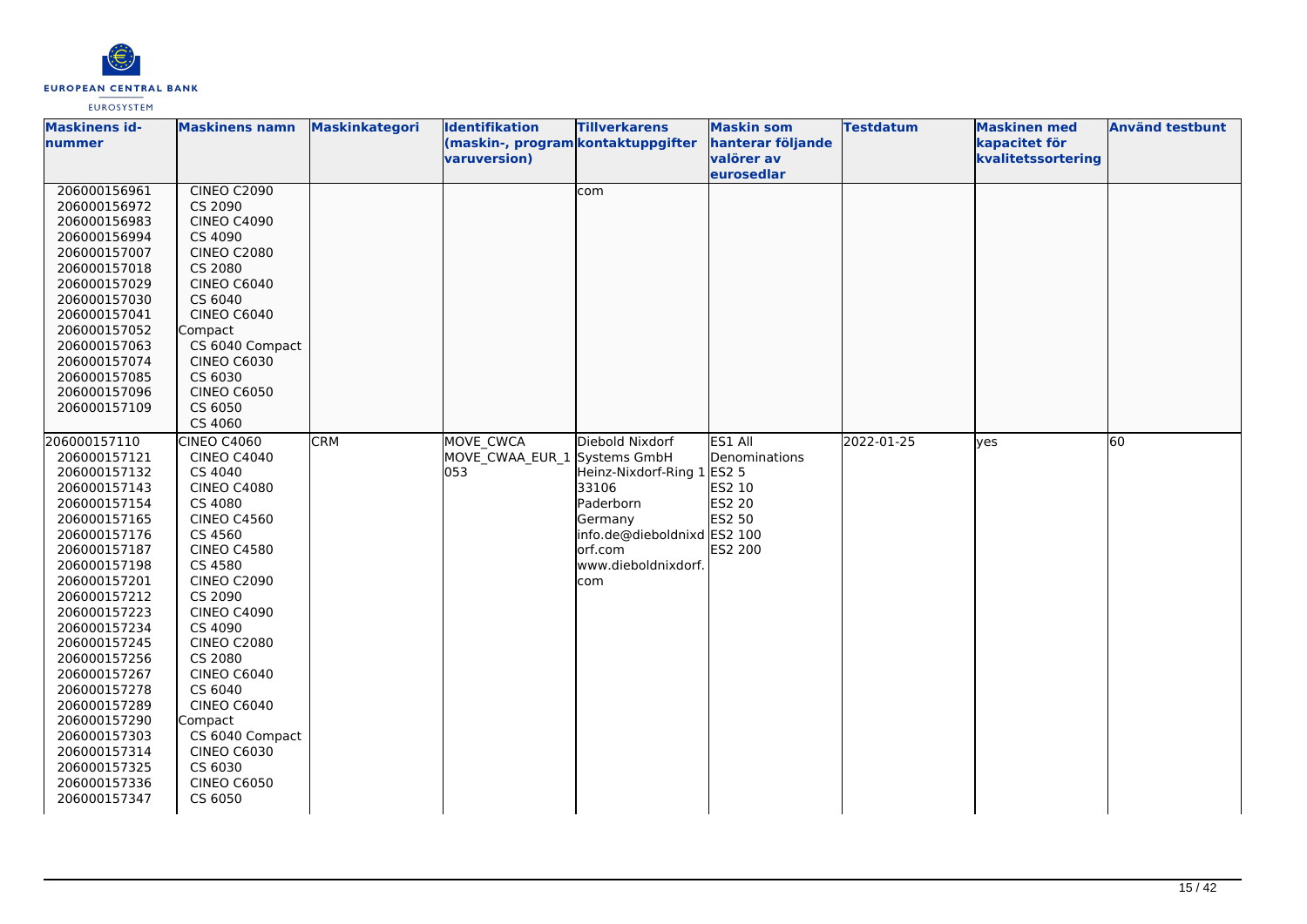

| <b>Maskinens id-</b><br>nummer                                                                                                                                                                                                                                                                                                                                                               | <b>Maskinens namn</b>                                                                                                                                                                                                                                                                                                                                                                                            | Maskinkategori | Identifikation<br>(maskin-, program kontaktuppgifter    | <b>Tillverkarens</b>                                                                                                                             | <b>Maskin som</b><br>hanterar följande                                                   | <b>Testdatum</b> | <b>Maskinen med</b><br>kapacitet för | <b>Använd testbunt</b> |
|----------------------------------------------------------------------------------------------------------------------------------------------------------------------------------------------------------------------------------------------------------------------------------------------------------------------------------------------------------------------------------------------|------------------------------------------------------------------------------------------------------------------------------------------------------------------------------------------------------------------------------------------------------------------------------------------------------------------------------------------------------------------------------------------------------------------|----------------|---------------------------------------------------------|--------------------------------------------------------------------------------------------------------------------------------------------------|------------------------------------------------------------------------------------------|------------------|--------------------------------------|------------------------|
|                                                                                                                                                                                                                                                                                                                                                                                              |                                                                                                                                                                                                                                                                                                                                                                                                                  |                | varuversion)                                            |                                                                                                                                                  | valörer av<br>eurosedlar                                                                 |                  | kvalitetssortering                   |                        |
| 206000156961<br>206000156972<br>206000156983<br>206000156994<br>206000157007<br>206000157018<br>206000157029<br>206000157030<br>206000157041<br>206000157052<br>206000157063<br>206000157074<br>206000157085<br>206000157096<br>206000157109                                                                                                                                                 | <b>CINEO C2090</b><br>CS 2090<br><b>CINEO C4090</b><br>CS 4090<br><b>CINEO C2080</b><br>CS 2080<br><b>CINEO C6040</b><br>CS 6040<br><b>CINEO C6040</b><br>Compact<br>CS 6040 Compact<br><b>CINEO C6030</b><br>CS 6030<br><b>CINEO C6050</b><br>CS 6050                                                                                                                                                           |                |                                                         | com                                                                                                                                              |                                                                                          |                  |                                      |                        |
|                                                                                                                                                                                                                                                                                                                                                                                              | CS 4060                                                                                                                                                                                                                                                                                                                                                                                                          |                |                                                         |                                                                                                                                                  |                                                                                          |                  |                                      |                        |
| 206000157110<br>206000157121<br>206000157132<br>206000157143<br>206000157154<br>206000157165<br>206000157176<br>206000157187<br>206000157198<br>206000157201<br>206000157212<br>206000157223<br>206000157234<br>206000157245<br>206000157256<br>206000157267<br>206000157278<br>206000157289<br>206000157290<br>206000157303<br>206000157314<br>206000157325<br>206000157336<br>206000157347 | <b>CINEO C4060</b><br><b>CINEO C4040</b><br>CS 4040<br><b>CINEO C4080</b><br>CS 4080<br><b>CINEO C4560</b><br>CS 4560<br><b>CINEO C4580</b><br>CS 4580<br><b>CINEO C2090</b><br>CS 2090<br><b>CINEO C4090</b><br>CS 4090<br><b>CINEO C2080</b><br>CS 2080<br><b>CINEO C6040</b><br>CS 6040<br><b>CINEO C6040</b><br>Compact<br>CS 6040 Compact<br><b>CINEO C6030</b><br>CS 6030<br><b>CINEO C6050</b><br>CS 6050 | <b>CRM</b>     | <b>MOVE CWCA</b><br>MOVE CWAA EUR 1 Systems GmbH<br>053 | Diebold Nixdorf<br>Heinz-Nixdorf-Ring 1<br>33106<br>Paderborn<br>Germany<br>info.de@dieboldnixd ES2 100<br>orf.com<br>www.dieboldnixdorf.<br>com | ES1 All<br>Denominations<br><b>ES2 5</b><br>ES2 10<br><b>ES2 20</b><br>ES2 50<br>ES2 200 | 2022-01-25       | <b>ves</b>                           | 60                     |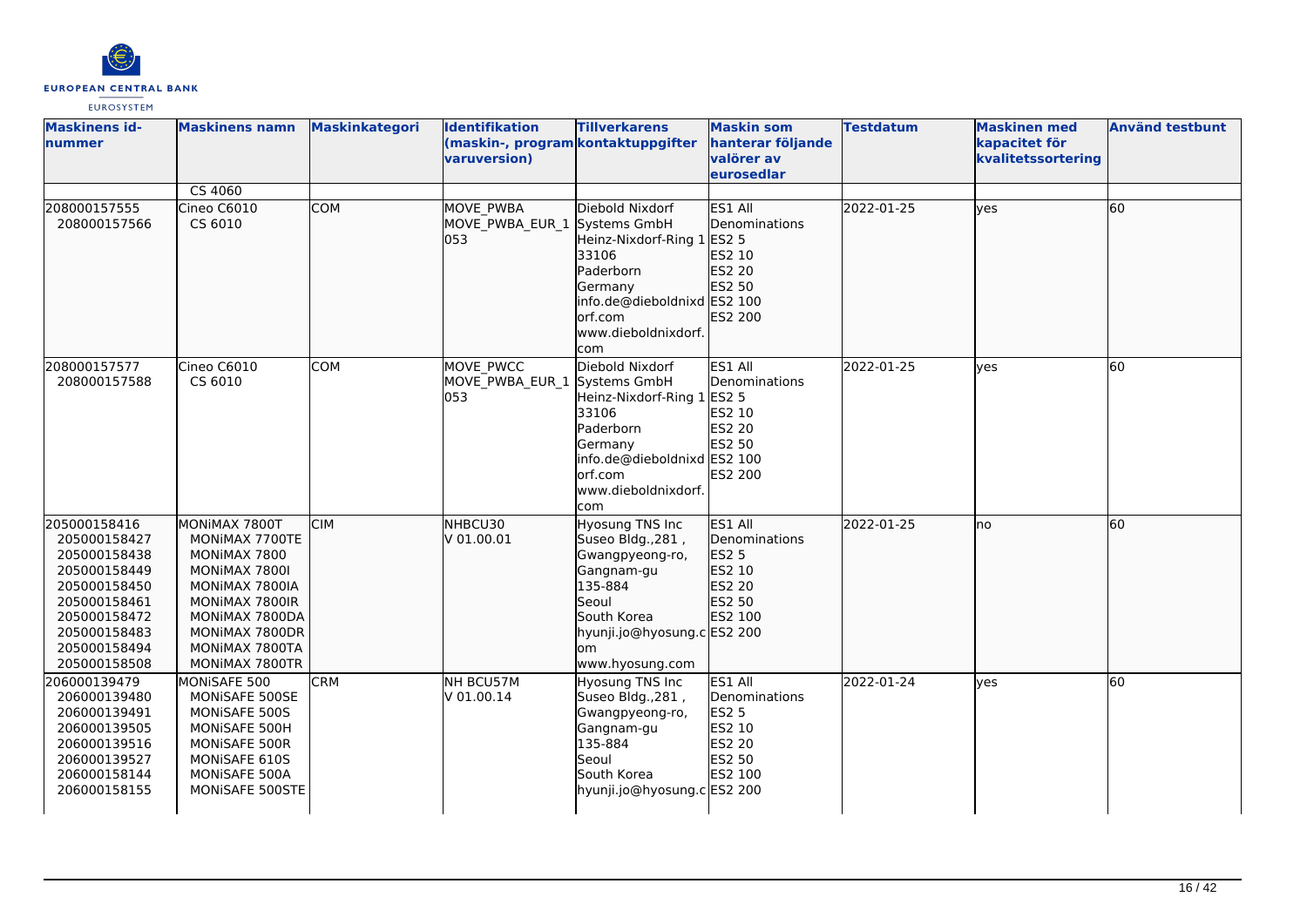

| <b>Maskinens id-</b><br>lnummer                                                                                                                              | <b>Maskinens namn</b>                                                                                                                                                        | <b>Maskinkategori</b> | <b>Identifikation</b><br>(maskin-, program kontaktuppgifter<br>varuversion) | <b>Tillverkarens</b>                                                                                                                                             | <b>Maskin som</b><br>hanterar följande<br>valörer av<br>eurosedlar                       | <b>Testdatum</b> | <b>Maskinen med</b><br>kapacitet för<br>kvalitetssortering | <b>Använd testbunt</b> |
|--------------------------------------------------------------------------------------------------------------------------------------------------------------|------------------------------------------------------------------------------------------------------------------------------------------------------------------------------|-----------------------|-----------------------------------------------------------------------------|------------------------------------------------------------------------------------------------------------------------------------------------------------------|------------------------------------------------------------------------------------------|------------------|------------------------------------------------------------|------------------------|
|                                                                                                                                                              | CS 4060                                                                                                                                                                      |                       |                                                                             |                                                                                                                                                                  |                                                                                          |                  |                                                            |                        |
| 208000157555<br>208000157566                                                                                                                                 | Cineo C6010<br>CS 6010                                                                                                                                                       | <b>COM</b>            | MOVE PWBA<br>MOVE_PWBA_EUR_1 Systems GmbH<br>l053                           | Diebold Nixdorf<br>Heinz-Nixdorf-Ring 1<br>33106<br>Paderborn<br>Germany<br>info.de@dieboldnixd ES2 100<br>orf.com<br>www.dieboldnixdorf.<br>com                 | ES1 All<br>Denominations<br>ES2 5<br>ES2 10<br>ES2 20<br>ES2 50<br>ES2 200               | 2022-01-25       | lves                                                       | 60                     |
| 208000157577<br>208000157588                                                                                                                                 | Cineo C6010<br>CS 6010                                                                                                                                                       | <b>COM</b>            | MOVE PWCC<br>MOVE PWBA EUR 1 Systems GmbH<br>053                            | Diebold Nixdorf<br>Heinz-Nixdorf-Ring 1<br>33106<br>Paderborn<br>Germany<br>info.de@dieboldnixd ES2 100<br>orf.com<br>www.dieboldnixdorf.<br>com                 | ES1 All<br>Denominations<br><b>ES2 5</b><br>ES2 10<br>ES2 20<br>ES2 50<br><b>ES2 200</b> | 2022-01-25       | <b>ves</b>                                                 | 60                     |
| 205000158416<br>205000158427<br>205000158438<br>205000158449<br>205000158450<br>205000158461<br>205000158472<br>205000158483<br>205000158494<br>205000158508 | MONIMAX 7800T<br>MONIMAX 7700TE<br>MONIMAX 7800<br>MONIMAX 7800I<br>MONIMAX 7800IA<br>MONIMAX 7800IR<br>MONIMAX 7800DA<br>MONIMAX 7800DR<br>MONIMAX 7800TA<br>MONIMAX 7800TR | <b>CIM</b>            | NHBCU30<br>V 01.00.01                                                       | Hyosung TNS Inc<br>Suseo Bldg., 281,<br>Gwangpyeong-ro,<br>Gangnam-gu<br>135-884<br>Seoul<br>South Korea<br>hyunji.jo@hyosung.c ES2 200<br>om<br>www.hyosung.com | ES1 All<br>Denominations<br>ES2 5<br>ES2 10<br>ES2 20<br>ES2 50<br>ES2 100               | 2022-01-25       | Ino                                                        | 60                     |
| 206000139479<br>206000139480<br>206000139491<br>206000139505<br>206000139516<br>206000139527<br>206000158144<br>206000158155                                 | MONISAFE 500<br>MONISAFE 500SE<br>MONISAFE 500S<br>MONISAFE 500H<br>MONISAFE 500R<br>MONISAFE 610S<br>MONISAFE 500A<br>MONISAFE 500STE                                       | <b>CRM</b>            | NH BCU57M<br>V 01.00.14                                                     | Hyosung TNS Inc<br>Suseo Bldg., 281,<br>Gwangpyeong-ro,<br>Gangnam-gu<br>135-884<br>Seoul<br>South Korea<br>hyunji.jo@hyosung.c ES2 200                          | ES1 All<br>Denominations<br><b>ES2 5</b><br>ES2 10<br><b>ES2 20</b><br>ES2 50<br>ES2 100 | 2022-01-24       | <b>l</b> ves                                               | 60                     |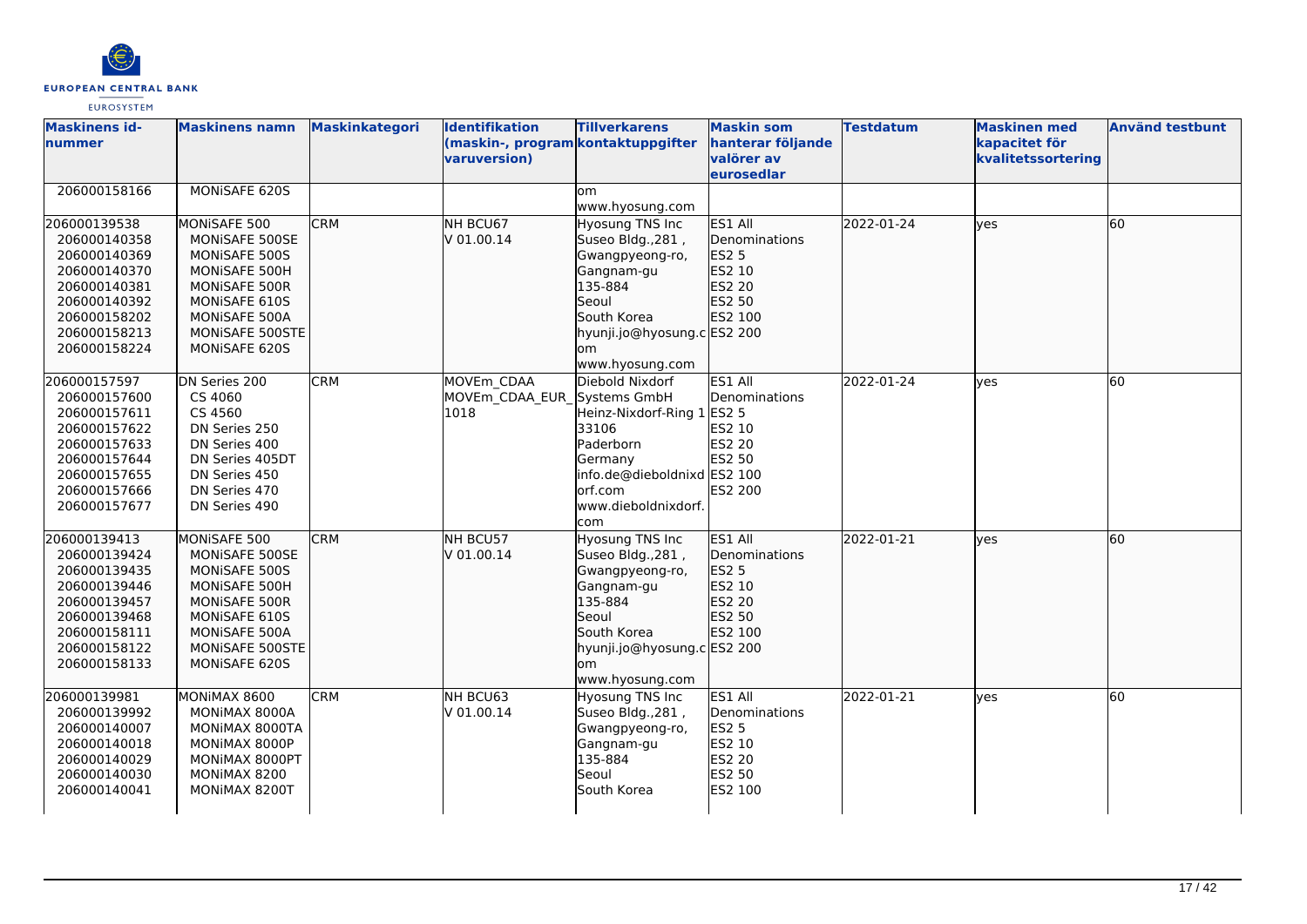

| <b>Maskinens id-</b><br>Inummer                                                                                                              | <b>Maskinens namn</b>                                                                                                                                          | Maskinkategori | <b>Identifikation</b><br>(maskin-, program kontaktuppgifter<br>varuversion) | <b>Tillverkarens</b>                                                                                                                                                           | <b>Maskin som</b><br>hanterar följande<br>valörer av<br>eurosedlar                       | <b>Testdatum</b> | <b>Maskinen med</b><br>kapacitet för<br>kvalitetssortering | <b>Använd testbunt</b> |
|----------------------------------------------------------------------------------------------------------------------------------------------|----------------------------------------------------------------------------------------------------------------------------------------------------------------|----------------|-----------------------------------------------------------------------------|--------------------------------------------------------------------------------------------------------------------------------------------------------------------------------|------------------------------------------------------------------------------------------|------------------|------------------------------------------------------------|------------------------|
| 206000158166                                                                                                                                 | MONISAFE 620S                                                                                                                                                  |                |                                                                             | lom.<br>www.hyosung.com                                                                                                                                                        |                                                                                          |                  |                                                            |                        |
| 206000139538<br>206000140358<br>206000140369<br>206000140370<br>206000140381<br>206000140392<br>206000158202<br>206000158213<br>206000158224 | MONISAFE 500<br>MONISAFE 500SE<br>MONISAFE 500S<br>MONISAFE 500H<br>MONISAFE 500R<br>MONISAFE 610S<br>MONISAFE 500A<br>MONISAFE 500STE<br><b>MONISAFE 620S</b> | <b>CRM</b>     | NH BCU67<br>V 01.00.14                                                      | <b>Hyosung TNS Inc</b><br>Suseo Bldg., 281,<br>Gwangpyeong-ro,<br>Gangnam-gu<br>135-884<br>Seoul<br>South Korea<br>hyunji.jo@hyosung.c ES2 200<br><b>om</b><br>www.hyosung.com | ES1 All<br>Denominations<br><b>ES2 5</b><br>ES2 10<br>ES2 20<br>ES2 50<br>ES2 100        | 2022-01-24       | lyes                                                       | 60                     |
| 206000157597<br>206000157600<br>206000157611<br>206000157622<br>206000157633<br>206000157644<br>206000157655<br>206000157666<br>206000157677 | DN Series 200<br>CS 4060<br>CS 4560<br>DN Series 250<br>DN Series 400<br>DN Series 405DT<br>DN Series 450<br>DN Series 470<br>DN Series 490                    | <b>CRM</b>     | MOVEm CDAA<br>MOVEm CDAA EUR Systems GmbH<br>1018                           | Diebold Nixdorf<br>Heinz-Nixdorf-Ring 1<br>33106<br>Paderborn<br>Germany<br>info.de@dieboldnixd ES2 100<br>lorf.com<br>www.dieboldnixdorf.<br>com                              | ES1 All<br>Denominations<br><b>ES2 5</b><br>ES2 10<br><b>ES2 20</b><br>ES2 50<br>ES2 200 | 2022-01-24       | lyes                                                       | 60                     |
| 206000139413<br>206000139424<br>206000139435<br>206000139446<br>206000139457<br>206000139468<br>206000158111<br>206000158122<br>206000158133 | MONISAFE 500<br>MONISAFE 500SE<br>MONISAFE 500S<br>MONISAFE 500H<br>MONISAFE 500R<br>MONISAFE 610S<br>MONISAFE 500A<br>MONISAFE 500STE<br>MONISAFE 620S        | <b>CRM</b>     | NH BCU57<br>V 01.00.14                                                      | <b>Hyosung TNS Inc</b><br>Suseo Bldg., 281,<br>Gwangpyeong-ro,<br>Gangnam-gu<br>135-884<br>Seoul<br>South Korea<br>hyunji.jo@hyosung.c ES2 200<br>lom<br>www.hyosung.com       | ES1 All<br>Denominations<br><b>ES2 5</b><br>ES2 10<br>ES2 20<br>ES2 50<br>ES2 100        | 2022-01-21       | lyes                                                       | 60                     |
| 206000139981<br>206000139992<br>206000140007<br>206000140018<br>206000140029<br>206000140030<br>206000140041                                 | MONIMAX 8600<br>MONIMAX 8000A<br>MONIMAX 8000TA<br>MONIMAX 8000P<br>MONIMAX 8000PT<br>MONIMAX 8200<br>MONIMAX 8200T                                            | <b>CRM</b>     | NH BCU63<br>V 01.00.14                                                      | Hyosung TNS Inc<br>Suseo Bldg., 281,<br>Gwangpyeong-ro,<br>Gangnam-gu<br>135-884<br>Seoul<br>South Korea                                                                       | ES1 All<br>Denominations<br><b>ES2 5</b><br>ES2 10<br>ES2 20<br>ES2 50<br>ES2 100        | 2022-01-21       | yes                                                        | 60                     |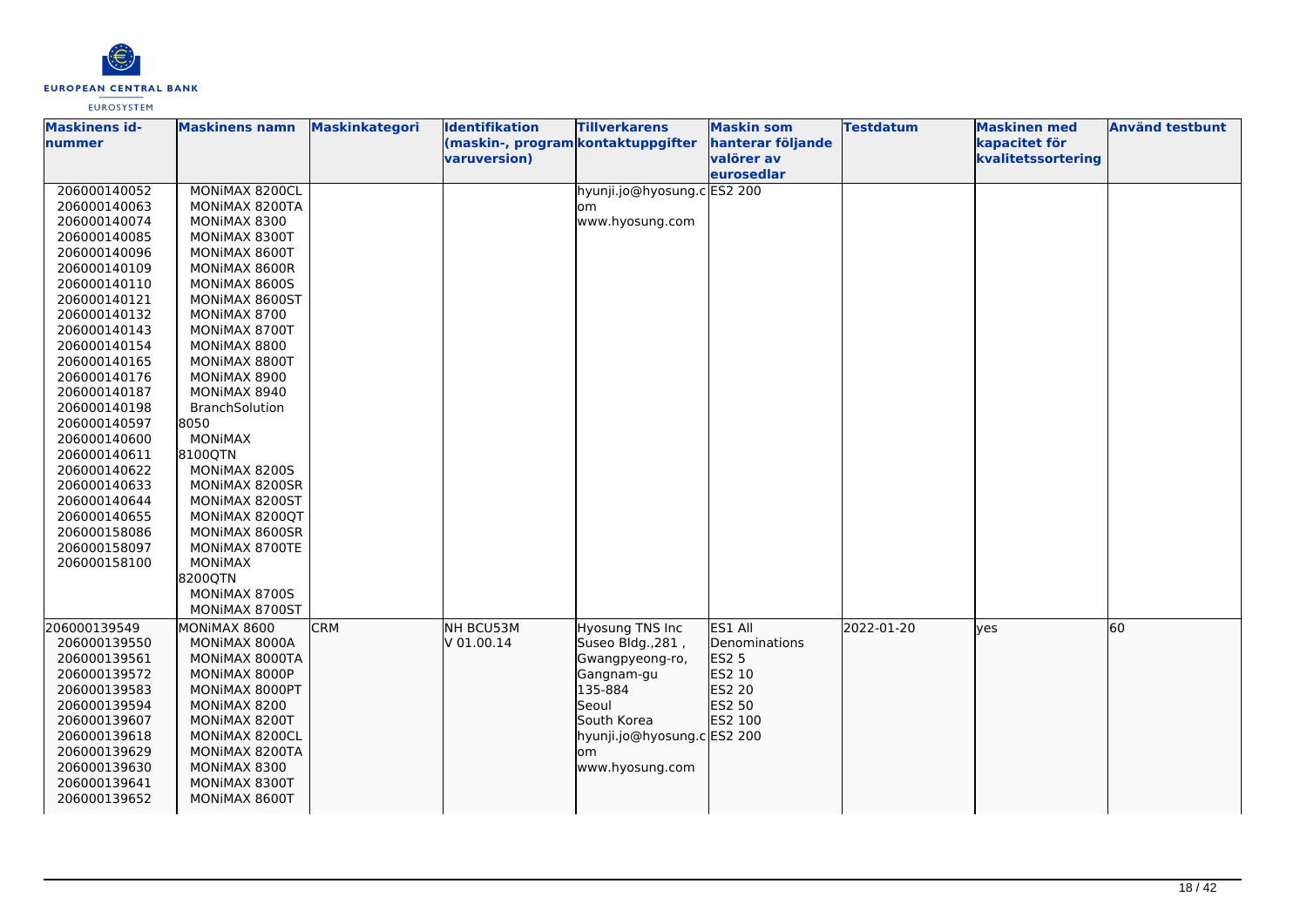

| valörer av<br>kvalitetssortering<br>varuversion)<br>eurosedlar<br>hyunji.jo@hyosung.cES2 200<br>206000140052<br>MONIMAX 8200CL |    |
|--------------------------------------------------------------------------------------------------------------------------------|----|
|                                                                                                                                |    |
|                                                                                                                                |    |
| 206000140063<br>MONIMAX 8200TA<br>om                                                                                           |    |
| www.hyosung.com<br>206000140074<br>MONIMAX 8300                                                                                |    |
| 206000140085<br>MONIMAX 8300T                                                                                                  |    |
| 206000140096<br>MONIMAX 8600T                                                                                                  |    |
| 206000140109<br>MONIMAX 8600R                                                                                                  |    |
| 206000140110<br>MONIMAX 8600S                                                                                                  |    |
| 206000140121<br>MONIMAX 8600ST                                                                                                 |    |
| 206000140132<br>MONIMAX 8700                                                                                                   |    |
| 206000140143<br>MONIMAX 8700T                                                                                                  |    |
| 206000140154<br>MONIMAX 8800                                                                                                   |    |
| 206000140165<br>MONIMAX 8800T                                                                                                  |    |
| 206000140176<br>MONIMAX 8900                                                                                                   |    |
| 206000140187<br>MONIMAX 8940                                                                                                   |    |
| 206000140198<br>BranchSolution                                                                                                 |    |
| 206000140597<br>8050                                                                                                           |    |
| <b>MONIMAX</b><br>206000140600                                                                                                 |    |
| 206000140611<br>8100QTN                                                                                                        |    |
| 206000140622<br>MONIMAX 8200S                                                                                                  |    |
| 206000140633<br>MONIMAX 8200SR                                                                                                 |    |
| 206000140644<br>MONIMAX 8200ST                                                                                                 |    |
| 206000140655<br>MONIMAX 8200QT                                                                                                 |    |
| MONIMAX 8600SR<br>206000158086                                                                                                 |    |
| 206000158097<br>MONIMAX 8700TE                                                                                                 |    |
| 206000158100<br><b>MONIMAX</b>                                                                                                 |    |
| 8200QTN                                                                                                                        |    |
| MONIMAX 8700S                                                                                                                  |    |
| MONIMAX 8700ST                                                                                                                 |    |
| 206000139549<br><b>CRM</b><br>NH BCU53M<br><b>Hyosung TNS Inc</b><br>ES1 All<br>2022-01-20<br>MONIMAX 8600<br>ves              | 60 |
| V 01.00.14<br>Suseo Bldg., 281,<br>206000139550<br>MONIMAX 8000A<br>Denominations                                              |    |
| 206000139561<br><b>ES2 5</b><br>MONIMAX 8000TA<br>Gwangpyeong-ro,                                                              |    |
| 206000139572<br>ES2 10<br>MONIMAX 8000P<br>Gangnam-gu                                                                          |    |
| 135-884<br>ES2 20<br>206000139583<br>MONIMAX 8000PT                                                                            |    |
| 206000139594<br>Seoul<br>ES2 50<br>MONIMAX 8200                                                                                |    |
| ES2 100<br>MONIMAX 8200T<br>South Korea<br>206000139607                                                                        |    |
| 206000139618<br>MONIMAX 8200CL<br>hyunji.jo@hyosung.c ES2 200                                                                  |    |
| 206000139629<br>MONIMAX 8200TA<br>om                                                                                           |    |
| 206000139630<br>MONIMAX 8300<br>www.hyosung.com                                                                                |    |
| MONIMAX 8300T<br>206000139641                                                                                                  |    |
| 206000139652<br>MONIMAX 8600T                                                                                                  |    |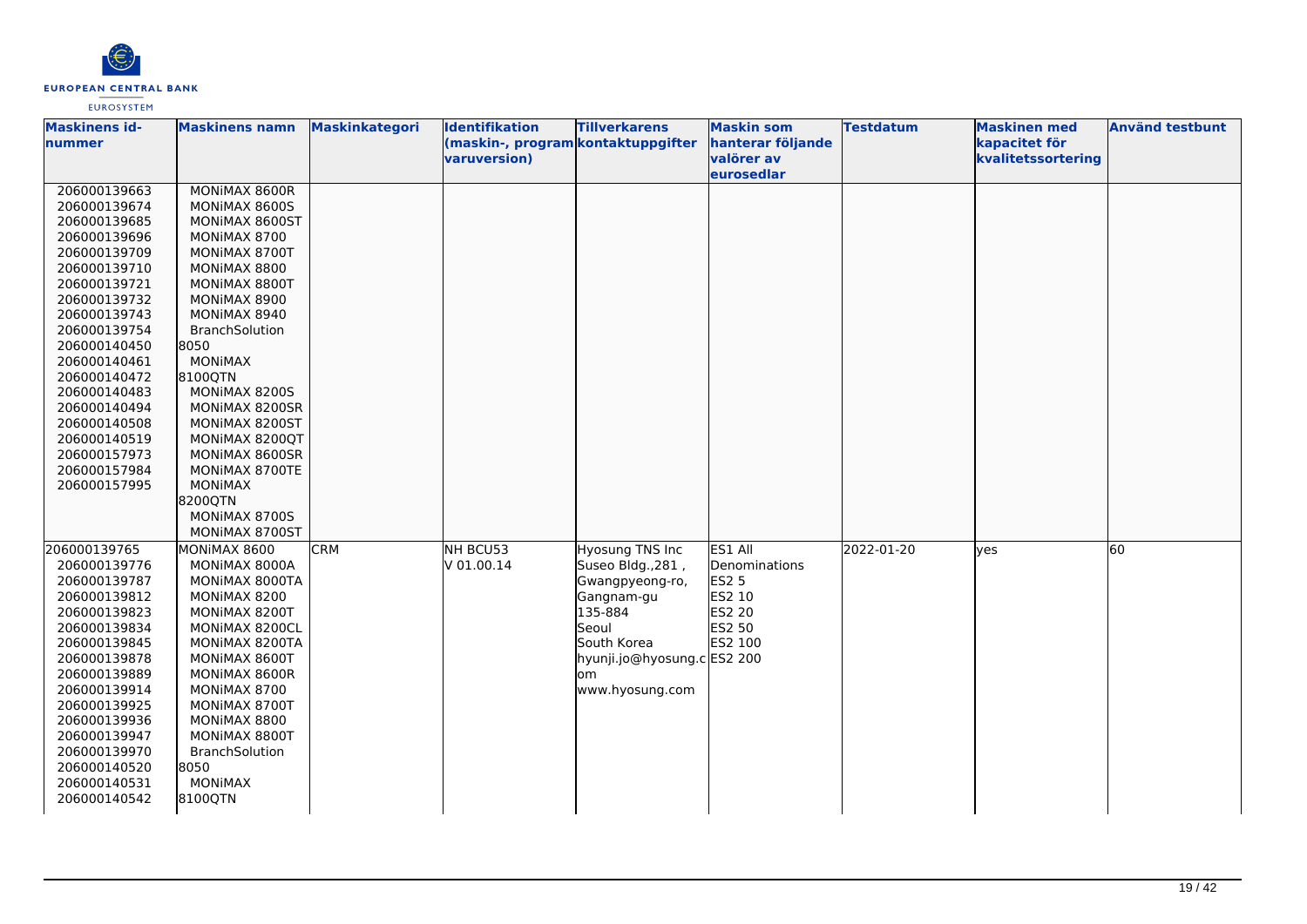

| <b>Maskinens id-</b><br>Inummer                                                                                                                                                                                                                                                                                              | <b>Maskinens namn</b>                                                                                                                                                                                                                                                                                                                                                                | <b>Maskinkategori</b> | <b>Identifikation</b><br>(maskin-, program kontaktuppgifter<br>varuversion) | <b>Tillverkarens</b>                                                                                                                                              | <b>Maskin som</b><br>hanterar följande<br>valörer av<br><b>leurosedlar</b>               | <b>Testdatum</b> | <b>Maskinen med</b><br>kapacitet för<br>kvalitetssortering | <b>Använd testbunt</b> |
|------------------------------------------------------------------------------------------------------------------------------------------------------------------------------------------------------------------------------------------------------------------------------------------------------------------------------|--------------------------------------------------------------------------------------------------------------------------------------------------------------------------------------------------------------------------------------------------------------------------------------------------------------------------------------------------------------------------------------|-----------------------|-----------------------------------------------------------------------------|-------------------------------------------------------------------------------------------------------------------------------------------------------------------|------------------------------------------------------------------------------------------|------------------|------------------------------------------------------------|------------------------|
| 206000139663<br>206000139674<br>206000139685<br>206000139696<br>206000139709<br>206000139710<br>206000139721<br>206000139732<br>206000139743<br>206000139754<br>206000140450<br>206000140461<br>206000140472<br>206000140483<br>206000140494<br>206000140508<br>206000140519<br>206000157973<br>206000157984<br>206000157995 | MONIMAX 8600R<br>MONIMAX 8600S<br>MONIMAX 8600ST<br>MONIMAX 8700<br>MONIMAX 8700T<br>MONIMAX 8800<br>MONIMAX 8800T<br>MONIMAX 8900<br>MONIMAX 8940<br>BranchSolution<br>8050<br><b>MONIMAX</b><br>8100QTN<br>MONIMAX 8200S<br>MONIMAX 8200SR<br>MONIMAX 8200ST<br>MONIMAX 8200QT<br>MONIMAX 8600SR<br>MONIMAX 8700TE<br><b>MONIMAX</b><br>8200QTN<br>MONIMAX 8700S<br>MONIMAX 8700ST |                       |                                                                             |                                                                                                                                                                   |                                                                                          |                  |                                                            |                        |
| 206000139765<br>206000139776<br>206000139787<br>206000139812<br>206000139823<br>206000139834<br>206000139845<br>206000139878<br>206000139889<br>206000139914<br>206000139925<br>206000139936<br>206000139947<br>206000139970<br>206000140520<br>206000140531<br>206000140542                                                 | MONIMAX 8600<br>MONIMAX 8000A<br>MONIMAX 8000TA<br>MONIMAX 8200<br>MONIMAX 8200T<br>MONIMAX 8200CL<br>MONIMAX 8200TA<br>MONIMAX 8600T<br>MONIMAX 8600R<br>MONIMAX 8700<br>MONIMAX 8700T<br>MONIMAX 8800<br>MONIMAX 8800T<br>BranchSolution<br>8050<br><b>MONIMAX</b><br>8100QTN                                                                                                      | <b>CRM</b>            | NH BCU53<br>V 01.00.14                                                      | Hyosung TNS Inc<br>Suseo Bldg., 281,<br>Gwangpyeong-ro,<br>Gangnam-gu<br>135-884<br>Seoul<br>South Korea<br>hyunji.jo@hyosung.c ES2 200<br>lom<br>www.hyosung.com | ES1 All<br>Denominations<br><b>ES2 5</b><br><b>ES2 10</b><br>ES2 20<br>ES2 50<br>ES2 100 | 2022-01-20       | yes                                                        | 60                     |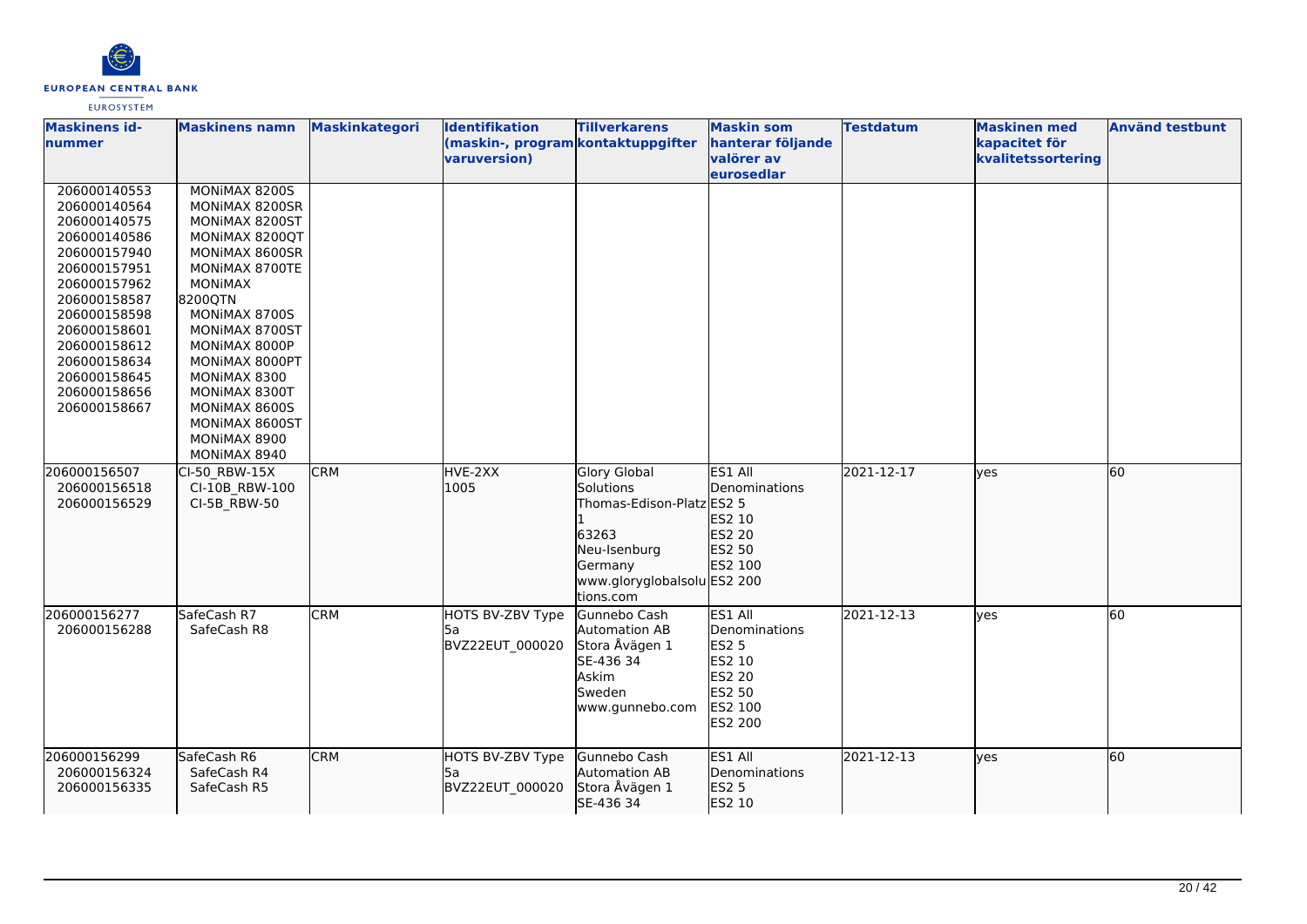

| <b>Maskinens id-</b><br><b>nummer</b>                                                                                                                                                                                                        | <b>Maskinens namn</b>                                                                                                                                                                                                                                                                                          | <b>Maskinkategori</b> | <b>Identifikation</b><br>(maskin-, program kontaktuppgifter<br>varuversion) | <b>Tillverkarens</b>                                                                                                                          | <b>Maskin som</b><br>hanterar följande<br>valörer av<br>eurosedlar                                         | <b>Testdatum</b> | <b>Maskinen med</b><br>kapacitet för<br>kvalitetssortering | <b>Använd testbunt</b> |
|----------------------------------------------------------------------------------------------------------------------------------------------------------------------------------------------------------------------------------------------|----------------------------------------------------------------------------------------------------------------------------------------------------------------------------------------------------------------------------------------------------------------------------------------------------------------|-----------------------|-----------------------------------------------------------------------------|-----------------------------------------------------------------------------------------------------------------------------------------------|------------------------------------------------------------------------------------------------------------|------------------|------------------------------------------------------------|------------------------|
| 206000140553<br>206000140564<br>206000140575<br>206000140586<br>206000157940<br>206000157951<br>206000157962<br>206000158587<br>206000158598<br>206000158601<br>206000158612<br>206000158634<br>206000158645<br>206000158656<br>206000158667 | MONIMAX 8200S<br>MONIMAX 8200SR<br>MONIMAX 8200ST<br>MONIMAX 8200QT<br>MONIMAX 8600SR<br>MONIMAX 8700TE<br><b>MONIMAX</b><br>8200QTN<br>MONIMAX 8700S<br>MONIMAX 8700ST<br>MONIMAX 8000P<br>MONIMAX 8000PT<br>MONIMAX 8300<br>MONIMAX 8300T<br>MONIMAX 8600S<br>MONIMAX 8600ST<br>MONIMAX 8900<br>MONIMAX 8940 |                       |                                                                             |                                                                                                                                               |                                                                                                            |                  |                                                            |                        |
| 206000156507<br>206000156518<br>206000156529                                                                                                                                                                                                 | CI-50 RBW-15X<br>CI-10B RBW-100<br>CI-5B RBW-50                                                                                                                                                                                                                                                                | <b>CRM</b>            | HVE-2XX<br>1005                                                             | <b>Glory Global</b><br>Solutions<br>Thomas-Edison-Platz ES2 5<br>63263<br>Neu-Isenburg<br>Germany<br>www.gloryglobalsolu ES2 200<br>tions.com | ES1 All<br>Denominations<br>ES2 10<br>ES2 20<br>ES2 50<br>ES2 100                                          | 2021-12-17       | lves                                                       | 60                     |
| 206000156277<br>206000156288                                                                                                                                                                                                                 | SafeCash R7<br>SafeCash R8                                                                                                                                                                                                                                                                                     | <b>CRM</b>            | HOTS BV-ZBV Type<br>l5a<br>BVZ22EUT 000020                                  | Gunnebo Cash<br>Automation AB<br>Stora Åvägen 1<br>SE-436 34<br>Askim<br>Sweden<br>www.gunnebo.com                                            | ES1 All<br>Denominations<br><b>ES2 5</b><br><b>ES2 10</b><br><b>ES2 20</b><br>ES2 50<br>ES2 100<br>ES2 200 | 2021-12-13       | ves                                                        | 60                     |
| 206000156299<br>206000156324<br>206000156335                                                                                                                                                                                                 | SafeCash R6<br>SafeCash R4<br>SafeCash R5                                                                                                                                                                                                                                                                      | <b>CRM</b>            | HOTS BV-ZBV Type<br>l5a<br>BVZ22EUT_000020                                  | Gunnebo Cash<br>Automation AB<br>Stora Åvägen 1<br>SE-436 34                                                                                  | ES1 All<br>Denominations<br><b>ES2 5</b><br>ES2 10                                                         | 2021-12-13       | lyes                                                       | 60                     |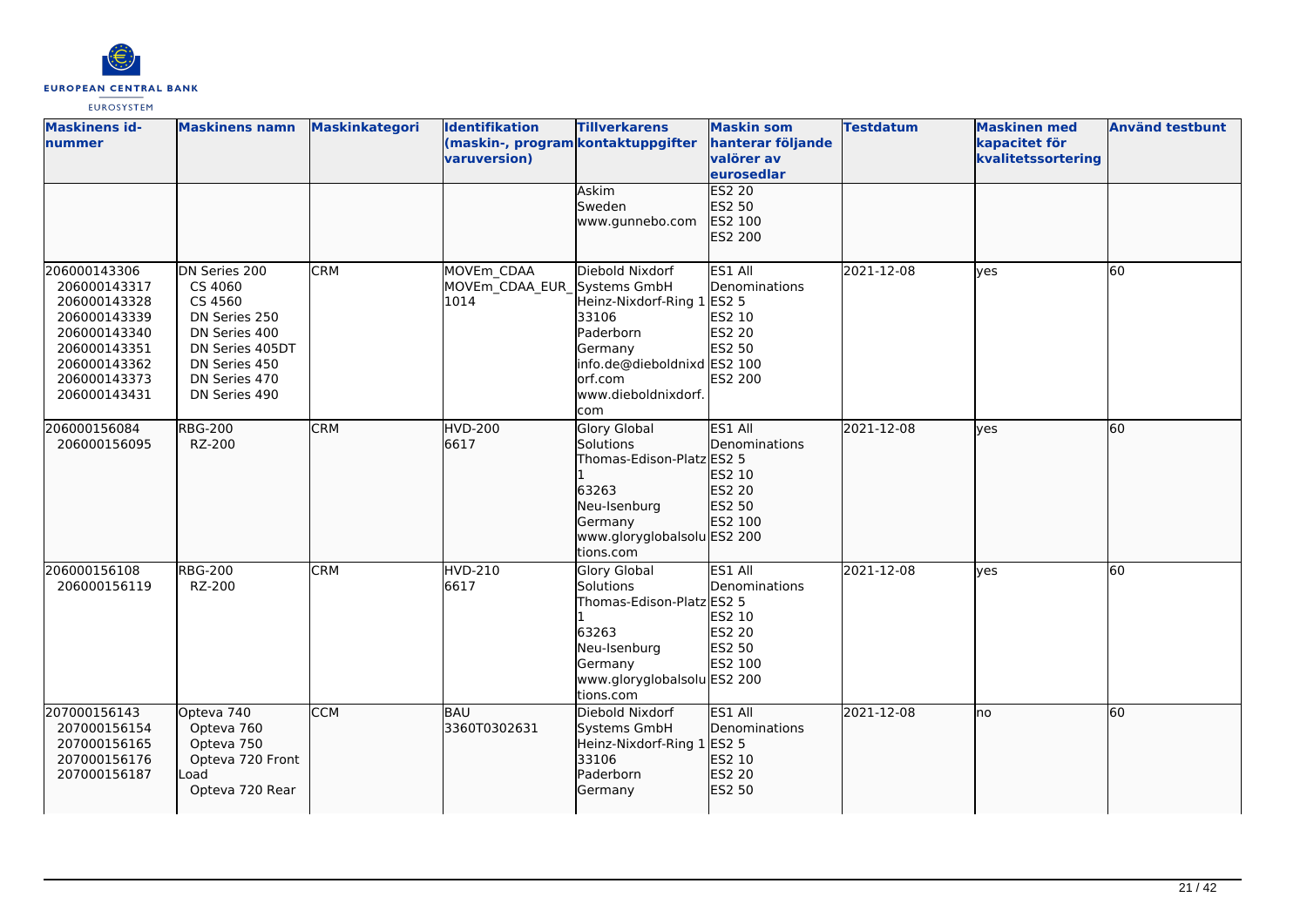

| <b>Maskinens id-</b><br>nummer                                                                                                               | <b>Maskinens namn</b>                                                                                                                       | Maskinkategori | Identifikation<br>(maskin-, program kontaktuppgifter<br>varuversion) | <b>Tillverkarens</b><br><b>Askim</b><br>Sweden                                                                                                   | <b>Maskin som</b><br>hanterar följande<br>valörer av<br>eurosedlar<br><b>ES2 20</b><br>ES2 50 | <b>Testdatum</b> | <b>Maskinen med</b><br>kapacitet för<br>kvalitetssortering | <b>Använd testbunt</b> |
|----------------------------------------------------------------------------------------------------------------------------------------------|---------------------------------------------------------------------------------------------------------------------------------------------|----------------|----------------------------------------------------------------------|--------------------------------------------------------------------------------------------------------------------------------------------------|-----------------------------------------------------------------------------------------------|------------------|------------------------------------------------------------|------------------------|
|                                                                                                                                              |                                                                                                                                             |                |                                                                      | www.gunnebo.com                                                                                                                                  | ES2 100<br>ES2 200                                                                            |                  |                                                            |                        |
| 206000143306<br>206000143317<br>206000143328<br>206000143339<br>206000143340<br>206000143351<br>206000143362<br>206000143373<br>206000143431 | DN Series 200<br>CS 4060<br>CS 4560<br>DN Series 250<br>DN Series 400<br>DN Series 405DT<br>DN Series 450<br>DN Series 470<br>DN Series 490 | <b>CRM</b>     | MOVEm CDAA<br>MOVEm CDAA EUR Systems GmbH<br>1014                    | Diebold Nixdorf<br>Heinz-Nixdorf-Ring 1<br>33106<br>Paderborn<br>Germany<br>info.de@dieboldnixd ES2 100<br>orf.com<br>www.dieboldnixdorf.<br>com | ES1 All<br>Denominations<br><b>ES2 5</b><br>ES2 10<br>ES2 20<br><b>ES2 50</b><br>ES2 200      | 2021-12-08       | yes                                                        | 60                     |
| 206000156084<br>206000156095                                                                                                                 | <b>RBG-200</b><br>RZ-200                                                                                                                    | <b>CRM</b>     | HVD-200<br>6617                                                      | Glory Global<br>Solutions<br>Thomas-Edison-Platz ES2 5<br>63263<br>Neu-Isenburg<br>Germany<br>www.gloryglobalsolu ES2 200<br>tions.com           | ES1 All<br>Denominations<br>ES2 10<br>ES2 20<br>ES2 50<br>ES2 100                             | 2021-12-08       | lyes                                                       | 60                     |
| 206000156108<br>206000156119                                                                                                                 | <b>RBG-200</b><br>RZ-200                                                                                                                    | <b>CRM</b>     | <b>HVD-210</b><br>6617                                               | <b>Glory Global</b><br>Solutions<br>Thomas-Edison-Platz ES2 5<br>63263<br>Neu-Isenburg<br>Germany<br>www.gloryglobalsolu ES2 200<br>tions.com    | ES1 All<br>Denominations<br>ES2 10<br>ES2 20<br><b>ES2 50</b><br>ES2 100                      | 2021-12-08       | <b>ves</b>                                                 | 60                     |
| 207000156143<br>207000156154<br>207000156165<br>207000156176<br>207000156187                                                                 | Opteva 740<br>Opteva 760<br>Opteva 750<br>Opteva 720 Front<br>Load<br>Opteva 720 Rear                                                       | <b>CCM</b>     | BAU<br>3360T0302631                                                  | Diebold Nixdorf<br>Systems GmbH<br>Heinz-Nixdorf-Ring 1 ES2 5<br>33106<br>Paderborn<br>Germany                                                   | ES1 All<br>Denominations<br>ES2 10<br>ES2 20<br>ES2 50                                        | 2021-12-08       | Ino                                                        | 60                     |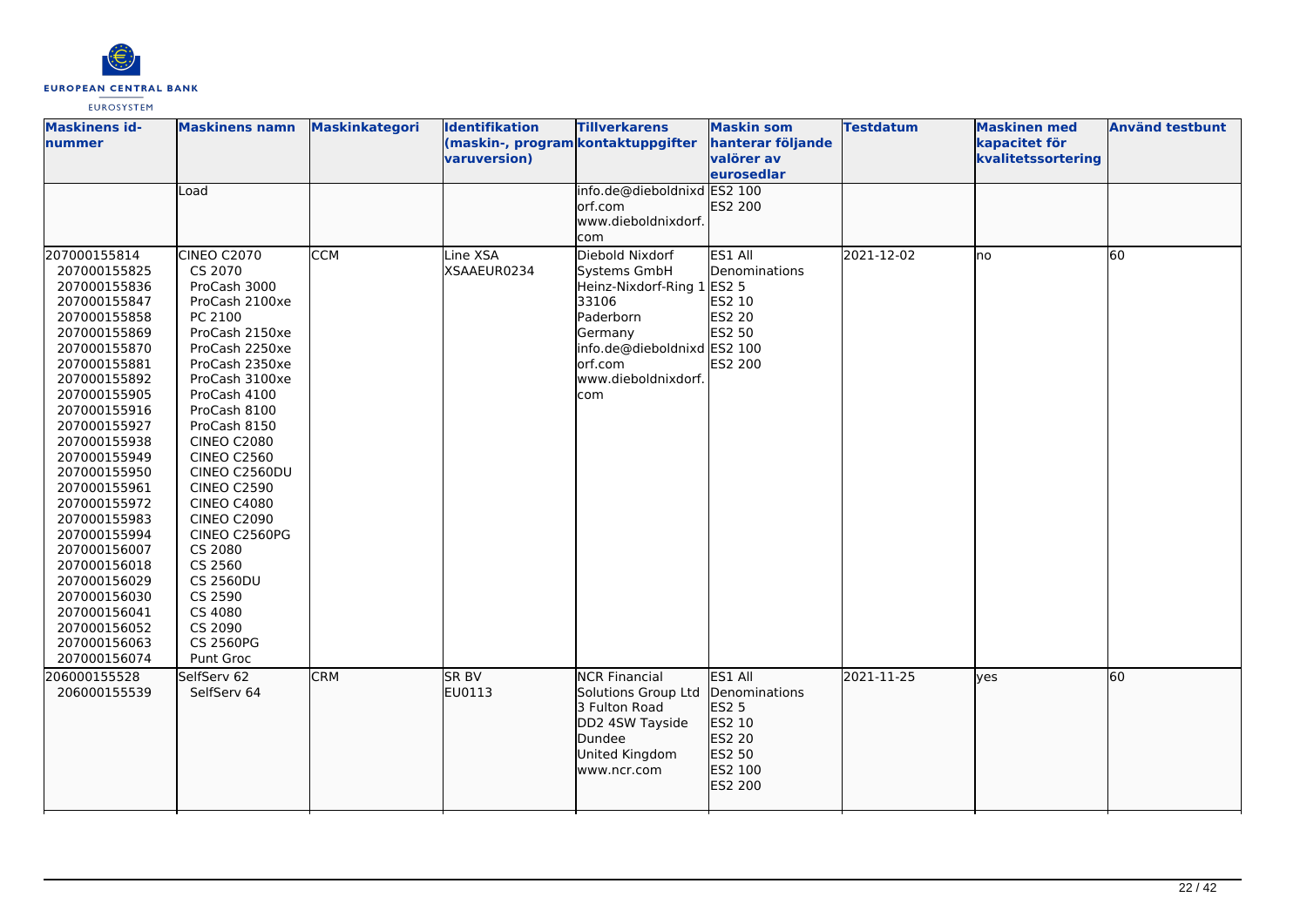

| <b>Maskinens id-</b><br>nummer                                                                                                                                                                                                                                                                                                                                                                                                               | <b>Maskinens namn</b><br>Load                                                                                                                                                                                                                                                                                                                                                                                                                           | <b>Maskinkategori</b> | <b>Identifikation</b><br>(maskin-, program kontaktuppgifter<br>varuversion) | <b>Tillverkarens</b><br>info.de@dieboldnixd ES2 100                                                                                                                    | <b>Maskin som</b><br>hanterar följande<br>valörer av<br>eurosedlar                    | <b>Testdatum</b> | <b>Maskinen med</b><br>kapacitet för<br>kvalitetssortering | <b>Använd testbunt</b> |
|----------------------------------------------------------------------------------------------------------------------------------------------------------------------------------------------------------------------------------------------------------------------------------------------------------------------------------------------------------------------------------------------------------------------------------------------|---------------------------------------------------------------------------------------------------------------------------------------------------------------------------------------------------------------------------------------------------------------------------------------------------------------------------------------------------------------------------------------------------------------------------------------------------------|-----------------------|-----------------------------------------------------------------------------|------------------------------------------------------------------------------------------------------------------------------------------------------------------------|---------------------------------------------------------------------------------------|------------------|------------------------------------------------------------|------------------------|
|                                                                                                                                                                                                                                                                                                                                                                                                                                              |                                                                                                                                                                                                                                                                                                                                                                                                                                                         |                       |                                                                             | lorf.com<br>www.dieboldnixdorf.<br>com                                                                                                                                 | ES2 200                                                                               |                  |                                                            |                        |
| 207000155814<br>207000155825<br>207000155836<br>207000155847<br>207000155858<br>207000155869<br>207000155870<br>207000155881<br>207000155892<br>207000155905<br>207000155916<br>207000155927<br>207000155938<br>207000155949<br>207000155950<br>207000155961<br>207000155972<br>207000155983<br>207000155994<br>207000156007<br>207000156018<br>207000156029<br>207000156030<br>207000156041<br>207000156052<br>207000156063<br>207000156074 | CINEO C2070<br>CS 2070<br>ProCash 3000<br>ProCash 2100xe<br>PC 2100<br>ProCash 2150xe<br>ProCash 2250xe<br>ProCash 2350xe<br>ProCash 3100xe<br>ProCash 4100<br>ProCash 8100<br>ProCash 8150<br><b>CINEO C2080</b><br><b>CINEO C2560</b><br>CINEO C2560DU<br><b>CINEO C2590</b><br><b>CINEO C4080</b><br><b>CINEO C2090</b><br>CINEO C2560PG<br>CS 2080<br>CS 2560<br><b>CS 2560DU</b><br>CS 2590<br>CS 4080<br>CS 2090<br><b>CS 2560PG</b><br>Punt Groc | <b>CCM</b>            | Line XSA<br>XSAAEUR0234                                                     | Diebold Nixdorf<br>Systems GmbH<br>Heinz-Nixdorf-Ring 1 ES2 5<br>33106<br>Paderborn<br>Germany<br>info.de@dieboldnixd ES2 100<br>orf.com<br>www.dieboldnixdorf.<br>com | ES1 All<br>Denominations<br>ES2 10<br><b>ES2 20</b><br>ES2 50<br>ES2 200              | 2021-12-02       | lno                                                        | 60                     |
| 206000155528<br>206000155539                                                                                                                                                                                                                                                                                                                                                                                                                 | SelfServ 62<br>SelfServ 64                                                                                                                                                                                                                                                                                                                                                                                                                              | <b>CRM</b>            | <b>SR BV</b><br>EU0113                                                      | <b>NCR Financial</b><br>Solutions Group Ltd<br>3 Fulton Road<br>DD2 4SW Tayside<br>Dundee<br>United Kingdom<br>www.ncr.com                                             | ES1 All<br>Denominations<br>ES2 5<br>ES2 10<br>ES2 20<br>ES2 50<br>ES2 100<br>ES2 200 | 2021-11-25       | lves                                                       | 60                     |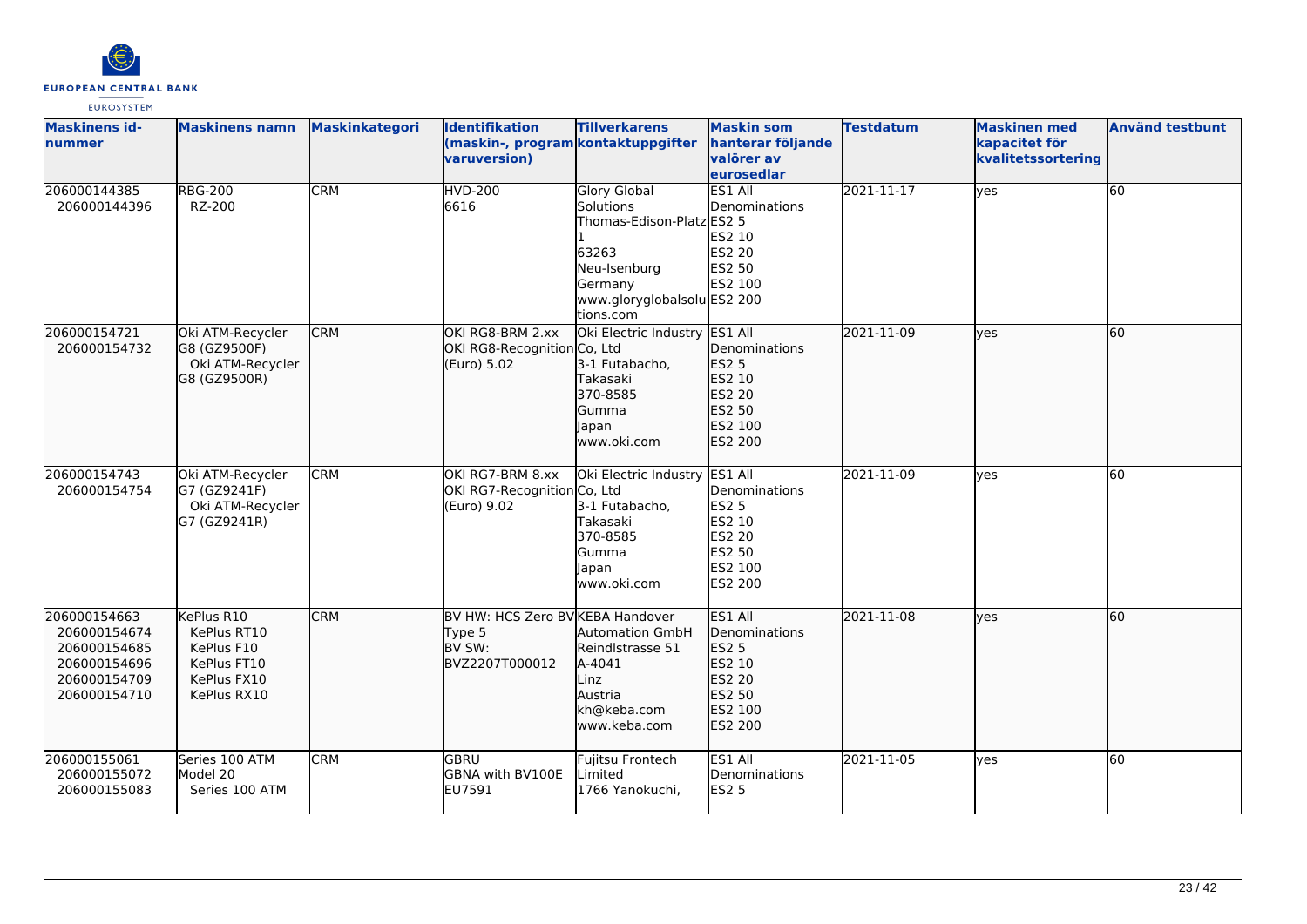

| <b>Maskinens id-</b><br>nummer                                                               | <b>Maskinens namn</b>                                                                | Maskinkategori | <b>Identifikation</b><br>(maskin-, program kontaktuppgifter<br>varuversion) | <b>Tillverkarens</b>                                                                                                                          | <b>Maskin som</b><br>hanterar följande<br><b>valörer</b> av<br>eurosedlar                    | <b>Testdatum</b> | <b>Maskinen</b> med<br>kapacitet för<br>kvalitetssortering | <b>Använd testbunt</b> |
|----------------------------------------------------------------------------------------------|--------------------------------------------------------------------------------------|----------------|-----------------------------------------------------------------------------|-----------------------------------------------------------------------------------------------------------------------------------------------|----------------------------------------------------------------------------------------------|------------------|------------------------------------------------------------|------------------------|
| 206000144385<br>206000144396                                                                 | <b>RBG-200</b><br>RZ-200                                                             | <b>CRM</b>     | <b>HVD-200</b><br>6616                                                      | <b>Glory Global</b><br>Solutions<br>Thomas-Edison-Platz ES2 5<br>63263<br>Neu-Isenburg<br>Germany<br>www.gloryglobalsolu ES2 200<br>tions.com | ES1 All<br>Denominations<br>ES2 10<br>ES2 20<br>ES2 50<br>ES2 100                            | 2021-11-17       | yes                                                        | 60                     |
| 206000154721<br>206000154732                                                                 | Oki ATM-Recycler<br>G8 (GZ9500F)<br>Oki ATM-Recycler<br>G8 (GZ9500R)                 | <b>CRM</b>     | OKI RG8-BRM 2.xx<br>OKI RG8-Recognition Co, Ltd<br>(Euro) 5.02              | Oki Electric Industry ES1 All<br>3-1 Futabacho,<br>Takasaki<br>370-8585<br>Gumma<br>Japan<br>www.oki.com                                      | <b>Denominations</b><br><b>ES2 5</b><br>ES2 10<br>ES2 20<br>ES2 50<br>ES2 100<br>ES2 200     | 2021-11-09       | lves                                                       | 60                     |
| 206000154743<br>206000154754                                                                 | Oki ATM-Recycler<br>G7 (GZ9241F)<br>Oki ATM-Recycler<br>G7 (GZ9241R)                 | <b>CRM</b>     | OKI RG7-BRM 8.xx<br>OKI RG7-Recognition Co, Ltd<br>(Euro) 9.02              | Oki Electric Industry ES1 All<br>3-1 Futabacho,<br>Takasaki<br>370-8585<br>Gumma<br>Japan<br>www.oki.com                                      | Denominations<br><b>ES2 5</b><br>ES2 10<br>ES2 20<br>ES2 50<br>ES2 100<br><b>ES2 200</b>     | 2021-11-09       | lyes                                                       | 60                     |
| 206000154663<br>206000154674<br>206000154685<br>206000154696<br>206000154709<br>206000154710 | KePlus R10<br>KePlus RT10<br>KePlus F10<br>KePlus FT10<br>KePlus FX10<br>KePlus RX10 | <b>CRM</b>     | BV HW: HCS Zero BV KEBA Handover<br>Type 5<br>BV SW:<br>BVZ2207T000012      | Automation GmbH<br>Reindlstrasse 51<br>A-4041<br>Linz<br>Austria<br>kh@keba.com<br>www.keba.com                                               | ES1 All<br>Denominations<br><b>ES2 5</b><br>ES2 10<br>ES2 20<br>ES2 50<br>ES2 100<br>ES2 200 | 2021-11-08       | lves                                                       | 60                     |
| 206000155061<br>206000155072<br>206000155083                                                 | Series 100 ATM<br>Model 20<br>Series 100 ATM                                         | <b>CRM</b>     | <b>GBRU</b><br>GBNA with BV100E<br>EU7591                                   | Fujitsu Frontech<br>Limited<br>1766 Yanokuchi,                                                                                                | ES1 All<br>Denominations<br><b>ES2 5</b>                                                     | 2021-11-05       | lves                                                       | 60                     |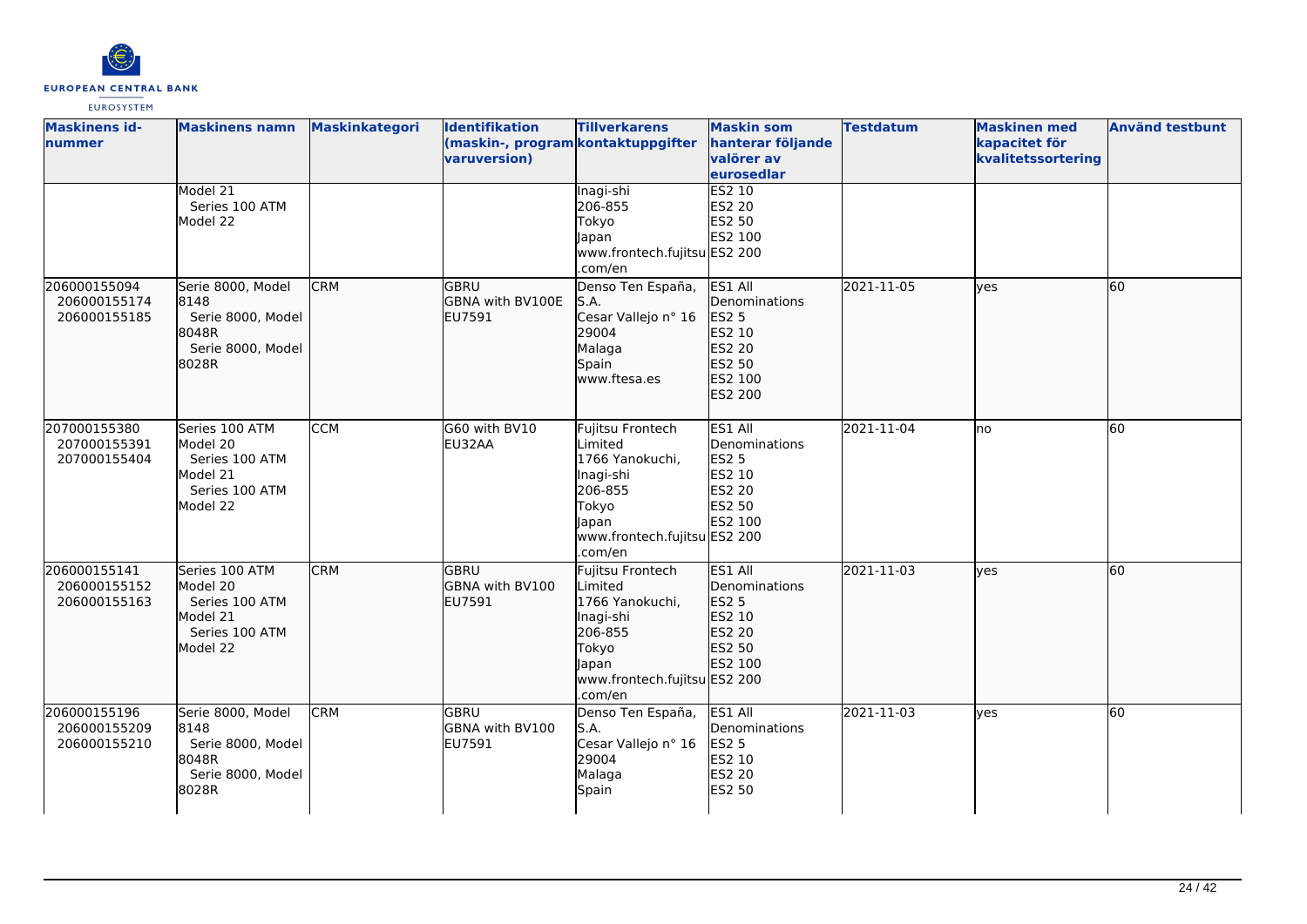

| <b>Maskinens id-</b><br>nummer               | <b>Maskinens namn</b>                                                                  | <b>Maskinkategori</b> | Identifikation<br>(maskin-, program kontaktuppgifter<br>varuversion) | <b>Tillverkarens</b>                                                                                                                | <b>Maskin som</b><br>hanterar följande<br>valörer av<br>eurosedlar                           | <b>Testdatum</b> | <b>Maskinen med</b><br>kapacitet för<br>kvalitetssortering | <b>Använd testbunt</b> |
|----------------------------------------------|----------------------------------------------------------------------------------------|-----------------------|----------------------------------------------------------------------|-------------------------------------------------------------------------------------------------------------------------------------|----------------------------------------------------------------------------------------------|------------------|------------------------------------------------------------|------------------------|
|                                              | Model 21<br>Series 100 ATM<br>Model 22                                                 |                       |                                                                      | Inagi-shi<br>206-855<br>Tokyo<br>Japan<br>www.frontech.fujitsu ES2 200<br>.com/en                                                   | <b>ES2 10</b><br>ES2 20<br>ES2 50<br>ES2 100                                                 |                  |                                                            |                        |
| 206000155094<br>206000155174<br>206000155185 | Serie 8000, Model<br>8148<br>Serie 8000, Model<br>8048R<br>Serie 8000, Model<br>8028R  | <b>CRM</b>            | <b>GBRU</b><br>GBNA with BV100E<br>EU7591                            | Denso Ten España,<br>S.A.<br>Cesar Vallejo nº 16<br>29004<br>Malaga<br>Spain<br>www.ftesa.es                                        | ES1 All<br>Denominations<br><b>ES2 5</b><br>ES2 10<br>ES2 20<br>ES2 50<br>ES2 100<br>ES2 200 | 2021-11-05       | ves                                                        | 60                     |
| 207000155380<br>207000155391<br>207000155404 | Series 100 ATM<br>Model 20<br>Series 100 ATM<br>Model 21<br>Series 100 ATM<br>Model 22 | <b>CCM</b>            | G60 with BV10<br>EU32AA                                              | Fujitsu Frontech<br>Limited<br>1766 Yanokuchi,<br>Inagi-shi<br>206-855<br>Tokyo<br>Japan<br>www.frontech.fujitsu ES2 200<br>.com/en | ES1 All<br>Denominations<br><b>ES2 5</b><br>ES2 10<br>ES2 20<br>ES2 50<br>ES2 100            | 2021-11-04       | lno                                                        | 60                     |
| 206000155141<br>206000155152<br>206000155163 | Series 100 ATM<br>Model 20<br>Series 100 ATM<br>Model 21<br>Series 100 ATM<br>Model 22 | <b>CRM</b>            | <b>GBRU</b><br><b>GBNA with BV100</b><br>EU7591                      | Fujitsu Frontech<br>Limited<br>1766 Yanokuchi,<br>Inagi-shi<br>206-855<br>Tokyo<br>Japan<br>www.frontech.fujitsu ES2 200<br>.com/en | ES1 All<br><b>I</b> Denominations<br>ES2 5<br>ES2 10<br>ES2 20<br>ES2 50<br>ES2 100          | 2021-11-03       | lyes                                                       | 60                     |
| 206000155196<br>206000155209<br>206000155210 | Serie 8000, Model<br>8148<br>Serie 8000, Model<br>8048R<br>Serie 8000, Model<br>8028R  | <b>CRM</b>            | GBRU<br>GBNA with BV100<br>EU7591                                    | Denso Ten España,<br>S.A.<br>Cesar Vallejo nº 16<br>29004<br>Malaga<br>Spain                                                        | ES1 All<br>Denominations<br><b>ES2 5</b><br>ES2 10<br><b>ES2 20</b><br>ES2 50                | 2021-11-03       | lyes                                                       | 60                     |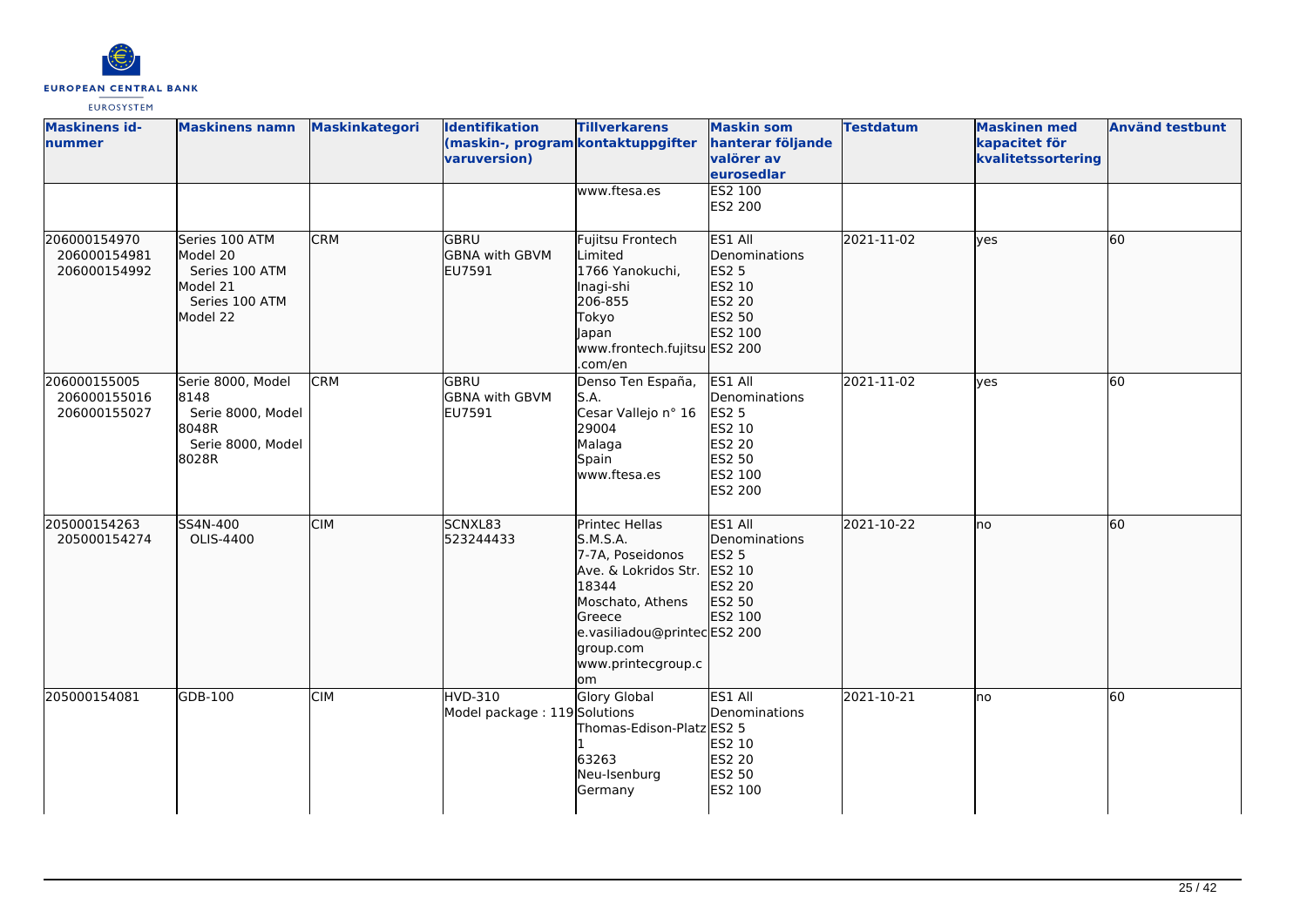

| <b>Maskinens id-</b><br>nummer               | <b>Maskinens namn</b>                                                                  | <b>Maskinkategori</b> | <b>Identifikation</b><br>(maskin-, program kontaktuppgifter<br>varuversion) | <b>Tillverkarens</b>                                                                                                                                                                  | <b>Maskin som</b><br>hanterar följande<br>valörer av<br>eurosedlar                                  | <b>Testdatum</b> | <b>Maskinen med</b><br>kapacitet för<br>kvalitetssortering | <b>Använd testbunt</b> |
|----------------------------------------------|----------------------------------------------------------------------------------------|-----------------------|-----------------------------------------------------------------------------|---------------------------------------------------------------------------------------------------------------------------------------------------------------------------------------|-----------------------------------------------------------------------------------------------------|------------------|------------------------------------------------------------|------------------------|
|                                              |                                                                                        |                       |                                                                             | www.ftesa.es                                                                                                                                                                          | ES2 100<br>ES2 200                                                                                  |                  |                                                            |                        |
| 206000154970<br>206000154981<br>206000154992 | Series 100 ATM<br>Model 20<br>Series 100 ATM<br>Model 21<br>Series 100 ATM<br>Model 22 | <b>CRM</b>            | GBRU<br><b>GBNA</b> with GBVM<br>EU7591                                     | Fujitsu Frontech<br>Limited<br>1766 Yanokuchi,<br>Inagi-shi<br>206-855<br>Tokyo<br><b>Japan</b><br>www.frontech.fujitsu ES2 200<br>.com/en                                            | ES1 All<br>Denominations<br>ES2 5<br>ES2 10<br>ES2 20<br>ES2 50<br>ES2 100                          | 2021-11-02       | lves                                                       | 60                     |
| 206000155005<br>206000155016<br>206000155027 | Serie 8000, Model<br>8148<br>Serie 8000, Model<br>8048R<br>Serie 8000, Model<br>8028R  | <b>CRM</b>            | GBRU<br><b>GBNA with GBVM</b><br>EU7591                                     | Denso Ten España,<br>S.A.<br>Cesar Vallejo nº 16<br>29004<br>Malaga<br>Spain<br>www.ftesa.es                                                                                          | ES1 All<br>Denominations<br><b>ES2 5</b><br>ES2 10<br>ES2 20<br>ES2 50<br>ES2 100<br><b>ES2 200</b> | 2021-11-02       | ves                                                        | 60                     |
| 205000154263<br>205000154274                 | SS4N-400<br>OLIS-4400                                                                  | <b>CIM</b>            | SCNXL83<br>523244433                                                        | Printec Hellas<br>S.M.S.A.<br>7-7A, Poseidonos<br>Ave. & Lokridos Str.<br>18344<br>Moschato, Athens<br>Greece<br>e.vasiliadou@printecES2 200<br>group.com<br>www.printecgroup.c<br>om | ES1 All<br>Denominations<br>ES2 5<br>ES2 10<br>ES2 20<br>ES2 50<br>ES2 100                          | 2021-10-22       | lno                                                        | 60                     |
| 205000154081                                 | GDB-100                                                                                | <b>CIM</b>            | <b>HVD-310</b><br>Model package: 119 Solutions                              | Glory Global<br>Thomas-Edison-Platz ES2 5<br>63263<br>Neu-Isenburg<br>Germany                                                                                                         | ES1 All<br>Denominations<br>ES2 10<br>ES2 20<br>ES2 50<br>ES2 100                                   | 2021-10-21       | no                                                         | 60                     |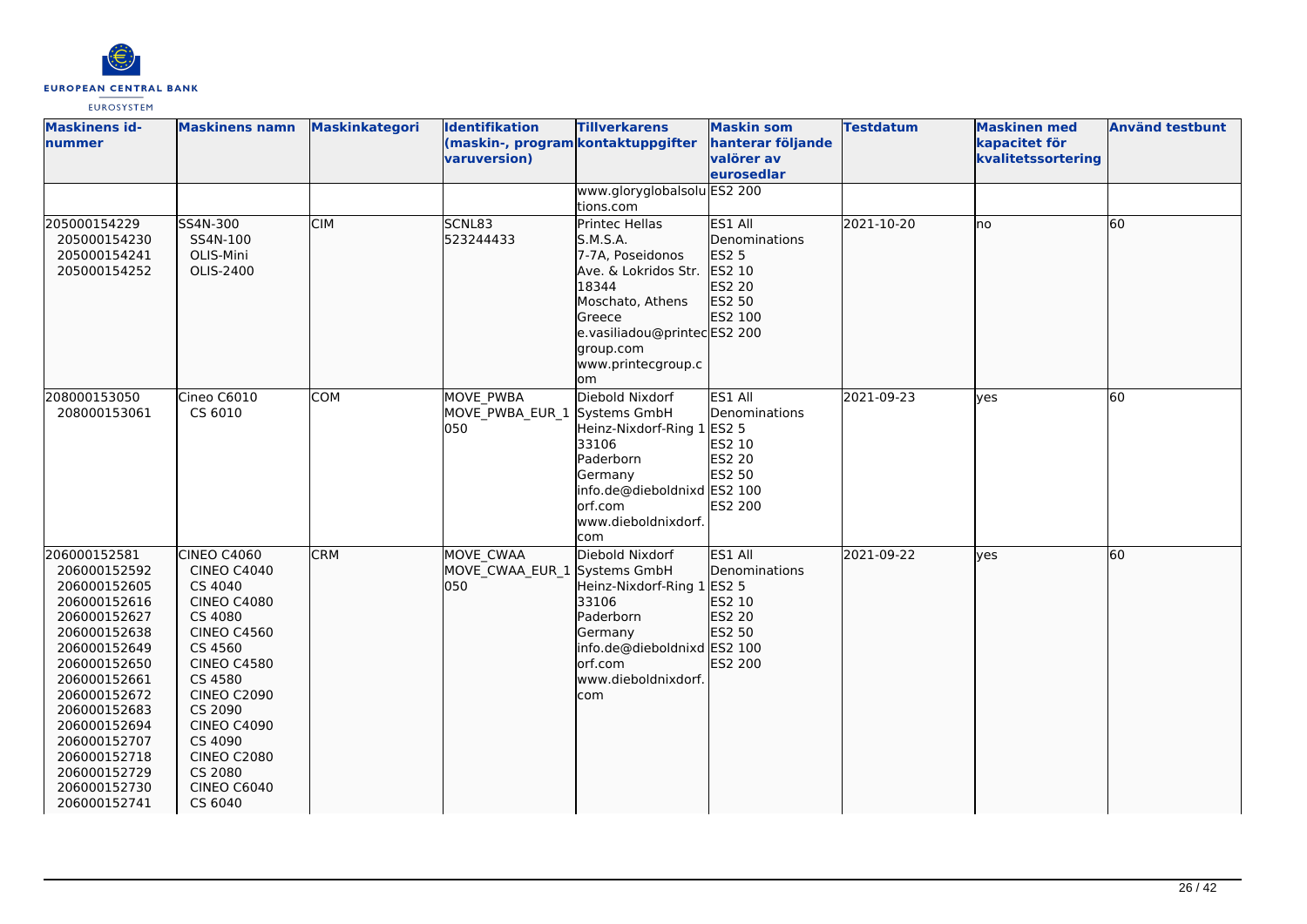

| <b>Maskinens id-</b><br>nummer                                                                                                                                                                                                                                               | <b>Maskinens namn</b>                                                                                                                                                                                                                                                        | <b>Maskinkategori</b> | Identifikation<br>(maskin-, program kontaktuppgifter<br>varuversion) | <b>Tillverkarens</b>                                                                                                                                                                  | <b>Maskin som</b><br>hanterar följande<br>valörer av<br>eurosedlar                       | <b>Testdatum</b> | <b>Maskinen med</b><br>kapacitet för<br>kvalitetssortering | <b>Använd testbunt</b> |
|------------------------------------------------------------------------------------------------------------------------------------------------------------------------------------------------------------------------------------------------------------------------------|------------------------------------------------------------------------------------------------------------------------------------------------------------------------------------------------------------------------------------------------------------------------------|-----------------------|----------------------------------------------------------------------|---------------------------------------------------------------------------------------------------------------------------------------------------------------------------------------|------------------------------------------------------------------------------------------|------------------|------------------------------------------------------------|------------------------|
|                                                                                                                                                                                                                                                                              |                                                                                                                                                                                                                                                                              |                       |                                                                      | www.gloryglobalsolu ES2 200<br>tions.com                                                                                                                                              |                                                                                          |                  |                                                            |                        |
| 205000154229<br>205000154230<br>205000154241<br>205000154252                                                                                                                                                                                                                 | SS4N-300<br>SS4N-100<br>OLIS-Mini<br>OLIS-2400                                                                                                                                                                                                                               | <b>CIM</b>            | SCNL83<br>523244433                                                  | Printec Hellas<br>S.M.S.A.<br>7-7A, Poseidonos<br>Ave. & Lokridos Str.<br>18344<br>Moschato, Athens<br>Greece<br>e.vasiliadou@printecES2 200<br>group.com<br>www.printecgroup.c<br>om | ES1 All<br>Denominations<br>ES2 5<br>ES2 10<br>ES2 20<br>ES2 50<br>ES2 100               | 2021-10-20       | lno                                                        | 60                     |
| 208000153050<br>208000153061                                                                                                                                                                                                                                                 | Cineo C6010<br>CS 6010                                                                                                                                                                                                                                                       | <b>COM</b>            | <b>MOVE PWBA</b><br>MOVE PWBA EUR 1 Systems GmbH<br>050              | Diebold Nixdorf<br>Heinz-Nixdorf-Ring 1<br>33106<br>Paderborn<br>Germany<br>info.de@dieboldnixd ES2 100<br>orf.com<br>www.dieboldnixdorf.<br>com                                      | ES1 All<br>Denominations<br><b>ES2 5</b><br>ES2 10<br><b>ES2 20</b><br>ES2 50<br>ES2 200 | 2021-09-23       | lves                                                       | 60                     |
| 206000152581<br>206000152592<br>206000152605<br>206000152616<br>206000152627<br>206000152638<br>206000152649<br>206000152650<br>206000152661<br>206000152672<br>206000152683<br>206000152694<br>206000152707<br>206000152718<br>206000152729<br>206000152730<br>206000152741 | CINEO C4060<br><b>CINEO C4040</b><br>CS 4040<br><b>CINEO C4080</b><br>CS 4080<br><b>CINEO C4560</b><br>CS 4560<br><b>CINEO C4580</b><br>CS 4580<br><b>CINEO C2090</b><br>CS 2090<br><b>CINEO C4090</b><br>CS 4090<br><b>CINEO C2080</b><br>CS 2080<br>CINEO C6040<br>CS 6040 | <b>CRM</b>            | MOVE CWAA<br>MOVE_CWAA_EUR_1 Systems GmbH<br>050                     | Diebold Nixdorf<br>Heinz-Nixdorf-Ring 1 ES2 5<br>33106<br>Paderborn<br>Germany<br>info.de@dieboldnixd ES2 100<br>orf.com<br>www.dieboldnixdorf.<br>com                                | ES1 All<br>Denominations<br>ES2 10<br>ES2 20<br>ES2 50<br>ES2 200                        | 2021-09-22       | lves                                                       | 60                     |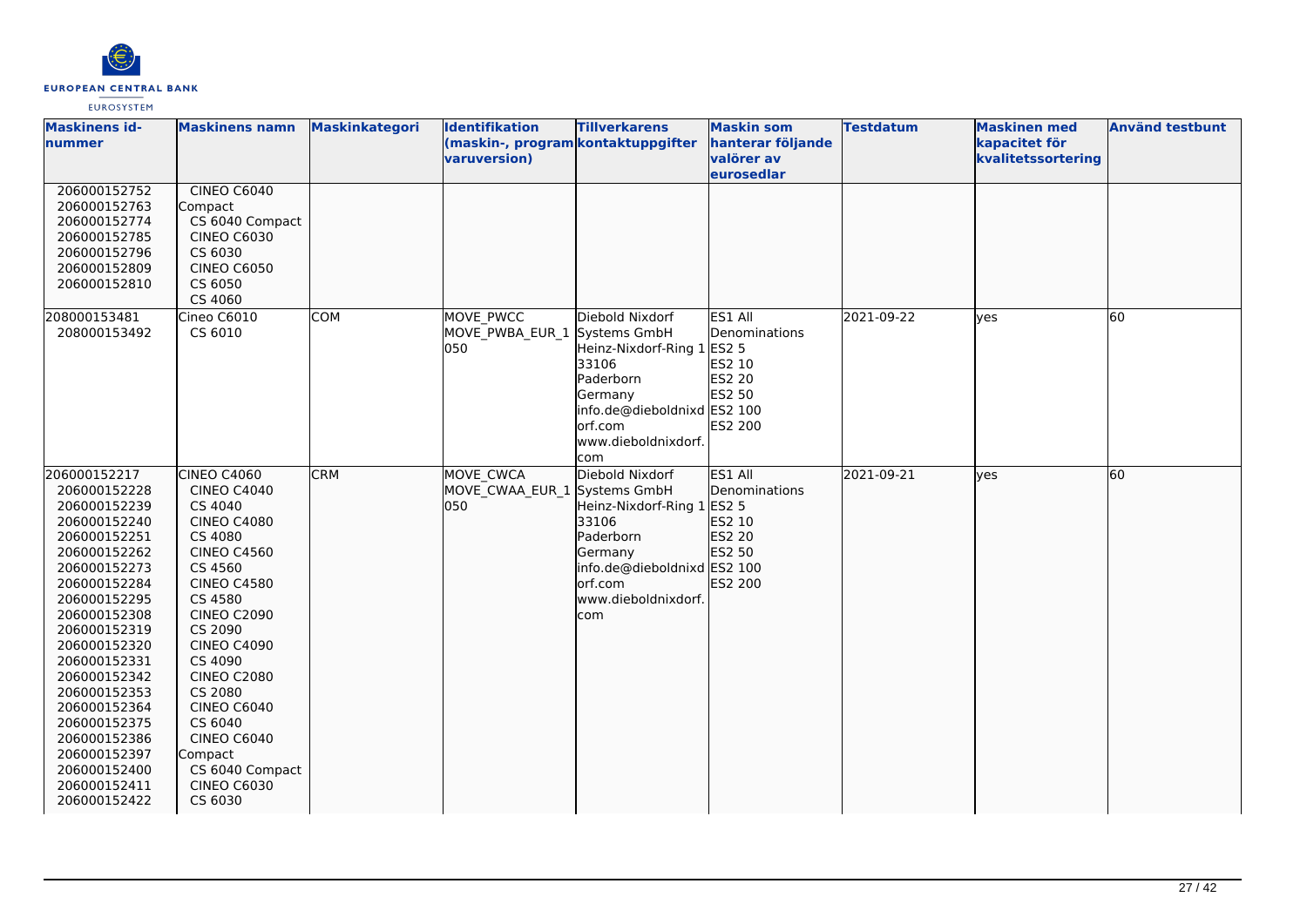

| <b>Maskinens id-</b><br>nummer                                                                                                                                                                                                                                                                                                                               | <b>Maskinens namn</b>                                                                                                                                                                                                                                                                                                                                                           | Maskinkategori | Identifikation<br>(maskin-, program kontaktuppgifter<br>varuversion) | <b>Tillverkarens</b>                                                                                                                             | <b>Maskin som</b><br>hanterar följande<br>valörer av<br>eurosedlar                | <b>Testdatum</b> | <b>Maskinen med</b><br>kapacitet för<br>kvalitetssortering | <b>Använd testbunt</b> |
|--------------------------------------------------------------------------------------------------------------------------------------------------------------------------------------------------------------------------------------------------------------------------------------------------------------------------------------------------------------|---------------------------------------------------------------------------------------------------------------------------------------------------------------------------------------------------------------------------------------------------------------------------------------------------------------------------------------------------------------------------------|----------------|----------------------------------------------------------------------|--------------------------------------------------------------------------------------------------------------------------------------------------|-----------------------------------------------------------------------------------|------------------|------------------------------------------------------------|------------------------|
| 206000152752<br>206000152763<br>206000152774<br>206000152785<br>206000152796<br>206000152809<br>206000152810                                                                                                                                                                                                                                                 | CINEO C6040<br>Compact<br>CS 6040 Compact<br><b>CINEO C6030</b><br>CS 6030<br><b>CINEO C6050</b><br>CS 6050<br>CS 4060                                                                                                                                                                                                                                                          |                |                                                                      |                                                                                                                                                  |                                                                                   |                  |                                                            |                        |
| 208000153481<br>208000153492                                                                                                                                                                                                                                                                                                                                 | Cineo C6010<br>CS 6010                                                                                                                                                                                                                                                                                                                                                          | <b>COM</b>     | MOVE PWCC<br>MOVE PWBA EUR 1 Systems GmbH<br>050                     | Diebold Nixdorf<br>Heinz-Nixdorf-Ring 1<br>33106<br>Paderborn<br>Germany<br>info.de@dieboldnixd ES2 100<br>orf.com<br>www.dieboldnixdorf.<br>com | ES1 All<br>Denominations<br><b>ES2 5</b><br>ES2 10<br>ES2 20<br>ES2 50<br>ES2 200 | 2021-09-22       | ves                                                        | $\overline{60}$        |
| 206000152217<br>206000152228<br>206000152239<br>206000152240<br>206000152251<br>206000152262<br>206000152273<br>206000152284<br>206000152295<br>206000152308<br>206000152319<br>206000152320<br>206000152331<br>206000152342<br>206000152353<br>206000152364<br>206000152375<br>206000152386<br>206000152397<br>206000152400<br>206000152411<br>206000152422 | <b>CINEO C4060</b><br><b>CINEO C4040</b><br>CS 4040<br><b>CINEO C4080</b><br>CS 4080<br><b>CINEO C4560</b><br>CS 4560<br><b>CINEO C4580</b><br>CS 4580<br><b>CINEO C2090</b><br>CS 2090<br><b>CINEO C4090</b><br>CS 4090<br><b>CINEO C2080</b><br>CS 2080<br><b>CINEO C6040</b><br>CS 6040<br><b>CINEO C6040</b><br>Compact<br>CS 6040 Compact<br><b>CINEO C6030</b><br>CS 6030 | <b>CRM</b>     | MOVE CWCA<br>MOVE CWAA EUR 1 Systems GmbH<br>050                     | Diebold Nixdorf<br>Heinz-Nixdorf-Ring 1<br>33106<br>Paderborn<br>Germany<br>info.de@dieboldnixd ES2 100<br>orf.com<br>www.dieboldnixdorf.<br>com | ES1 All<br>Denominations<br>ES2 5<br>ES2 10<br>ES2 20<br>ES2 50<br><b>ES2 200</b> | 2021-09-21       | yes                                                        | 60                     |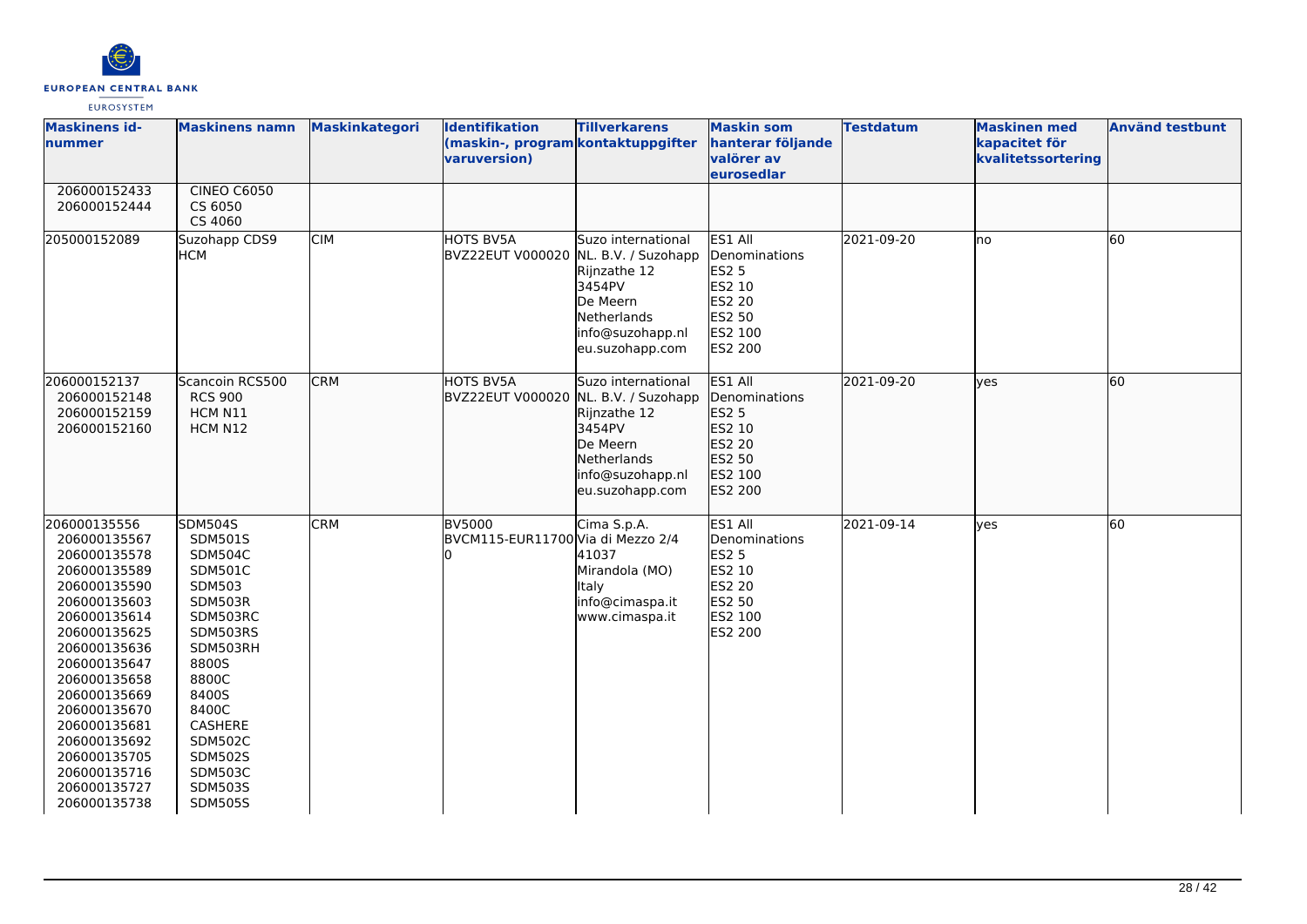

| <b>Maskinens id-</b><br>nummer                                                                                                                                                                                                                                                                               | <b>Maskinens namn</b>                                                                                                                                                                                                                                           | Maskinkategori | Identifikation<br>(maskin-, program kontaktuppgifter<br>varuversion) | <b>Tillverkarens</b>                                                                                           | <b>Maskin som</b><br>hanterar följande<br>valörer av<br>eurosedlar                                         | <b>Testdatum</b> | <b>Maskinen med</b><br>kapacitet för<br>kvalitetssortering | <b>Använd testbunt</b> |
|--------------------------------------------------------------------------------------------------------------------------------------------------------------------------------------------------------------------------------------------------------------------------------------------------------------|-----------------------------------------------------------------------------------------------------------------------------------------------------------------------------------------------------------------------------------------------------------------|----------------|----------------------------------------------------------------------|----------------------------------------------------------------------------------------------------------------|------------------------------------------------------------------------------------------------------------|------------------|------------------------------------------------------------|------------------------|
| 206000152433<br>206000152444                                                                                                                                                                                                                                                                                 | <b>CINEO C6050</b><br>CS 6050<br>CS 4060                                                                                                                                                                                                                        |                |                                                                      |                                                                                                                |                                                                                                            |                  |                                                            |                        |
| 205000152089                                                                                                                                                                                                                                                                                                 | Suzohapp CDS9<br>НСМ                                                                                                                                                                                                                                            | <b>CIM</b>     | <b>HOTS BV5A</b><br>BVZ22EUT V000020 NL. B.V. / Suzohapp             | Suzo international<br>Rijnzathe 12<br>3454PV<br>De Meern<br>Netherlands<br>info@suzohapp.nl<br>eu.suzohapp.com | ES1 All<br>Denominations<br><b>ES2 5</b><br>ES2 10<br>ES2 20<br><b>ES2 50</b><br>ES2 100<br><b>ES2 200</b> | 2021-09-20       | lno                                                        | 60                     |
| 206000152137<br>206000152148<br>206000152159<br>206000152160                                                                                                                                                                                                                                                 | Scancoin RCS500<br><b>RCS 900</b><br>HCM N11<br>HCM N12                                                                                                                                                                                                         | <b>CRM</b>     | HOTS BV5A<br>BVZ22EUT V000020 NL. B.V. / Suzohapp                    | Suzo international<br>Rijnzathe 12<br>3454PV<br>De Meern<br>Netherlands<br>info@suzohapp.nl<br>eu.suzohapp.com | ES1 All<br>Denominations<br>ES2 5<br>ES2 10<br>ES2 20<br>ES2 50<br>ES2 100<br>ES2 200                      | 2021-09-20       | lyes                                                       | 60                     |
| 206000135556<br>206000135567<br>206000135578<br>206000135589<br>206000135590<br>206000135603<br>206000135614<br>206000135625<br>206000135636<br>206000135647<br>206000135658<br>206000135669<br>206000135670<br>206000135681<br>206000135692<br>206000135705<br>206000135716<br>206000135727<br>206000135738 | <b>SDM504S</b><br>SDM501S<br>SDM504C<br><b>SDM501C</b><br>SDM503<br>SDM503R<br>SDM503RC<br>SDM503RS<br>SDM503RH<br>8800S<br>8800C<br>8400S<br>8400C<br><b>CASHERE</b><br><b>SDM502C</b><br><b>SDM502S</b><br><b>SDM503C</b><br><b>SDM503S</b><br><b>SDM505S</b> | <b>CRM</b>     | <b>BV5000</b><br>BVCM115-EUR11700 Via di Mezzo 2/4                   | Cima S.p.A.<br>41037<br>Mirandola (MO)<br>Italy<br>info@cimaspa.it<br>www.cimaspa.it                           | ES1 All<br>Denominations<br><b>ES2 5</b><br>ES2 10<br>ES2 20<br>ES2 50<br>ES2 100<br><b>ES2 200</b>        | 2021-09-14       | <b>ves</b>                                                 | 60                     |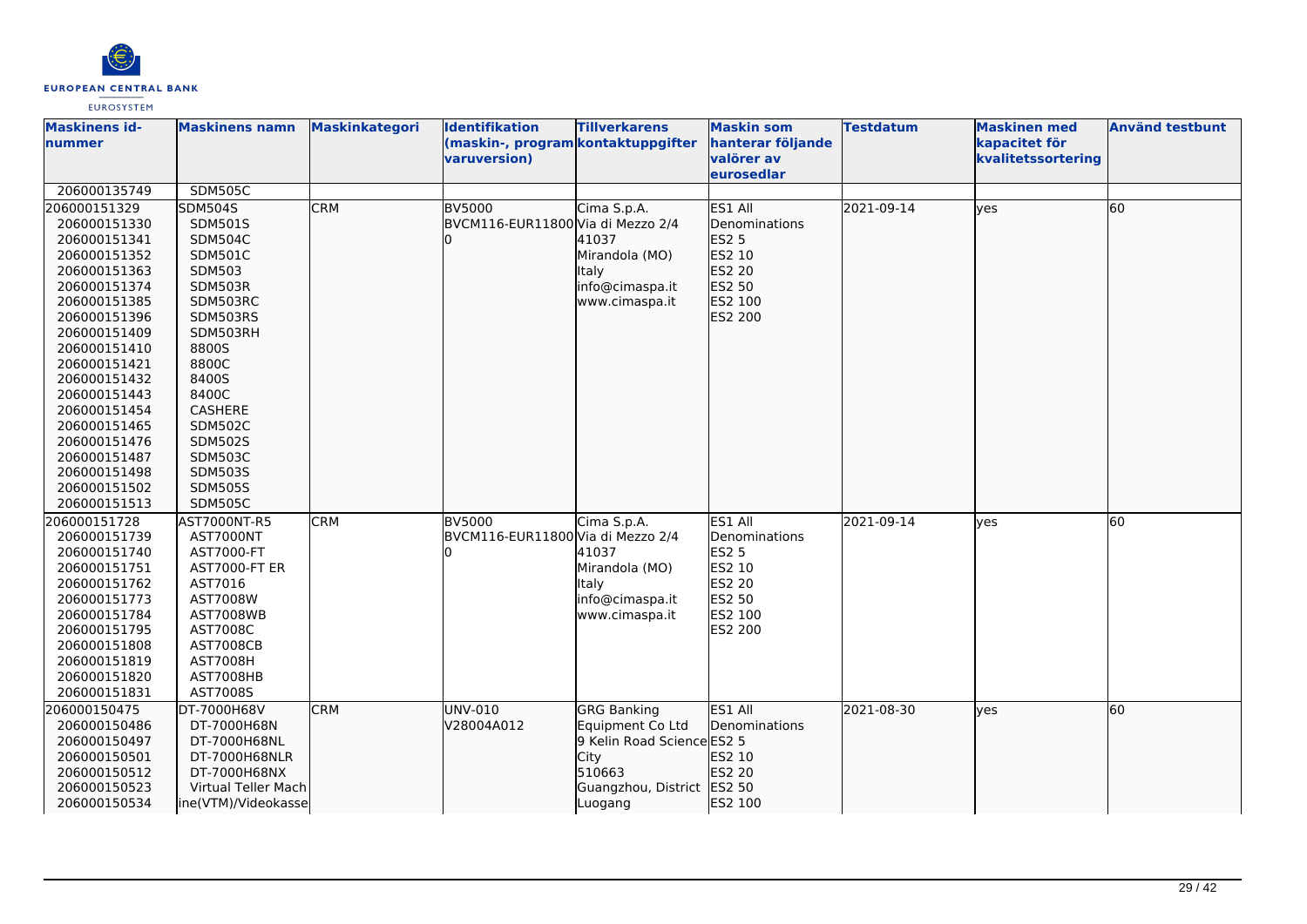

| <b>Maskinens id-</b>         | <b>Maskinens namn</b>        | <b>Maskinkategori</b> | <b>Identifikation</b>                              | <b>Tillverkarens</b>       | <b>Maskin som</b>               | <b>Testdatum</b> | <b>Maskinen med</b>                 | <b>Använd testbunt</b> |
|------------------------------|------------------------------|-----------------------|----------------------------------------------------|----------------------------|---------------------------------|------------------|-------------------------------------|------------------------|
| nummer                       |                              |                       | (maskin-, program kontaktuppgifter<br>varuversion) |                            | hanterar följande<br>valörer av |                  | kapacitet för<br>kvalitetssortering |                        |
|                              |                              |                       |                                                    |                            | eurosedlar                      |                  |                                     |                        |
| 206000135749                 | <b>SDM505C</b>               |                       |                                                    |                            |                                 |                  |                                     |                        |
| 206000151329                 | <b>SDM504S</b>               | <b>CRM</b>            | <b>BV5000</b>                                      | Cima S.p.A.                | ES1 All                         | 2021-09-14       | lyes                                | 60                     |
| 206000151330                 | <b>SDM501S</b>               |                       | BVCM116-EUR11800 Via di Mezzo 2/4                  |                            | Denominations                   |                  |                                     |                        |
| 206000151341                 | <b>SDM504C</b>               |                       |                                                    | 41037                      | ES2 5                           |                  |                                     |                        |
| 206000151352                 | SDM501C                      |                       |                                                    | Mirandola (MO)             | ES2 10                          |                  |                                     |                        |
| 206000151363                 | SDM503                       |                       |                                                    | <b>Italy</b>               | ES2 20                          |                  |                                     |                        |
| 206000151374                 | SDM503R                      |                       |                                                    | info@cimaspa.it            | ES2 50                          |                  |                                     |                        |
| 206000151385                 | SDM503RC                     |                       |                                                    | www.cimaspa.it             | ES2 100                         |                  |                                     |                        |
| 206000151396                 | SDM503RS                     |                       |                                                    |                            | ES2 200                         |                  |                                     |                        |
| 206000151409                 | SDM503RH                     |                       |                                                    |                            |                                 |                  |                                     |                        |
| 206000151410                 | 8800S                        |                       |                                                    |                            |                                 |                  |                                     |                        |
| 206000151421                 | 8800C                        |                       |                                                    |                            |                                 |                  |                                     |                        |
| 206000151432                 | 8400S                        |                       |                                                    |                            |                                 |                  |                                     |                        |
| 206000151443                 | 8400C                        |                       |                                                    |                            |                                 |                  |                                     |                        |
| 206000151454                 | CASHERE                      |                       |                                                    |                            |                                 |                  |                                     |                        |
| 206000151465                 | <b>SDM502C</b>               |                       |                                                    |                            |                                 |                  |                                     |                        |
| 206000151476                 | <b>SDM502S</b>               |                       |                                                    |                            |                                 |                  |                                     |                        |
| 206000151487                 | <b>SDM503C</b>               |                       |                                                    |                            |                                 |                  |                                     |                        |
| 206000151498                 | <b>SDM503S</b>               |                       |                                                    |                            |                                 |                  |                                     |                        |
| 206000151502                 | <b>SDM505S</b>               |                       |                                                    |                            |                                 |                  |                                     |                        |
| 206000151513                 | <b>SDM505C</b>               |                       |                                                    |                            |                                 |                  |                                     |                        |
| 206000151728                 | AST7000NT-R5                 | <b>CRM</b>            | <b>BV5000</b>                                      | Cima S.p.A.                | ES1 All                         | 2021-09-14       | yes                                 | 60                     |
| 206000151739                 | AST7000NT                    |                       | BVCM116-EUR11800 Via di Mezzo 2/4                  |                            | Denominations                   |                  |                                     |                        |
| 206000151740                 | AST7000-FT                   |                       |                                                    | 41037                      | ES2 5                           |                  |                                     |                        |
| 206000151751                 | <b>AST7000-FT ER</b>         |                       |                                                    | Mirandola (MO)             | ES2 10                          |                  |                                     |                        |
| 206000151762                 | AST7016                      |                       |                                                    | <b>Italy</b>               | ES2 20                          |                  |                                     |                        |
| 206000151773                 | AST7008W                     |                       |                                                    | info@cimaspa.it            | ES2 50                          |                  |                                     |                        |
| 206000151784                 | <b>AST7008WB</b>             |                       |                                                    | www.cimaspa.it             | ES2 100                         |                  |                                     |                        |
| 206000151795                 | AST7008C<br><b>AST7008CB</b> |                       |                                                    |                            | ES2 200                         |                  |                                     |                        |
| 206000151808                 | <b>AST7008H</b>              |                       |                                                    |                            |                                 |                  |                                     |                        |
| 206000151819<br>206000151820 | AST7008HB                    |                       |                                                    |                            |                                 |                  |                                     |                        |
| 206000151831                 | AST7008S                     |                       |                                                    |                            |                                 |                  |                                     |                        |
| 206000150475                 | DT-7000H68V                  | <b>CRM</b>            | UNV-010                                            | <b>GRG Banking</b>         | ES1 All                         | 2021-08-30       |                                     | 60                     |
| 206000150486                 | DT-7000H68N                  |                       | V28004A012                                         | Equipment Co Ltd           | Denominations                   |                  | lyes                                |                        |
| 206000150497                 | DT-7000H68NL                 |                       |                                                    | 9 Kelin Road Science ES2 5 |                                 |                  |                                     |                        |
| 206000150501                 | DT-7000H68NLR                |                       |                                                    | City                       | ES2 10                          |                  |                                     |                        |
| 206000150512                 | DT-7000H68NX                 |                       |                                                    | 510663                     | ES2 20                          |                  |                                     |                        |
| 206000150523                 | Virtual Teller Mach          |                       |                                                    | Guangzhou, District ES2 50 |                                 |                  |                                     |                        |
| 206000150534                 | ine(VTM)/Videokasse          |                       |                                                    | Luogang                    | ES2 100                         |                  |                                     |                        |
|                              |                              |                       |                                                    |                            |                                 |                  |                                     |                        |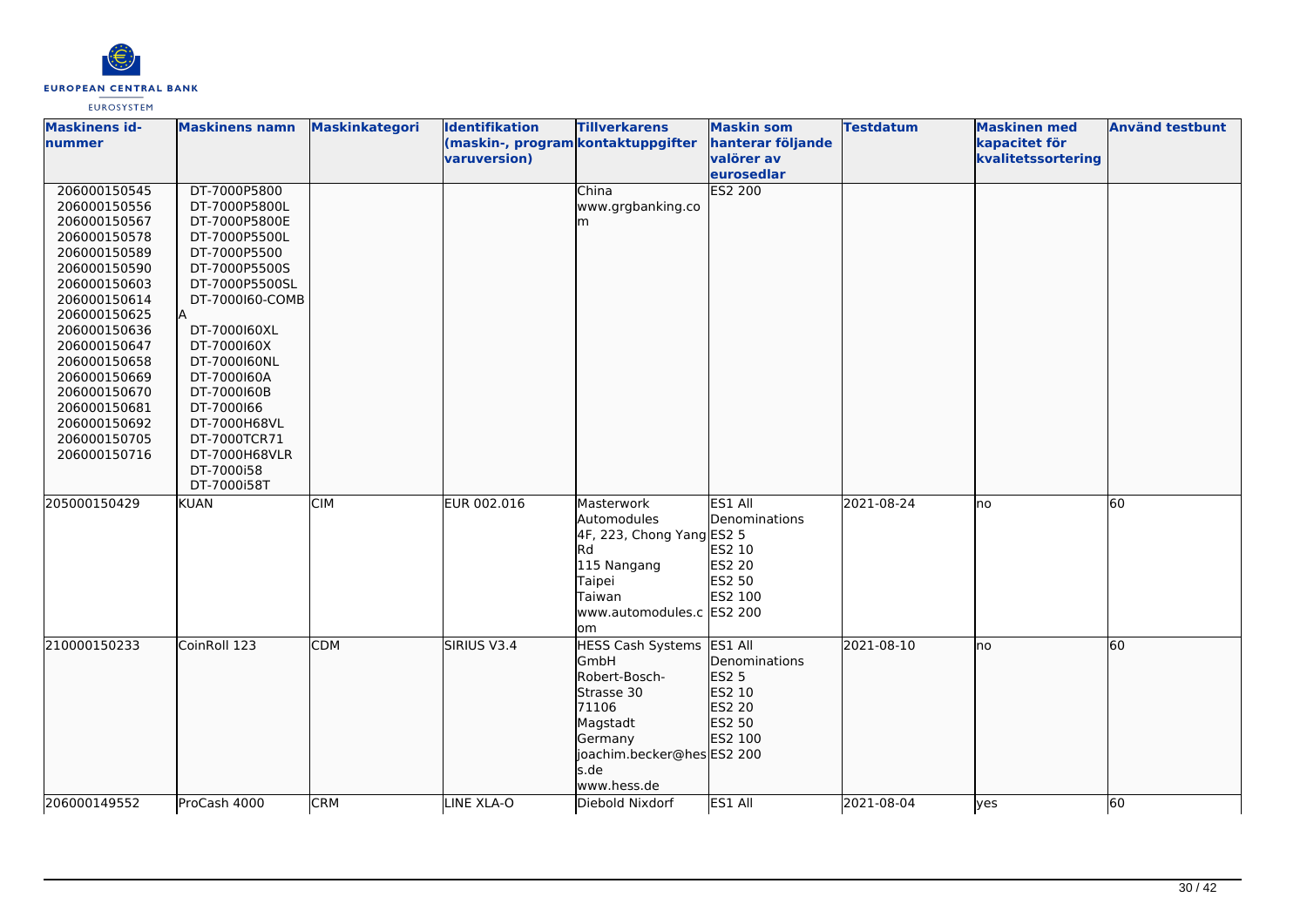

| <b>Maskinens id-</b><br>nummer                                                                                                                                                                                                                                                               | <b>Maskinens namn</b>                                                                                                                                                                                                                                                                                          | <b>Maskinkategori</b> | <b>Identifikation</b><br>(maskin-, program kontaktuppgifter<br>varuversion) | <b>Tillverkarens</b>                                                                                                                                        | <b>Maskin som</b><br>hanterar följande<br>valörer av<br>eurosedlar                | <b>Testdatum</b> | <b>Maskinen med</b><br>kapacitet för<br>kvalitetssortering | <b>Använd testbunt</b> |
|----------------------------------------------------------------------------------------------------------------------------------------------------------------------------------------------------------------------------------------------------------------------------------------------|----------------------------------------------------------------------------------------------------------------------------------------------------------------------------------------------------------------------------------------------------------------------------------------------------------------|-----------------------|-----------------------------------------------------------------------------|-------------------------------------------------------------------------------------------------------------------------------------------------------------|-----------------------------------------------------------------------------------|------------------|------------------------------------------------------------|------------------------|
| 206000150545<br>206000150556<br>206000150567<br>206000150578<br>206000150589<br>206000150590<br>206000150603<br>206000150614<br>206000150625<br>206000150636<br>206000150647<br>206000150658<br>206000150669<br>206000150670<br>206000150681<br>206000150692<br>206000150705<br>206000150716 | DT-7000P5800<br>DT-7000P5800L<br>DT-7000P5800E<br>DT-7000P5500L<br>DT-7000P5500<br>DT-7000P5500S<br>DT-7000P5500SL<br>DT-7000160-COMB<br>DT-7000160XL<br>DT-7000160X<br>DT-7000160NL<br>DT-7000160A<br>DT-7000160B<br>DT-7000166<br>DT-7000H68VL<br>DT-7000TCR71<br>DT-7000H68VLR<br>DT-7000i58<br>DT-7000i58T |                       |                                                                             | China<br>www.grgbanking.co<br>m                                                                                                                             | ES2 200                                                                           |                  |                                                            |                        |
| 205000150429                                                                                                                                                                                                                                                                                 | <b>KUAN</b>                                                                                                                                                                                                                                                                                                    | <b>CIM</b>            | EUR 002.016                                                                 | Masterwork<br>Automodules<br>4F, 223, Chong Yang ES2 5<br>lRd<br>115 Nangang<br>Taipei<br>Taiwan<br>www.automodules.c ES2 200<br>om                         | ES1 All<br>Denominations<br>ES2 10<br>ES2 20<br>ES2 50<br>ES2 100                 | 2021-08-24       | lno                                                        | 60                     |
| 210000150233                                                                                                                                                                                                                                                                                 | CoinRoll 123                                                                                                                                                                                                                                                                                                   | <b>CDM</b>            | SIRIUS V3.4                                                                 | <b>HESS Cash Systems</b><br><b>GmbH</b><br>Robert-Bosch-<br>Strasse 30<br>71106<br>Magstadt<br>Germany<br>joachim.becker@hes ES2 200<br>s.de<br>www.hess.de | ES1 All<br>Denominations<br><b>ES2 5</b><br>ES2 10<br>ES2 20<br>ES2 50<br>ES2 100 | 2021-08-10       | lno                                                        | 60                     |
| 206000149552                                                                                                                                                                                                                                                                                 | ProCash 4000                                                                                                                                                                                                                                                                                                   | <b>CRM</b>            | LINE XLA-O                                                                  | Diebold Nixdorf                                                                                                                                             | ES1 All                                                                           | 2021-08-04       | lyes                                                       | 60                     |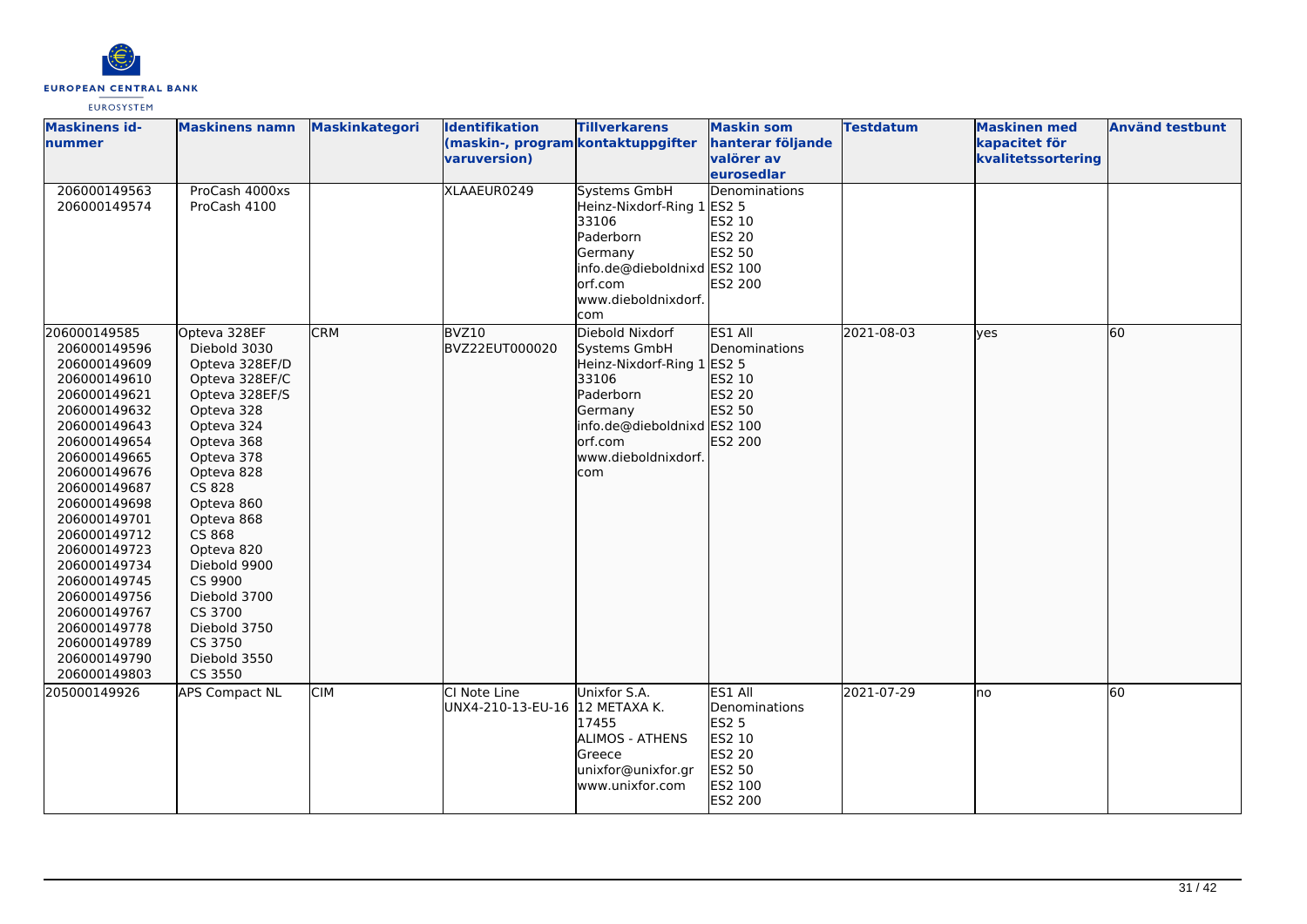

| <b>Maskinens id-</b><br>nummer                                                                                                                                                                                                                                                                                                                                               | <b>Maskinens namn</b>                                                                                                                                                                                                                                                                                                              | <b>Maskinkategori</b> | Identifikation<br>(maskin-, program kontaktuppgifter<br>varuversion) | <b>Tillverkarens</b>                                                                                                                                                   | <b>Maskin som</b><br>hanterar följande<br>valörer av<br>eurosedlar                                  | <b>Testdatum</b> | <b>Maskinen med</b><br>kapacitet för<br>kvalitetssortering | <b>Använd testbunt</b> |
|------------------------------------------------------------------------------------------------------------------------------------------------------------------------------------------------------------------------------------------------------------------------------------------------------------------------------------------------------------------------------|------------------------------------------------------------------------------------------------------------------------------------------------------------------------------------------------------------------------------------------------------------------------------------------------------------------------------------|-----------------------|----------------------------------------------------------------------|------------------------------------------------------------------------------------------------------------------------------------------------------------------------|-----------------------------------------------------------------------------------------------------|------------------|------------------------------------------------------------|------------------------|
| 206000149563<br>206000149574                                                                                                                                                                                                                                                                                                                                                 | ProCash 4000xs<br>ProCash 4100                                                                                                                                                                                                                                                                                                     |                       | XLAAEUR0249                                                          | <b>Systems GmbH</b><br>Heinz-Nixdorf-Ring 1<br>33106<br>Paderborn<br>Germany<br>info.de@dieboldnixd ES2 100<br>orf.com<br>www.dieboldnixdorf.<br>com                   | Denominations<br><b>ES2 5</b><br>ES2 10<br>ES2 20<br>ES2 50<br>ES2 200                              |                  |                                                            |                        |
| 206000149585<br>206000149596<br>206000149609<br>206000149610<br>206000149621<br>206000149632<br>206000149643<br>206000149654<br>206000149665<br>206000149676<br>206000149687<br>206000149698<br>206000149701<br>206000149712<br>206000149723<br>206000149734<br>206000149745<br>206000149756<br>206000149767<br>206000149778<br>206000149789<br>206000149790<br>206000149803 | Opteva 328EF<br>Diebold 3030<br>Opteva 328EF/D<br>Opteva 328EF/C<br>Opteva 328EF/S<br>Opteva 328<br>Opteva 324<br>Opteva 368<br>Opteva 378<br>Opteva 828<br>CS 828<br>Opteva 860<br>Opteva 868<br>CS 868<br>Opteva 820<br>Diebold 9900<br>CS 9900<br>Diebold 3700<br>CS 3700<br>Diebold 3750<br>CS 3750<br>Diebold 3550<br>CS 3550 | <b>CRM</b>            | BVZ10<br>BVZ22EUT000020                                              | Diebold Nixdorf<br>Systems GmbH<br>Heinz-Nixdorf-Ring 1 ES2 5<br>33106<br>Paderborn<br>Germany<br>info.de@dieboldnixd ES2 100<br>orf.com<br>www.dieboldnixdorf.<br>com | ES1 All<br>Denominations<br>ES2 10<br>ES2 20<br>ES2 50<br>ES2 200                                   | 2021-08-03       | lves                                                       | 60                     |
| 205000149926                                                                                                                                                                                                                                                                                                                                                                 | <b>APS Compact NL</b>                                                                                                                                                                                                                                                                                                              | <b>CIM</b>            | CI Note Line<br>UNX4-210-13-EU-16 12 METAXA K.                       | Unixfor S.A.<br>17455<br>ALIMOS - ATHENS<br>Greece<br>unixfor@unixfor.gr<br>www.unixfor.com                                                                            | ES1 All<br>Denominations<br><b>ES2 5</b><br>ES2 10<br>ES2 20<br>ES2 50<br>ES2 100<br><b>ES2 200</b> | 2021-07-29       | lno                                                        | 60                     |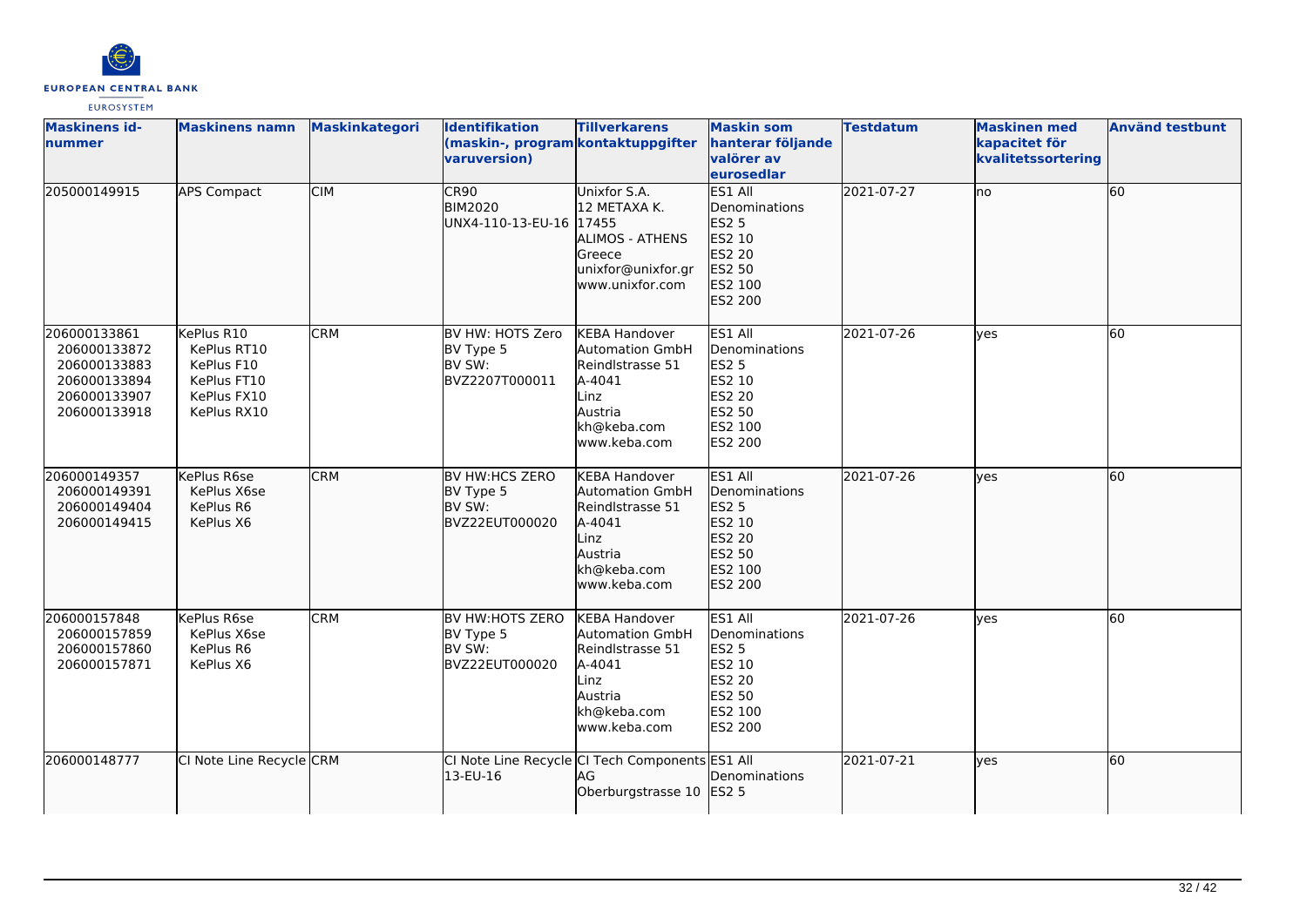

| <b>Maskinens id-</b><br>nummer                                                               | <b>Maskinens namn</b>                                                                | <b>Maskinkategori</b> | <b>Identifikation</b><br>(maskin-, program kontaktuppgifter<br>varuversion) | <b>Tillverkarens</b>                                                                                                           | <b>Maskin som</b><br>hanterar följande<br>valörer av<br>eurosedlar                                         | <b>Testdatum</b> | <b>Maskinen med</b><br>kapacitet för<br>kvalitetssortering | <b>Använd testbunt</b> |
|----------------------------------------------------------------------------------------------|--------------------------------------------------------------------------------------|-----------------------|-----------------------------------------------------------------------------|--------------------------------------------------------------------------------------------------------------------------------|------------------------------------------------------------------------------------------------------------|------------------|------------------------------------------------------------|------------------------|
| 205000149915                                                                                 | <b>APS Compact</b>                                                                   | <b>CIM</b>            | CR90<br><b>BIM2020</b><br>UNX4-110-13-EU-16 17455                           | Unixfor S.A.<br>12 METAXA K.<br>ALIMOS - ATHENS<br>Greece<br>unixfor@unixfor.gr<br>www.unixfor.com                             | ES1 All<br>Denominations<br>ES2 5<br>ES2 10<br>ES2 20<br>ES2 50<br>ES2 100<br>ES2 200                      | 2021-07-27       | Ino                                                        | 60                     |
| 206000133861<br>206000133872<br>206000133883<br>206000133894<br>206000133907<br>206000133918 | KePlus R10<br>KePlus RT10<br>KePlus F10<br>KePlus FT10<br>KePlus FX10<br>KePlus RX10 | <b>CRM</b>            | BV HW: HOTS Zero<br>BV Type 5<br>BV SW:<br>BVZ2207T000011                   | <b>KEBA Handover</b><br>Automation GmbH<br>Reindlstrasse 51<br>A-4041<br>Linz<br>Austria<br>kh@keba.com<br>www.keba.com        | ES1 All<br>Denominations<br><b>ES2 5</b><br>ES2 10<br>ES2 20<br><b>ES2 50</b><br>ES2 100<br><b>ES2 200</b> | 2021-07-26       | ves                                                        | 60                     |
| 206000149357<br>206000149391<br>206000149404<br>206000149415                                 | KePlus R6se<br>KePlus X6se<br>KePlus R6<br>KePlus X6                                 | <b>CRM</b>            | BV HW:HCS ZERO<br>BV Type 5<br>BV SW:<br>BVZ22EUT000020                     | <b>KEBA Handover</b><br><b>Automation GmbH</b><br>Reindlstrasse 51<br>A-4041<br>Linz<br>Austria<br>kh@keba.com<br>www.keba.com | ES1 All<br>Denominations<br><b>ES2 5</b><br>ES2 10<br>ES2 20<br>ES2 50<br>ES2 100<br>ES2 200               | 2021-07-26       | lyes                                                       | 60                     |
| 206000157848<br>206000157859<br>206000157860<br>206000157871                                 | KePlus R6se<br>KePlus X6se<br>KePlus R6<br>KePlus X6                                 | <b>CRM</b>            | BV HW:HOTS ZERO<br>BV Type 5<br>BV SW:<br>BVZ22EUT000020                    | <b>KEBA Handover</b><br>Automation GmbH<br>Reindlstrasse 51<br>A-4041<br>Linz<br>Austria<br>kh@keba.com<br>www.keba.com        | ES1 All<br>Denominations<br><b>ES2 5</b><br>ES2 10<br>ES2 20<br>ES2 50<br>ES2 100<br>ES2 200               | 2021-07-26       | <b>ves</b>                                                 | 60                     |
| 206000148777                                                                                 | CI Note Line Recycle CRM                                                             |                       | CI Note Line Recycle CI Tech Components ES1 All<br>13-EU-16                 | AG<br>Oberburgstrasse 10                                                                                                       | Denominations<br>ES2 5                                                                                     | 2021-07-21       | lves                                                       | 60                     |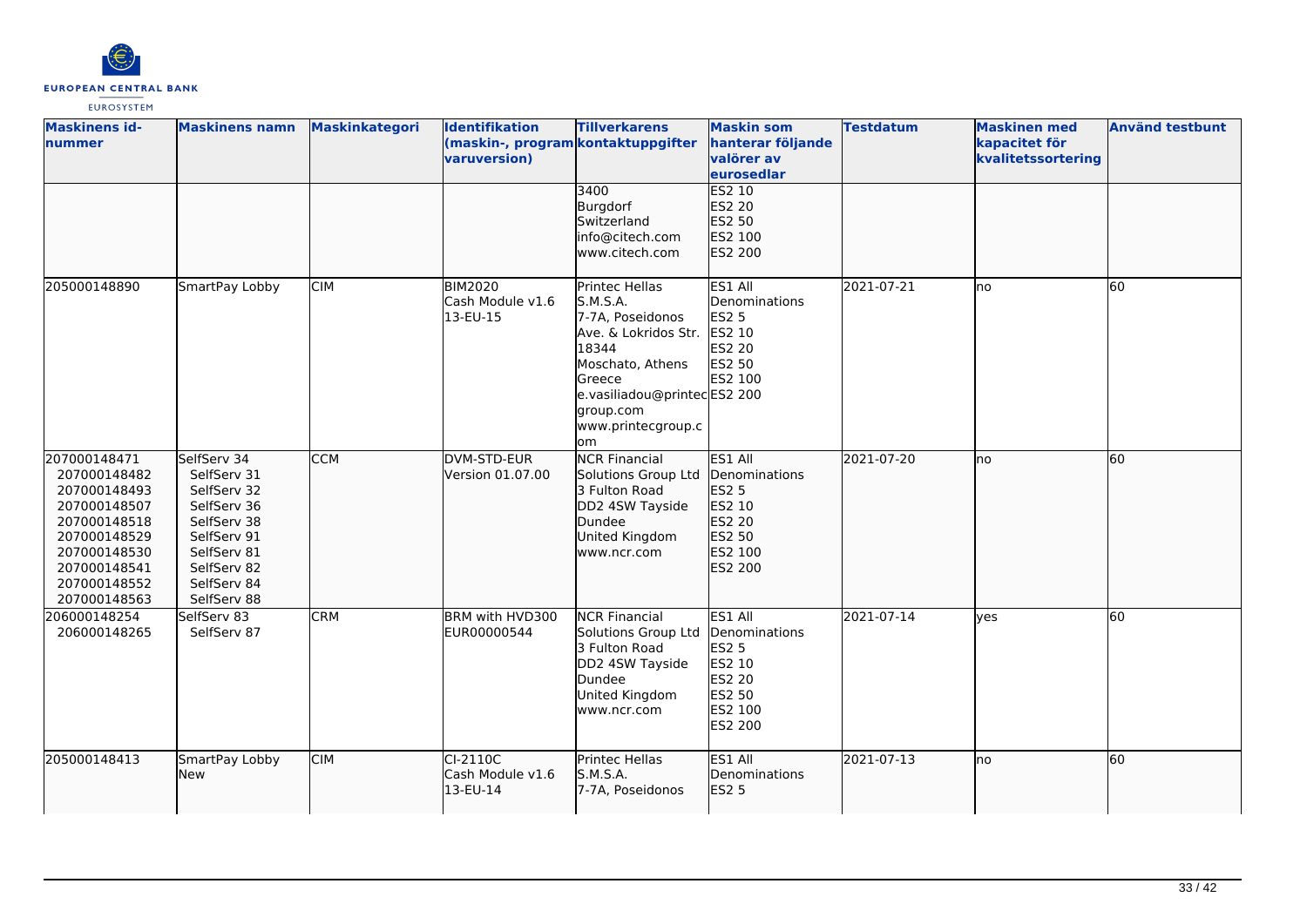

| <b>Maskinens id-</b><br><b>nummer</b>                                                                                                                        | <b>Maskinens namn</b>                                                                                                                              | <b>Maskinkategori</b> | <b>Identifikation</b><br>(maskin-, program kontaktuppgifter<br>varuversion) | <b>Tillverkarens</b><br>3400<br>Burgdorf                                                                                                                                               | <b>Maskin som</b><br>hanterar följande<br>valörer av<br>eurosedlar<br>ES2 10<br>ES2 20              | <b>Testdatum</b> | <b>Maskinen med</b><br>kapacitet för<br>kvalitetssortering | <b>Använd testbunt</b> |
|--------------------------------------------------------------------------------------------------------------------------------------------------------------|----------------------------------------------------------------------------------------------------------------------------------------------------|-----------------------|-----------------------------------------------------------------------------|----------------------------------------------------------------------------------------------------------------------------------------------------------------------------------------|-----------------------------------------------------------------------------------------------------|------------------|------------------------------------------------------------|------------------------|
|                                                                                                                                                              |                                                                                                                                                    |                       |                                                                             | Switzerland<br>info@citech.com<br>lwww.citech.com                                                                                                                                      | ES2 50<br>ES2 100<br><b>ES2 200</b>                                                                 |                  |                                                            |                        |
| 205000148890                                                                                                                                                 | SmartPay Lobby                                                                                                                                     | <b>CIM</b>            | <b>BIM2020</b><br>Cash Module v1.6<br>13-EU-15                              | Printec Hellas<br>S.M.S.A.<br>7-7A, Poseidonos<br>Ave. & Lokridos Str.<br>18344<br>Moschato, Athens<br>Greece<br>e.vasiliadou@printecES2 200<br>group.com<br>www.printecgroup.c<br>lom | ES1 All<br>Denominations<br><b>ES2 5</b><br>ES2 10<br><b>ES2 20</b><br>ES2 50<br>ES2 100            | 2021-07-21       | lno                                                        | 60                     |
| 207000148471<br>207000148482<br>207000148493<br>207000148507<br>207000148518<br>207000148529<br>207000148530<br>207000148541<br>207000148552<br>207000148563 | SelfServ 34<br>SelfServ 31<br>SelfServ 32<br>SelfServ 36<br>SelfServ 38<br>SelfServ 91<br>SelfServ 81<br>SelfServ 82<br>SelfServ 84<br>SelfServ 88 | <b>CCM</b>            | DVM-STD-EUR<br>Version 01.07.00                                             | <b>NCR Financial</b><br>Solutions Group Ltd<br>3 Fulton Road<br>DD2 4SW Tayside<br>Dundee<br>United Kingdom<br>www.ncr.com                                                             | ES1 All<br>Denominations<br>ES2 5<br>ES2 10<br><b>ES2 20</b><br>ES2 50<br>ES2 100<br>ES2 200        | 2021-07-20       | no                                                         | 60                     |
| 206000148254<br>206000148265                                                                                                                                 | SelfServ 83<br>SelfServ 87                                                                                                                         | <b>CRM</b>            | BRM with HVD300<br>EUR00000544                                              | <b>NCR Financial</b><br>Solutions Group Ltd<br>3 Fulton Road<br>DD2 4SW Tayside<br>Dundee<br>United Kingdom<br>www.ncr.com                                                             | ES1 All<br>Denominations<br><b>ES2 5</b><br>ES2 10<br><b>ES2 20</b><br>ES2 50<br>ES2 100<br>ES2 200 | 2021-07-14       | lves                                                       | 60                     |
| 205000148413                                                                                                                                                 | SmartPay Lobby<br>New                                                                                                                              | <b>CIM</b>            | $CI-2110C$<br>Cash Module v1.6<br>13-EU-14                                  | Printec Hellas<br><b>S.M.S.A.</b><br>7-7A, Poseidonos                                                                                                                                  | ES1 All<br>Denominations<br><b>ES2 5</b>                                                            | 2021-07-13       | Ino                                                        | <b>60</b>              |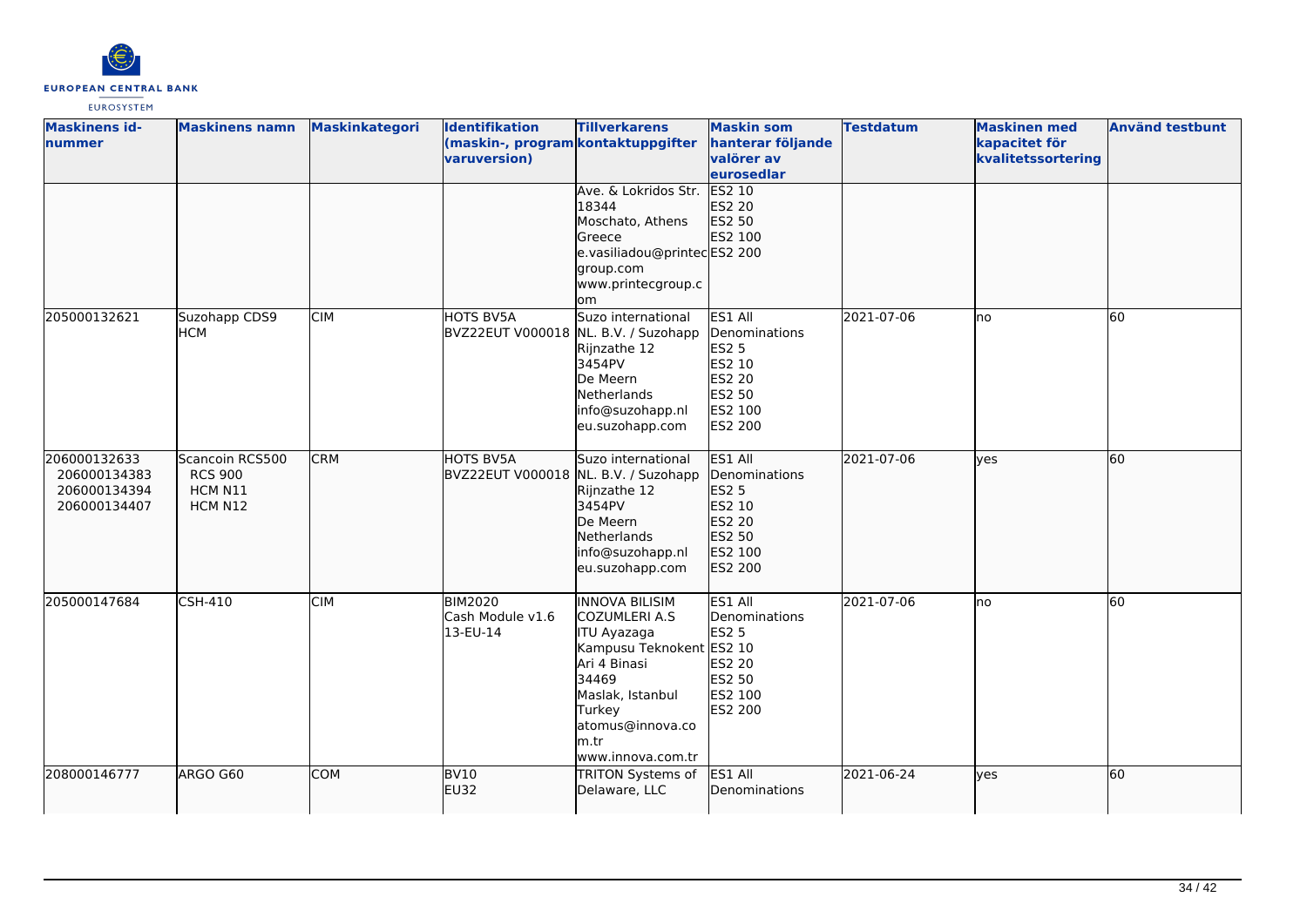

| <b>Maskinens id-</b><br>nummer                               | <b>Maskinens namn</b>                                   | Maskinkategori | <b>Identifikation</b><br>(maskin-, program kontaktuppgifter<br>varuversion) | <b>Tillverkarens</b>                                                                                                                                                                      | <b>Maskin som</b><br>hanterar följande<br>valörer av<br>eurosedlar                                         | <b>Testdatum</b> | <b>Maskinen med</b><br>kapacitet för<br>kvalitetssortering | <b>Använd testbunt</b> |
|--------------------------------------------------------------|---------------------------------------------------------|----------------|-----------------------------------------------------------------------------|-------------------------------------------------------------------------------------------------------------------------------------------------------------------------------------------|------------------------------------------------------------------------------------------------------------|------------------|------------------------------------------------------------|------------------------|
|                                                              |                                                         |                |                                                                             | Ave. & Lokridos Str.<br>18344<br>Moschato, Athens<br>Greece<br>e.vasiliadou@printecES2 200<br>group.com<br>www.printecgroup.c<br><b>om</b>                                                | <b>ES2 10</b><br>ES2 20<br>ES2 50<br>ES2 100                                                               |                  |                                                            |                        |
| 205000132621                                                 | Suzohapp CDS9<br><b>HCM</b>                             | <b>CIM</b>     | HOTS BV5A<br>BVZ22EUT V000018 NL. B.V. / Suzohapp                           | Suzo international<br>Rijnzathe 12<br>3454PV<br>De Meern<br><b>Netherlands</b><br>info@suzohapp.nl<br>eu.suzohapp.com                                                                     | ES1 All<br>Denominations<br><b>ES2 5</b><br>ES2 10<br><b>ES2 20</b><br>ES2 50<br>ES2 100<br><b>ES2 200</b> | 2021-07-06       | no                                                         | 60                     |
| 206000132633<br>206000134383<br>206000134394<br>206000134407 | Scancoin RCS500<br><b>RCS 900</b><br>HCM N11<br>HCM N12 | <b>CRM</b>     | <b>HOTS BV5A</b><br>BVZ22EUT V000018 NL. B.V. / Suzohapp                    | Suzo international<br>Rijnzathe 12<br>3454PV<br>De Meern<br>Netherlands<br>info@suzohapp.nl<br>eu.suzohapp.com                                                                            | ES1 All<br>Denominations<br>ES2 5<br>ES2 10<br>ES2 20<br>ES2 50<br>ES2 100<br>ES2 200                      | 2021-07-06       | lyes                                                       | 60                     |
| 205000147684                                                 | <b>CSH-410</b>                                          | <b>CIM</b>     | <b>BIM2020</b><br>Cash Module v1.6<br>13-EU-14                              | <b>INNOVA BILISIM</b><br>COZUMLERI A.S<br>ITU Ayazaga<br>Kampusu Teknokent ES2 10<br>Ari 4 Binasi<br>34469<br>Maslak, Istanbul<br>Turkey<br>atomus@innova.co<br>m.tr<br>www.innova.com.tr | ES1 All<br>Denominations<br><b>ES2 5</b><br><b>ES2 20</b><br>ES2 50<br>ES2 100<br><b>ES2 200</b>           | 2021-07-06       | no                                                         | 60                     |
| 208000146777                                                 | ARGO G60                                                | <b>COM</b>     | <b>BV10</b><br><b>EU32</b>                                                  | TRITON Systems of<br>Delaware, LLC                                                                                                                                                        | ES1 All<br>Denominations                                                                                   | 2021-06-24       | lyes                                                       | 60                     |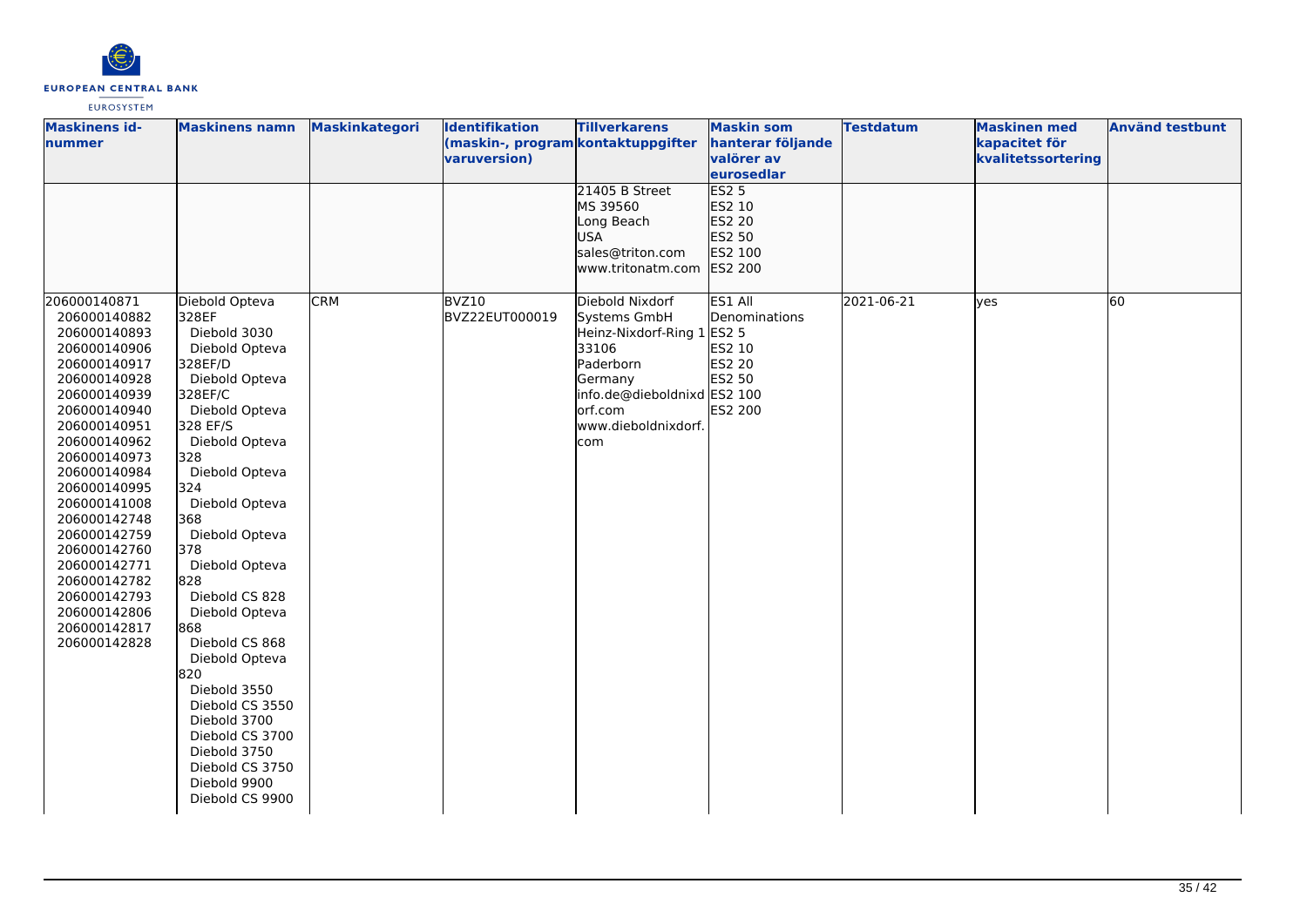

| <b>Maskinens id-</b><br>nummer                                                                                                                                                                                                                                                                                                                               | <b>Maskinens namn</b>                                                                                                                                                                                                                                                                                                                                                                                                                                                        | <b>Maskinkategori</b> | <b>Identifikation</b><br>(maskin-, program kontaktuppgifter | <b>Tillverkarens</b>                                                                                                                                | <b>Maskin som</b><br>hanterar följande                                             | <b>Testdatum</b> | <b>Maskinen med</b><br>kapacitet för | <b>Använd testbunt</b> |
|--------------------------------------------------------------------------------------------------------------------------------------------------------------------------------------------------------------------------------------------------------------------------------------------------------------------------------------------------------------|------------------------------------------------------------------------------------------------------------------------------------------------------------------------------------------------------------------------------------------------------------------------------------------------------------------------------------------------------------------------------------------------------------------------------------------------------------------------------|-----------------------|-------------------------------------------------------------|-----------------------------------------------------------------------------------------------------------------------------------------------------|------------------------------------------------------------------------------------|------------------|--------------------------------------|------------------------|
|                                                                                                                                                                                                                                                                                                                                                              |                                                                                                                                                                                                                                                                                                                                                                                                                                                                              |                       | varuversion)                                                |                                                                                                                                                     | valörer av<br>eurosedlar                                                           |                  | kvalitetssortering                   |                        |
| 206000140871                                                                                                                                                                                                                                                                                                                                                 | Diebold Opteva                                                                                                                                                                                                                                                                                                                                                                                                                                                               | <b>CRM</b>            | BVZ10                                                       | 21405 B Street<br>MS 39560<br>Long Beach<br><b>USA</b><br>sales@triton.com<br>www.tritonatm.com<br>Diebold Nixdorf                                  | <b>ES2 5</b><br>ES2 10<br>ES2 20<br>ES2 50<br>ES2 100<br><b>ES2 200</b><br>ES1 All | 2021-06-21       | <b>ves</b>                           | 60                     |
| 206000140882<br>206000140893<br>206000140906<br>206000140917<br>206000140928<br>206000140939<br>206000140940<br>206000140951<br>206000140962<br>206000140973<br>206000140984<br>206000140995<br>206000141008<br>206000142748<br>206000142759<br>206000142760<br>206000142771<br>206000142782<br>206000142793<br>206000142806<br>206000142817<br>206000142828 | 328EF<br>Diebold 3030<br>Diebold Opteva<br>328EF/D<br>Diebold Opteva<br>328EF/C<br>Diebold Opteva<br>328 EF/S<br>Diebold Opteva<br>328<br>Diebold Opteva<br>324<br>Diebold Opteva<br>368<br>Diebold Opteva<br>378<br>Diebold Opteva<br>828<br>Diebold CS 828<br>Diebold Opteva<br>868<br>Diebold CS 868<br>Diebold Opteva<br>820<br>Diebold 3550<br>Diebold CS 3550<br>Diebold 3700<br>Diebold CS 3700<br>Diebold 3750<br>Diebold CS 3750<br>Diebold 9900<br>Diebold CS 9900 |                       | BVZ22EUT000019                                              | Systems GmbH<br>Heinz-Nixdorf-Ring 1 ES2 5<br>33106<br>Paderborn<br>Germany<br>info.de@dieboldnixd ES2 100<br>orf.com<br>www.dieboldnixdorf.<br>com | Denominations<br>ES2 10<br><b>ES2 20</b><br>ES2 50<br>ES2 200                      |                  |                                      |                        |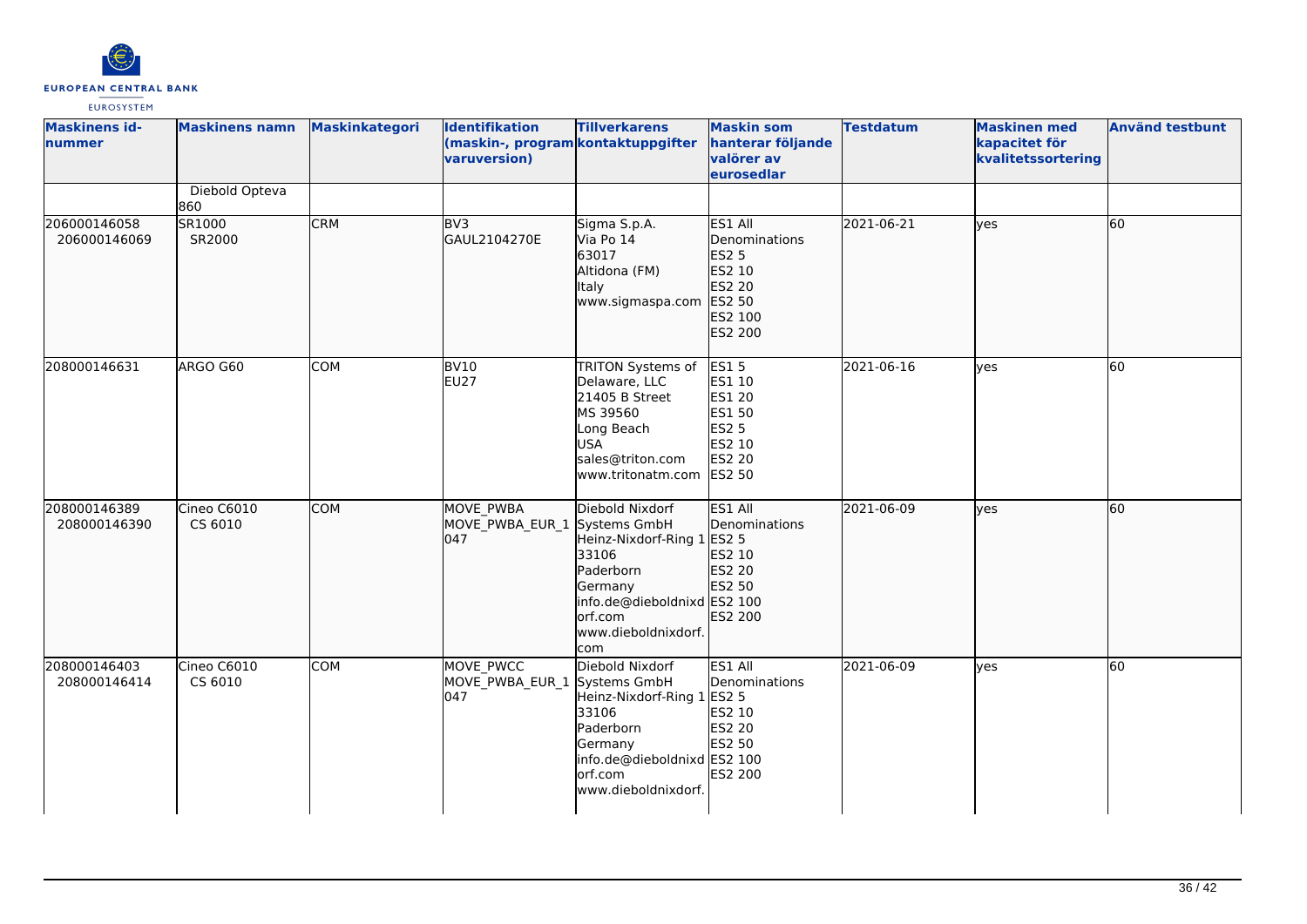

| <b>Maskinens id-</b><br>lnummer | <b>Maskinens namn</b>  | Maskinkategori | <b>Identifikation</b><br>(maskin-, program kontaktuppgifter<br>varuversion) | <b>Tillverkarens</b>                                                                                                                                                   | <b>Maskin som</b><br>hanterar följande<br>valörer av<br>eurosedlar                                    | <b>Testdatum</b> | <b>Maskinen med</b><br>kapacitet för<br>kvalitetssortering | <b>Använd testbunt</b> |
|---------------------------------|------------------------|----------------|-----------------------------------------------------------------------------|------------------------------------------------------------------------------------------------------------------------------------------------------------------------|-------------------------------------------------------------------------------------------------------|------------------|------------------------------------------------------------|------------------------|
|                                 | Diebold Opteva<br>860  |                |                                                                             |                                                                                                                                                                        |                                                                                                       |                  |                                                            |                        |
| 206000146058<br>206000146069    | SR1000<br>SR2000       | <b>CRM</b>     | BV <sub>3</sub><br>GAUL2104270E                                             | Sigma S.p.A.<br>Via Po 14<br>63017<br>Altidona (FM)<br><b>Italy</b><br>www.sigmaspa.com                                                                                | ES1 All<br>Denominations<br><b>ES2 5</b><br>ES2 10<br>ES2 20<br>ES2 50<br>ES2 100<br>ES2 200          | 2021-06-21       | lyes                                                       | 60                     |
| 208000146631                    | ARGO G60               | COM            | BV10<br>EU27                                                                | TRITON Systems of<br>Delaware, LLC<br>21405 B Street<br>MS 39560<br>Long Beach<br><b>USA</b><br>sales@triton.com<br>www.tritonatm.com                                  | <b>ES15</b><br>ES1 10<br><b>ES1 20</b><br>ES1 50<br><b>ES2 5</b><br>ES2 10<br>ES2 20<br><b>ES2 50</b> | 2021-06-16       | <b>ves</b>                                                 | 60                     |
| 208000146389<br>208000146390    | Cineo C6010<br>CS 6010 | <b>COM</b>     | MOVE PWBA<br>MOVE_PWBA_EUR_1<br>047                                         | Diebold Nixdorf<br>Systems GmbH<br>Heinz-Nixdorf-Ring 1 ES2 5<br>33106<br>Paderborn<br>Germany<br>info.de@dieboldnixd ES2 100<br>orf.com<br>www.dieboldnixdorf.<br>com | ES1 All<br>Denominations<br>ES2 10<br>ES2 20<br>ES2 50<br>ES2 200                                     | 2021-06-09       | lyes                                                       | 60                     |
| 208000146403<br>208000146414    | Cineo C6010<br>CS 6010 | <b>COM</b>     | MOVE PWCC<br>MOVE_PWBA_EUR_1 Systems GmbH<br>047                            | Diebold Nixdorf<br>Heinz-Nixdorf-Ring 1 ES2 5<br>33106<br>Paderborn<br>Germany<br>info.de@dieboldnixd ES2 100<br>orf.com<br>www.dieboldnixdorf.                        | ES1 All<br>Denominations<br>ES2 10<br>ES2 20<br>ES2 50<br>ES2 200                                     | 2021-06-09       | <b>ves</b>                                                 | 60                     |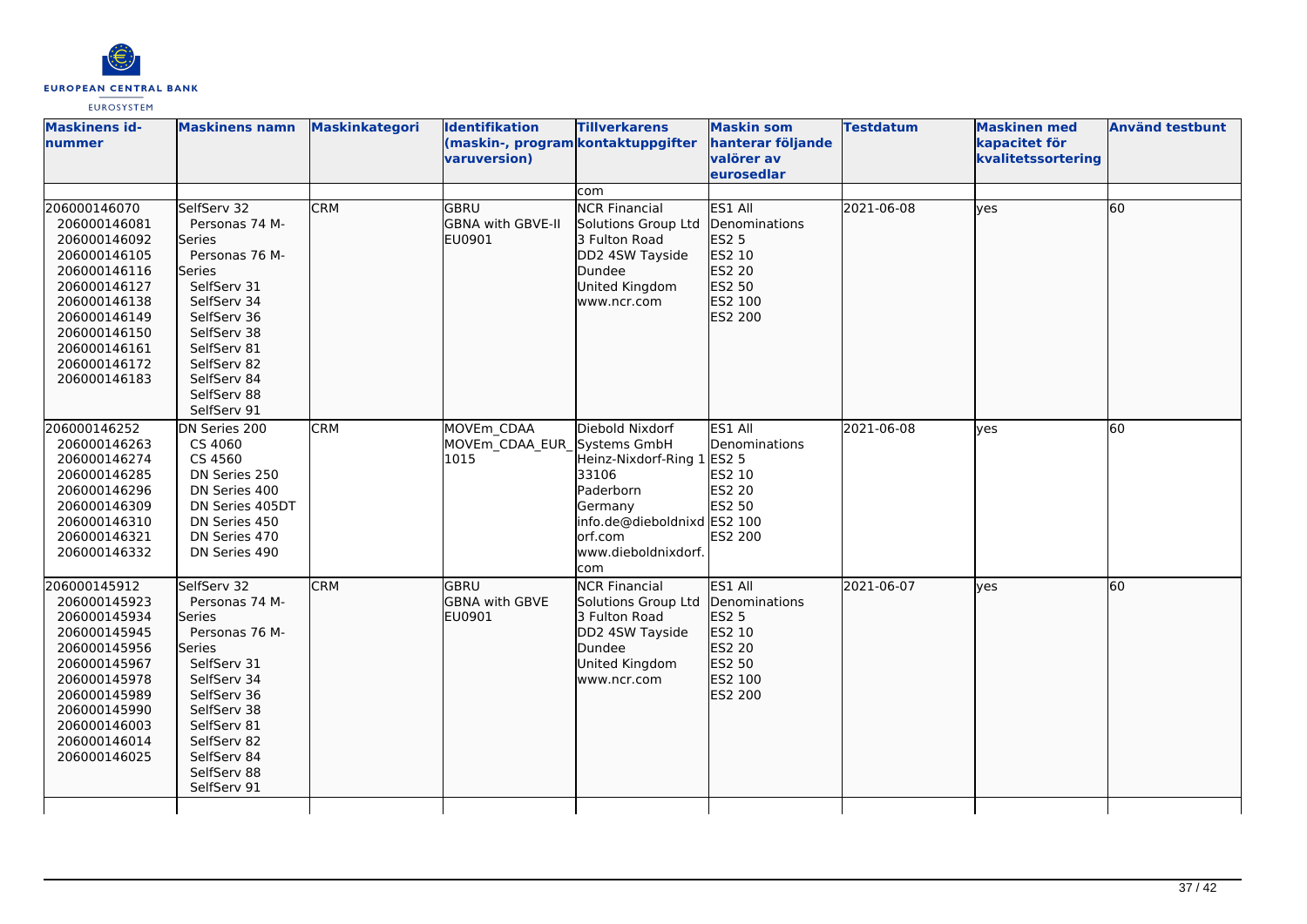

| <b>Maskinens id-</b><br>nummer                                                                                                                                                               | <b>Maskinens namn</b>                                                                                                                                                                                       | <b>Maskinkategori</b> | <b>Identifikation</b><br>(maskin-, program kontaktuppgifter<br>varuversion) | <b>Tillverkarens</b>                                                                                                                             | <b>Maskin som</b><br>hanterar följande<br>valörer av<br>eurosedlar                    | <b>Testdatum</b> | <b>Maskinen med</b><br>kapacitet för<br>kvalitetssortering | <b>Använd testbunt</b> |
|----------------------------------------------------------------------------------------------------------------------------------------------------------------------------------------------|-------------------------------------------------------------------------------------------------------------------------------------------------------------------------------------------------------------|-----------------------|-----------------------------------------------------------------------------|--------------------------------------------------------------------------------------------------------------------------------------------------|---------------------------------------------------------------------------------------|------------------|------------------------------------------------------------|------------------------|
|                                                                                                                                                                                              |                                                                                                                                                                                                             |                       |                                                                             | com                                                                                                                                              |                                                                                       |                  |                                                            |                        |
| 206000146070<br>206000146081<br>206000146092<br>206000146105<br>206000146116<br>206000146127<br>206000146138<br>206000146149<br>206000146150<br>206000146161<br>206000146172<br>206000146183 | SelfServ 32<br>Personas 74 M-<br>Series<br>Personas 76 M-<br>lSeries<br>SelfServ 31<br>SelfServ 34<br>SelfServ 36<br>SelfServ 38<br>SelfServ 81<br>SelfServ 82<br>SelfServ 84<br>SelfServ 88<br>SelfServ 91 | <b>CRM</b>            | GBRU<br>GBNA with GBVE-II<br><b>EU0901</b>                                  | <b>NCR Financial</b><br>Solutions Group Ltd<br>3 Fulton Road<br>DD2 4SW Tayside<br>Dundee<br>United Kingdom<br>www.ncr.com                       | ES1 All<br>Denominations<br>ES2 5<br>ES2 10<br>ES2 20<br>ES2 50<br>ES2 100<br>ES2 200 | 2021-06-08       | lyes                                                       | 60                     |
| 206000146252<br>206000146263<br>206000146274<br>206000146285<br>206000146296<br>206000146309<br>206000146310<br>206000146321<br>206000146332                                                 | DN Series 200<br>CS 4060<br>CS 4560<br>DN Series 250<br>DN Series 400<br>DN Series 405DT<br>DN Series 450<br>DN Series 470<br>DN Series 490                                                                 | <b>CRM</b>            | MOVEm CDAA<br>MOVEm_CDAA_EUR_Systems GmbH<br>1015                           | Diebold Nixdorf<br>Heinz-Nixdorf-Ring 1<br>33106<br>Paderborn<br>Germany<br>info.de@dieboldnixd ES2 100<br>orf.com<br>www.dieboldnixdorf.<br>com | ES1 All<br>Denominations<br>ES2 5<br>ES2 10<br>ES2 20<br>ES2 50<br><b>ES2 200</b>     | 2021-06-08       | <b>ves</b>                                                 | 60                     |
| 206000145912<br>206000145923<br>206000145934<br>206000145945<br>206000145956<br>206000145967<br>206000145978<br>206000145989<br>206000145990<br>206000146003<br>206000146014<br>206000146025 | SelfServ 32<br>Personas 74 M-<br>lSeries<br>Personas 76 M-<br>Series<br>SelfServ 31<br>SelfServ 34<br>SelfServ 36<br>SelfServ 38<br>SelfServ 81<br>SelfServ 82<br>SelfServ 84<br>SelfServ 88<br>SelfServ 91 | <b>CRM</b>            | lgbru<br><b>GBNA with GBVE</b><br><b>EU0901</b>                             | <b>NCR Financial</b><br>Solutions Group Ltd<br>3 Fulton Road<br>DD2 4SW Tayside<br>Dundee<br>United Kingdom<br>www.ncr.com                       | ES1 All<br>Denominations<br>ES2 5<br>ES2 10<br>ES2 20<br>ES2 50<br>ES2 100<br>ES2 200 | 2021-06-07       | <b>lves</b>                                                | 60                     |
|                                                                                                                                                                                              |                                                                                                                                                                                                             |                       |                                                                             |                                                                                                                                                  |                                                                                       |                  |                                                            |                        |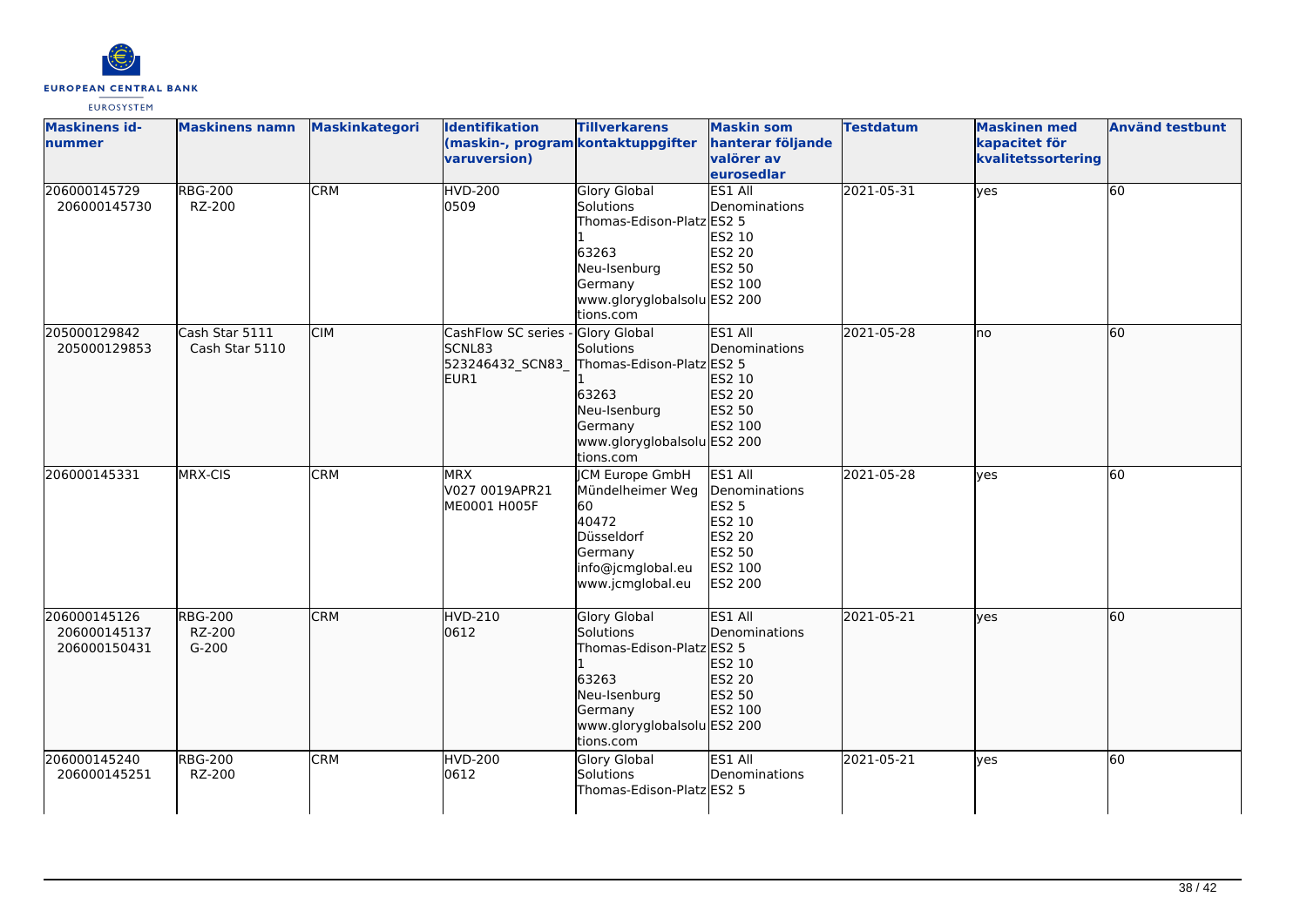

| <b>Maskinens id-</b><br>nummer               | <b>Maskinens namn</b>               | Maskinkategori | <b>Identifikation</b><br>(maskin-, program kontaktuppgifter<br>varuversion) | <b>Tillverkarens</b>                                                                                                                          | <b>Maskin som</b><br>hanterar följande<br>valörer av<br>eurosedlar                                                | <b>Testdatum</b> | <b>Maskinen med</b><br>kapacitet för<br>kvalitetssortering | <b>Använd testbunt</b> |
|----------------------------------------------|-------------------------------------|----------------|-----------------------------------------------------------------------------|-----------------------------------------------------------------------------------------------------------------------------------------------|-------------------------------------------------------------------------------------------------------------------|------------------|------------------------------------------------------------|------------------------|
| 206000145729<br>206000145730                 | <b>RBG-200</b><br>RZ-200            | <b>CRM</b>     | <b>HVD-200</b><br>0509                                                      | <b>Glory Global</b><br>Solutions<br>Thomas-Edison-Platz ES2 5<br>63263<br>Neu-Isenburg<br>Germany<br>www.gloryglobalsolu ES2 200<br>tions.com | ES1 All<br>Denominations<br>ES2 10<br>ES2 20<br>ES2 50<br>ES2 100                                                 | 2021-05-31       | yes                                                        | 60                     |
| 205000129842<br>205000129853                 | Cash Star 5111<br>Cash Star 5110    | <b>CIM</b>     | CashFlow SC series -<br><b>SCNL83</b><br>523246432_SCN83_<br>EUR1           | Glory Global<br>Solutions<br>Thomas-Edison-Platz ES2 5<br>63263<br>Neu-Isenburg<br>Germany<br>www.gloryglobalsolu ES2 200<br>tions.com        | ES1 All<br><b>IDenominations</b><br>ES2 10<br>ES2 20<br>ES2 50<br>ES2 100                                         | 2021-05-28       | lno                                                        | 60                     |
| 206000145331                                 | MRX-CIS                             | <b>CRM</b>     | <b>MRX</b><br>V027 0019APR21<br>ME0001 H005F                                | <b>CM Europe GmbH</b><br>Mündelheimer Weg<br>60<br>40472<br>Düsseldorf<br>Germany<br>info@jcmglobal.eu<br>www.jcmglobal.eu                    | ES1 All<br>Denominations<br><b>ES2 5</b><br>ES2 10<br><b>ES2 20</b><br><b>ES2 50</b><br>ES2 100<br><b>ES2 200</b> | 2021-05-28       | ves                                                        | 60                     |
| 206000145126<br>206000145137<br>206000150431 | <b>RBG-200</b><br>RZ-200<br>$G-200$ | <b>CRM</b>     | HVD-210<br>0612                                                             | <b>Glory Global</b><br>Solutions<br>Thomas-Edison-Platz ES2 5<br>63263<br>Neu-Isenburg<br>Germany<br>www.gloryglobalsolu ES2 200<br>tions.com | ES1 All<br><b>IDenominations</b><br>ES2 10<br>ES2 20<br>ES2 50<br>ES2 100                                         | 2021-05-21       | lves                                                       | 60                     |
| 206000145240<br>206000145251                 | <b>RBG-200</b><br>RZ-200            | <b>CRM</b>     | <b>HVD-200</b><br>0612                                                      | <b>Glory Global</b><br>Solutions<br>Thomas-Edison-PlatzlES2 5                                                                                 | ES1 All<br>Denominations                                                                                          | 2021-05-21       | <b>ves</b>                                                 | 60                     |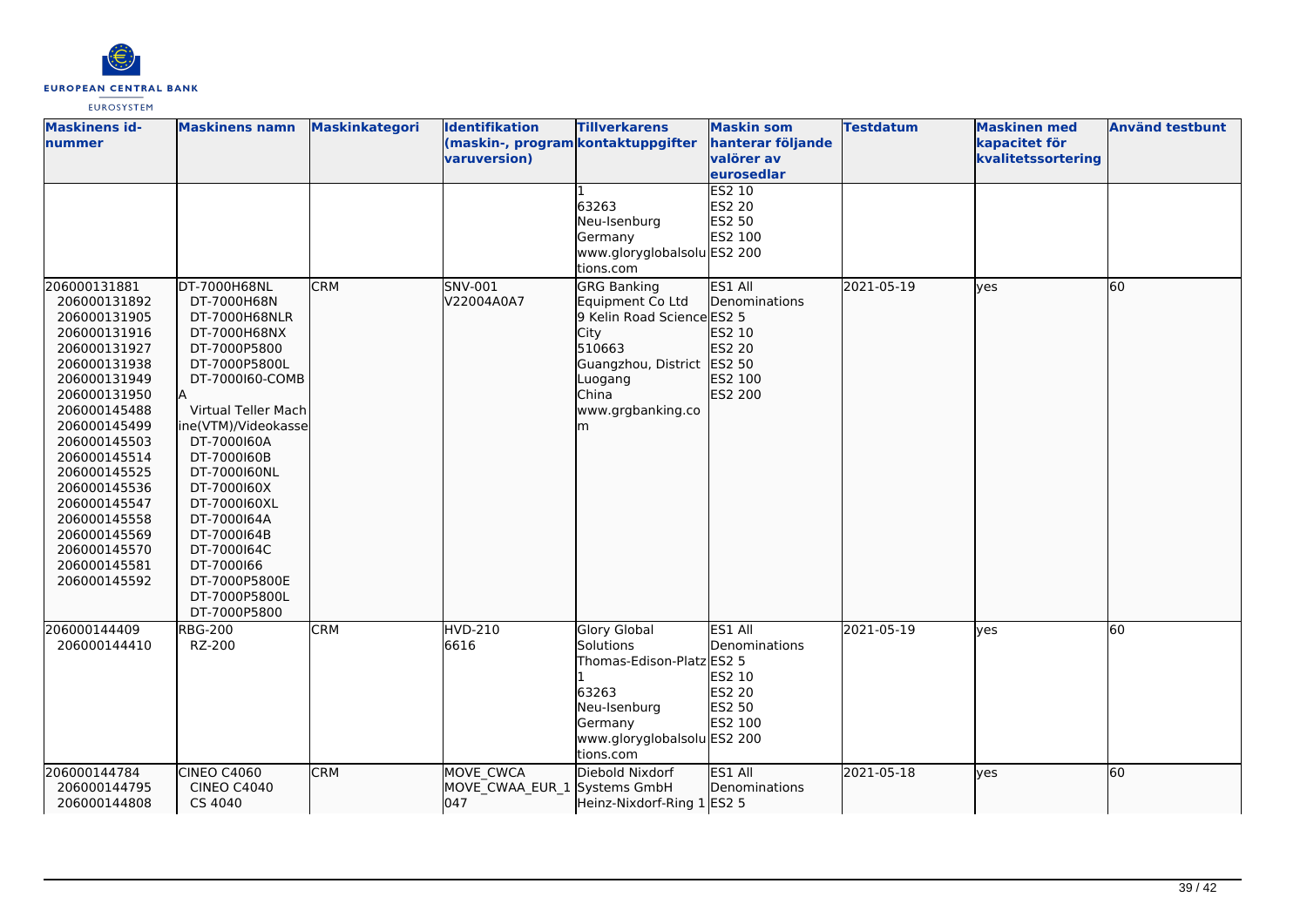

| <b>Maskinens id-</b><br>nummer                                                                                                                                                                                                                                                                                               | <b>Maskinens namn</b>                                                                                                                                                                                                                                                                                                                                    | Maskinkategori | <b>Identifikation</b><br>(maskin-, program kontaktuppgifter<br>varuversion) | <b>Tillverkarens</b><br>63263<br>Neu-Isenburg<br>Germany<br>www.gloryglobalsolu ES2 200<br>tions.com                                                   | <b>Maskin som</b><br>hanterar följande<br>valörer av<br>eurosedlar<br><b>ES2 10</b><br><b>ES2 20</b><br>ES2 50<br>ES2 100 | <b>Testdatum</b> | <b>Maskinen</b> med<br>kapacitet för<br>kvalitetssortering | <b>Använd testbunt</b> |
|------------------------------------------------------------------------------------------------------------------------------------------------------------------------------------------------------------------------------------------------------------------------------------------------------------------------------|----------------------------------------------------------------------------------------------------------------------------------------------------------------------------------------------------------------------------------------------------------------------------------------------------------------------------------------------------------|----------------|-----------------------------------------------------------------------------|--------------------------------------------------------------------------------------------------------------------------------------------------------|---------------------------------------------------------------------------------------------------------------------------|------------------|------------------------------------------------------------|------------------------|
| 206000131881<br>206000131892<br>206000131905<br>206000131916<br>206000131927<br>206000131938<br>206000131949<br>206000131950<br>206000145488<br>206000145499<br>206000145503<br>206000145514<br>206000145525<br>206000145536<br>206000145547<br>206000145558<br>206000145569<br>206000145570<br>206000145581<br>206000145592 | DT-7000H68NL<br>DT-7000H68N<br>DT-7000H68NLR<br>DT-7000H68NX<br>DT-7000P5800<br>DT-7000P5800L<br>DT-7000160-COMB<br>Virtual Teller Mach<br>ine(VTM)/Videokasse<br>DT-7000160A<br>DT-7000160B<br>DT-7000160NL<br>DT-7000160X<br>DT-7000160XL<br>DT-7000164A<br>DT-7000164B<br>DT-7000164C<br>DT-7000166<br>DT-7000P5800E<br>DT-7000P5800L<br>DT-7000P5800 | <b>CRM</b>     | SNV-001<br>V22004A0A7                                                       | <b>GRG Banking</b><br>Equipment Co Ltd<br>9 Kelin Road Science ES2 5<br>City<br>510663<br>Guangzhou, District<br>Luogang<br>China<br>www.grgbanking.co | ES1 All<br>Denominations<br>ES2 10<br>ES2 20<br>ES2 50<br>ES2 100<br>ES2 200                                              | 2021-05-19       | ves                                                        | 60                     |
| 206000144409<br>206000144410                                                                                                                                                                                                                                                                                                 | <b>RBG-200</b><br>RZ-200                                                                                                                                                                                                                                                                                                                                 | <b>CRM</b>     | <b>HVD-210</b><br>6616                                                      | <b>Glory Global</b><br>Solutions<br>Thomas-Edison-Platz ES2 5<br>63263<br>Neu-Isenburg<br>Germany<br>www.gloryglobalsolu ES2 200<br>tions.com          | ES1 All<br>Denominations<br>ES2 10<br><b>ES2 20</b><br>ES2 50<br>ES2 100                                                  | 2021-05-19       | ves                                                        | 60                     |
| 206000144784<br>206000144795<br>206000144808                                                                                                                                                                                                                                                                                 | <b>CINEO C4060</b><br><b>CINEO C4040</b><br>CS 4040                                                                                                                                                                                                                                                                                                      | <b>CRM</b>     | MOVE CWCA<br>MOVE_CWAA_EUR_1 Systems GmbH<br>047                            | Diebold Nixdorf<br>Heinz-Nixdorf-Ring 1 ES2 5                                                                                                          | ES1 All<br>Denominations                                                                                                  | 2021-05-18       | ves                                                        | 60                     |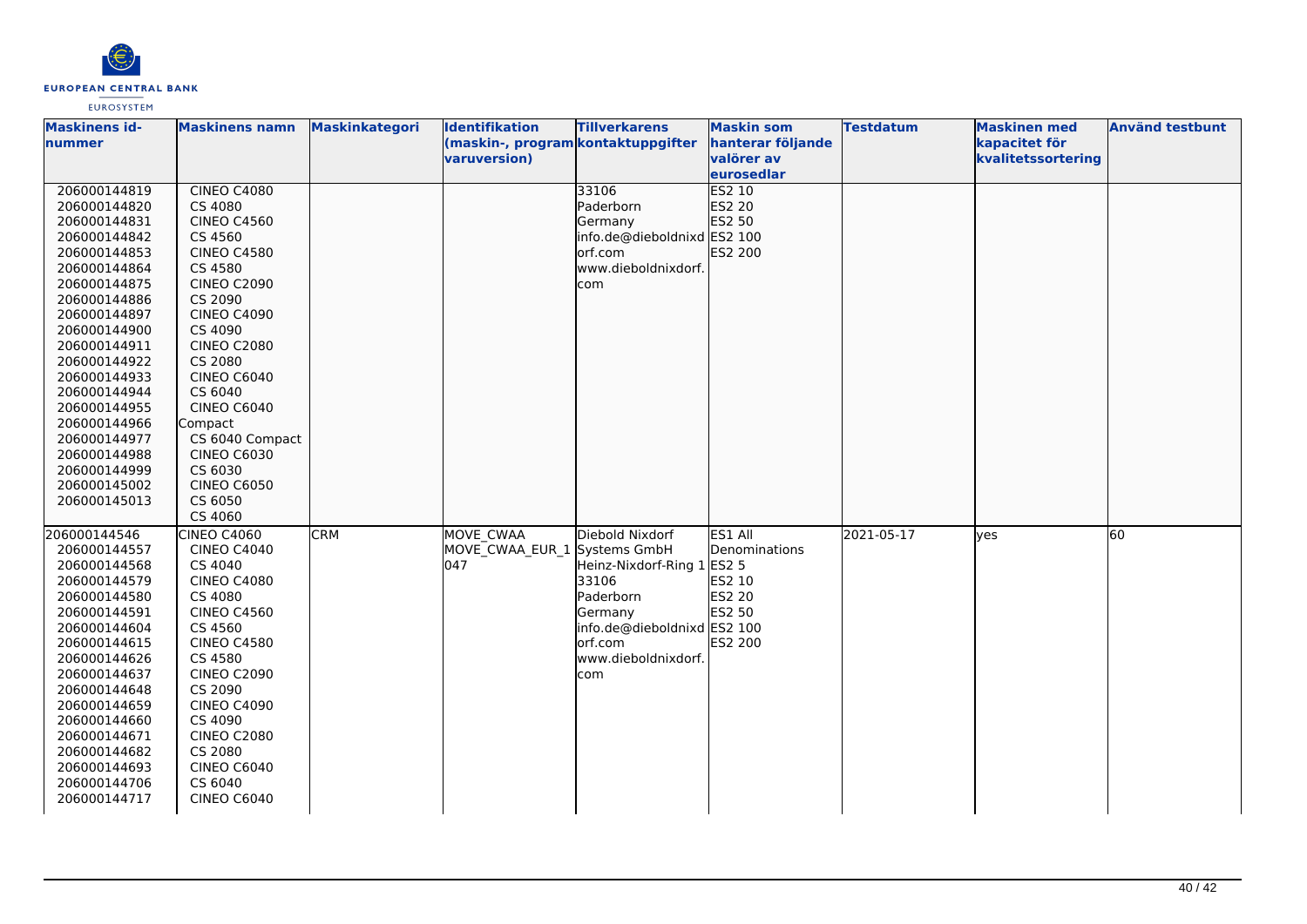

| <b>Maskinens id-</b> | <b>Maskinens namn</b> | <b>Maskinkategori</b> | Identifikation                     | <b>Tillverkarens</b>        | <b>Maskin som</b> | <b>Testdatum</b> | <b>Maskinen med</b> | <b>Använd testbunt</b> |
|----------------------|-----------------------|-----------------------|------------------------------------|-----------------------------|-------------------|------------------|---------------------|------------------------|
| nummer               |                       |                       | (maskin-, program kontaktuppgifter |                             | hanterar följande |                  | kapacitet för       |                        |
|                      |                       |                       | varuversion)                       |                             | valörer av        |                  | kvalitetssortering  |                        |
|                      |                       |                       |                                    |                             | eurosedlar        |                  |                     |                        |
| 206000144819         | <b>CINEO C4080</b>    |                       |                                    | 33106                       | ES2 10            |                  |                     |                        |
| 206000144820         | CS 4080               |                       |                                    | Paderborn                   | ES2 20            |                  |                     |                        |
| 206000144831         | <b>CINEO C4560</b>    |                       |                                    | Germany                     | ES2 50            |                  |                     |                        |
| 206000144842         | CS 4560               |                       |                                    | info.de@dieboldnixd ES2 100 |                   |                  |                     |                        |
| 206000144853         | <b>CINEO C4580</b>    |                       |                                    | orf.com                     | ES2 200           |                  |                     |                        |
| 206000144864         | CS 4580               |                       |                                    | www.dieboldnixdorf.         |                   |                  |                     |                        |
| 206000144875         | <b>CINEO C2090</b>    |                       |                                    | com                         |                   |                  |                     |                        |
| 206000144886         | CS 2090               |                       |                                    |                             |                   |                  |                     |                        |
| 206000144897         | <b>CINEO C4090</b>    |                       |                                    |                             |                   |                  |                     |                        |
| 206000144900         | CS 4090               |                       |                                    |                             |                   |                  |                     |                        |
| 206000144911         | <b>CINEO C2080</b>    |                       |                                    |                             |                   |                  |                     |                        |
| 206000144922         | CS 2080               |                       |                                    |                             |                   |                  |                     |                        |
| 206000144933         | <b>CINEO C6040</b>    |                       |                                    |                             |                   |                  |                     |                        |
| 206000144944         | CS 6040               |                       |                                    |                             |                   |                  |                     |                        |
| 206000144955         | <b>CINEO C6040</b>    |                       |                                    |                             |                   |                  |                     |                        |
| 206000144966         | Compact               |                       |                                    |                             |                   |                  |                     |                        |
| 206000144977         | CS 6040 Compact       |                       |                                    |                             |                   |                  |                     |                        |
| 206000144988         | <b>CINEO C6030</b>    |                       |                                    |                             |                   |                  |                     |                        |
| 206000144999         | CS 6030               |                       |                                    |                             |                   |                  |                     |                        |
| 206000145002         | <b>CINEO C6050</b>    |                       |                                    |                             |                   |                  |                     |                        |
| 206000145013         | CS 6050               |                       |                                    |                             |                   |                  |                     |                        |
|                      | CS 4060               |                       |                                    |                             |                   |                  |                     |                        |
| 206000144546         | <b>CINEO C4060</b>    | <b>CRM</b>            | MOVE CWAA                          | Diebold Nixdorf             | ES1 All           | 2021-05-17       | <b>l</b> ves        | 60                     |
| 206000144557         | <b>CINEO C4040</b>    |                       | MOVE CWAA EUR 1 Systems GmbH       |                             | Denominations     |                  |                     |                        |
| 206000144568         | CS 4040               |                       | 047                                | Heinz-Nixdorf-Ring 1 ES2 5  |                   |                  |                     |                        |
| 206000144579         | <b>CINEO C4080</b>    |                       |                                    | 33106                       | ES2 10            |                  |                     |                        |
| 206000144580         | CS 4080               |                       |                                    | Paderborn                   | <b>ES2 20</b>     |                  |                     |                        |
| 206000144591         | <b>CINEO C4560</b>    |                       |                                    | Germany                     | ES2 50            |                  |                     |                        |
| 206000144604         | CS 4560               |                       |                                    | info.de@dieboldnixd ES2 100 |                   |                  |                     |                        |
| 206000144615         | <b>CINEO C4580</b>    |                       |                                    | orf.com                     | ES2 200           |                  |                     |                        |
| 206000144626         | CS 4580               |                       |                                    | www.dieboldnixdorf.         |                   |                  |                     |                        |
| 206000144637         | <b>CINEO C2090</b>    |                       |                                    | com                         |                   |                  |                     |                        |
| 206000144648         | CS 2090               |                       |                                    |                             |                   |                  |                     |                        |
| 206000144659         | <b>CINEO C4090</b>    |                       |                                    |                             |                   |                  |                     |                        |
| 206000144660         | CS 4090               |                       |                                    |                             |                   |                  |                     |                        |
| 206000144671         | <b>CINEO C2080</b>    |                       |                                    |                             |                   |                  |                     |                        |
| 206000144682         | CS 2080               |                       |                                    |                             |                   |                  |                     |                        |
| 206000144693         | <b>CINEO C6040</b>    |                       |                                    |                             |                   |                  |                     |                        |
| 206000144706         | CS 6040               |                       |                                    |                             |                   |                  |                     |                        |
| 206000144717         | <b>CINEO C6040</b>    |                       |                                    |                             |                   |                  |                     |                        |
|                      |                       |                       |                                    |                             |                   |                  |                     |                        |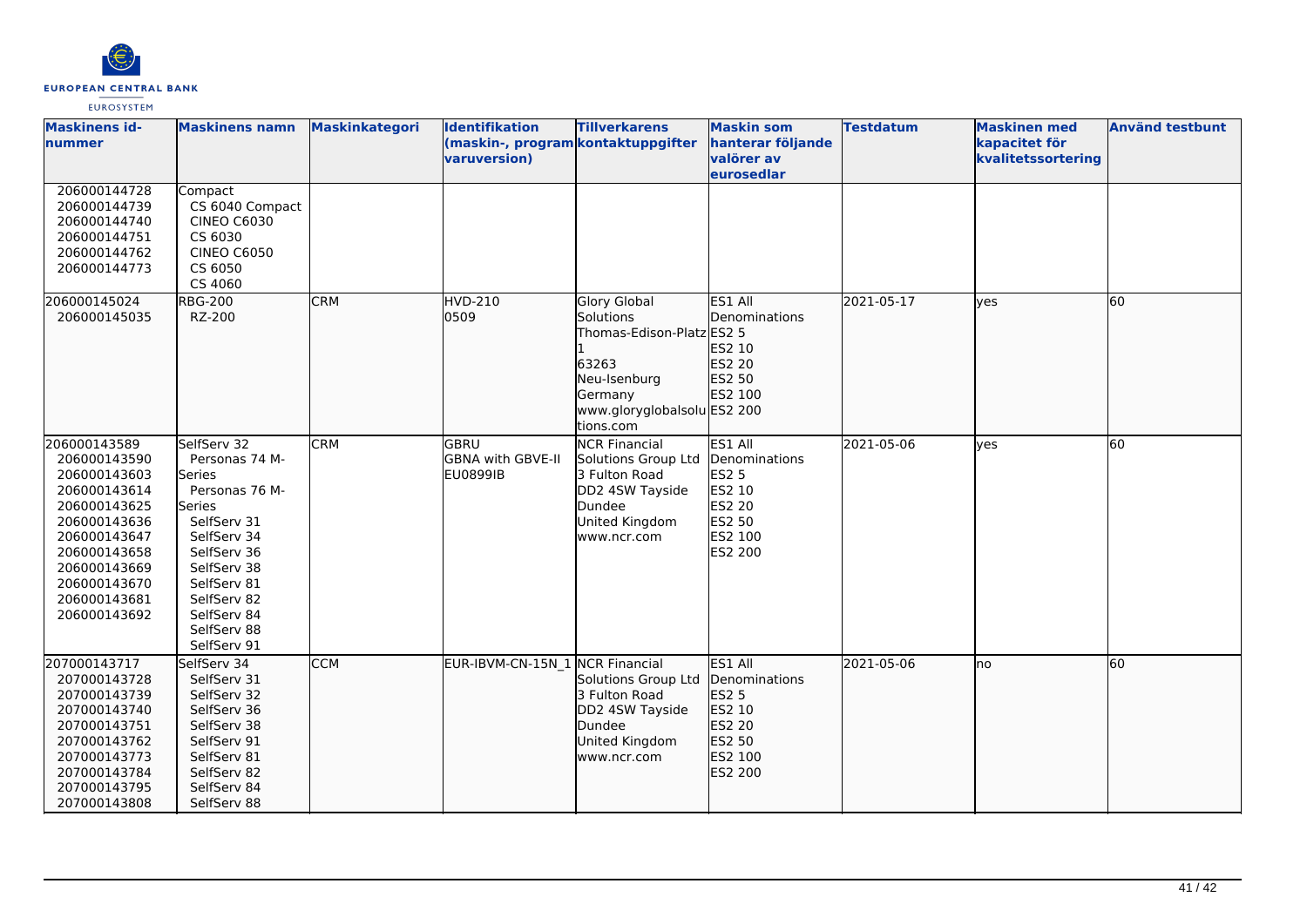

| <b>Maskinens id-</b><br>nummer                                                                                                                                                               | <b>Maskinens namn</b>                                                                                                                                                                                      | <b>Maskinkategori</b> | <b>Identifikation</b><br>(maskin-, program kontaktuppgifter<br>varuversion) | <b>Tillverkarens</b>                                                                                                                          | <b>Maskin som</b><br>hanterar följande<br>valörer av<br>eurosedlar                                  | <b>Testdatum</b> | <b>Maskinen med</b><br>kapacitet för<br>kvalitetssortering | <b>Använd testbunt</b> |
|----------------------------------------------------------------------------------------------------------------------------------------------------------------------------------------------|------------------------------------------------------------------------------------------------------------------------------------------------------------------------------------------------------------|-----------------------|-----------------------------------------------------------------------------|-----------------------------------------------------------------------------------------------------------------------------------------------|-----------------------------------------------------------------------------------------------------|------------------|------------------------------------------------------------|------------------------|
| 206000144728<br>206000144739<br>206000144740<br>206000144751<br>206000144762<br>206000144773                                                                                                 | Compact<br>CS 6040 Compact<br><b>CINEO C6030</b><br>CS 6030<br><b>CINEO C6050</b><br>CS 6050<br>CS 4060                                                                                                    |                       |                                                                             |                                                                                                                                               |                                                                                                     |                  |                                                            |                        |
| 206000145024<br>206000145035                                                                                                                                                                 | <b>RBG-200</b><br>RZ-200                                                                                                                                                                                   | <b>CRM</b>            | <b>HVD-210</b><br>0509                                                      | <b>Glory Global</b><br>Solutions<br>Thomas-Edison-Platz ES2 5<br>63263<br>Neu-Isenburg<br>Germany<br>www.gloryglobalsolu ES2 200<br>tions.com | ES1 All<br><b>IDenominations</b><br>ES2 10<br>ES2 20<br>ES2 50<br>ES2 100                           | 2021-05-17       | lyes                                                       | 60                     |
| 206000143589<br>206000143590<br>206000143603<br>206000143614<br>206000143625<br>206000143636<br>206000143647<br>206000143658<br>206000143669<br>206000143670<br>206000143681<br>206000143692 | SelfServ 32<br>Personas 74 M-<br>Series<br>Personas 76 M-<br>Series<br>SelfServ 31<br>SelfServ 34<br>SelfServ 36<br>SelfServ 38<br>SelfServ 81<br>SelfServ 82<br>SelfServ 84<br>SelfServ 88<br>SelfServ 91 | <b>CRM</b>            | lgbru<br>GBNA with GBVE-II<br><b>EU0899IB</b>                               | <b>NCR Financial</b><br>Solutions Group Ltd<br>3 Fulton Road<br>DD2 4SW Tayside<br>Dundee<br>United Kingdom<br>www.ncr.com                    | ES1 All<br>Denominations<br><b>ES2 5</b><br>ES2 10<br><b>ES2 20</b><br>ES2 50<br>ES2 100<br>ES2 200 | 2021-05-06       | lves                                                       | 60                     |
| 207000143717<br>207000143728<br>207000143739<br>207000143740<br>207000143751<br>207000143762<br>207000143773<br>207000143784<br>207000143795<br>207000143808                                 | SelfServ 34<br>SelfServ 31<br>SelfServ 32<br>SelfServ 36<br>SelfServ 38<br>SelfServ 91<br>SelfServ 81<br>SelfServ 82<br>SelfServ 84<br>SelfServ 88                                                         | <b>CCM</b>            | EUR-IBVM-CN-15N_1 NCR Financial                                             | Solutions Group Ltd<br>3 Fulton Road<br>DD2 4SW Tayside<br>Dundee<br>United Kingdom<br>www.ncr.com                                            | <b>ES1 All</b><br>Denominations<br>ES2 5<br>ES2 10<br>ES2 20<br>ES2 50<br>ES2 100<br>ES2 200        | 2021-05-06       | Ino                                                        | 60                     |